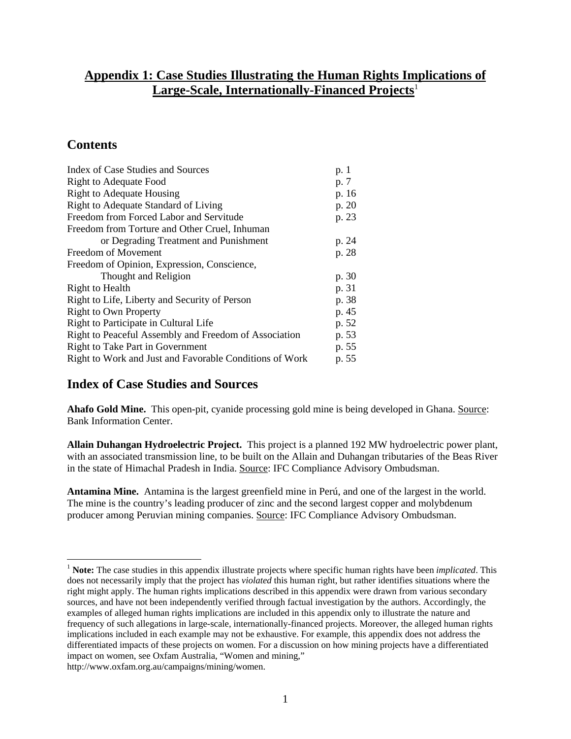### **Appendix 1: Case Studies Illustrating the Human Rights Implications of Large-Scale, Internationally-Financed Projects**<sup>1</sup>

### **Contents**

 $\overline{a}$ 

| Index of Case Studies and Sources                       | p. 1  |
|---------------------------------------------------------|-------|
| <b>Right to Adequate Food</b>                           | p. 7  |
| <b>Right to Adequate Housing</b>                        | p. 16 |
| Right to Adequate Standard of Living                    | p. 20 |
| Freedom from Forced Labor and Servitude                 | p. 23 |
| Freedom from Torture and Other Cruel, Inhuman           |       |
| or Degrading Treatment and Punishment                   | p. 24 |
| Freedom of Movement                                     | p. 28 |
| Freedom of Opinion, Expression, Conscience,             |       |
| Thought and Religion                                    | p. 30 |
| Right to Health                                         | p. 31 |
| Right to Life, Liberty and Security of Person           | p. 38 |
| <b>Right to Own Property</b>                            | p. 45 |
| Right to Participate in Cultural Life                   | p. 52 |
| Right to Peaceful Assembly and Freedom of Association   | p. 53 |
| Right to Take Part in Government                        | p. 55 |
| Right to Work and Just and Favorable Conditions of Work | p. 55 |

### **Index of Case Studies and Sources**

**Ahafo Gold Mine.** This open-pit, cyanide processing gold mine is being developed in Ghana. Source: Bank Information Center.

**Allain Duhangan Hydroelectric Project.** This project is a planned 192 MW hydroelectric power plant, with an associated transmission line, to be built on the Allain and Duhangan tributaries of the Beas River in the state of Himachal Pradesh in India. Source: IFC Compliance Advisory Ombudsman.

**Antamina Mine.** Antamina is the largest greenfield mine in Perú, and one of the largest in the world. The mine is the country's leading producer of zinc and the second largest copper and molybdenum producer among Peruvian mining companies. Source: IFC Compliance Advisory Ombudsman.

http://www.oxfam.org.au/campaigns/mining/women.

<sup>&</sup>lt;sup>1</sup> Note: The case studies in this appendix illustrate projects where specific human rights have been *implicated*. This does not necessarily imply that the project has *violated* this human right, but rather identifies situations where the right might apply. The human rights implications described in this appendix were drawn from various secondary sources, and have not been independently verified through factual investigation by the authors. Accordingly, the examples of alleged human rights implications are included in this appendix only to illustrate the nature and frequency of such allegations in large-scale, internationally-financed projects. Moreover, the alleged human rights implications included in each example may not be exhaustive. For example, this appendix does not address the differentiated impacts of these projects on women. For a discussion on how mining projects have a differentiated impact on women, see Oxfam Australia, "Women and mining,"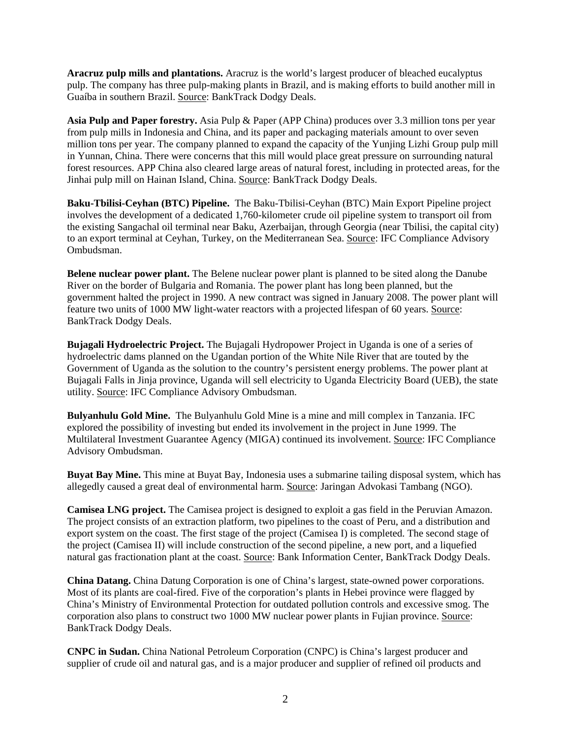**Aracruz pulp mills and plantations.** Aracruz is the world's largest producer of bleached eucalyptus pulp. The company has three pulp-making plants in Brazil, and is making efforts to build another mill in Guaíba in southern Brazil. Source: BankTrack Dodgy Deals.

**Asia Pulp and Paper forestry.** Asia Pulp & Paper (APP China) produces over 3.3 million tons per year from pulp mills in Indonesia and China, and its paper and packaging materials amount to over seven million tons per year. The company planned to expand the capacity of the Yunjing Lizhi Group pulp mill in Yunnan, China. There were concerns that this mill would place great pressure on surrounding natural forest resources. APP China also cleared large areas of natural forest, including in protected areas, for the Jinhai pulp mill on Hainan Island, China. Source: BankTrack Dodgy Deals.

**Baku-Tbilisi-Ceyhan (BTC) Pipeline.** The Baku-Tbilisi-Ceyhan (BTC) Main Export Pipeline project involves the development of a dedicated 1,760-kilometer crude oil pipeline system to transport oil from the existing Sangachal oil terminal near Baku, Azerbaijan, through Georgia (near Tbilisi, the capital city) to an export terminal at Ceyhan, Turkey, on the Mediterranean Sea. Source: IFC Compliance Advisory Ombudsman.

**Belene nuclear power plant.** The Belene nuclear power plant is planned to be sited along the Danube River on the border of Bulgaria and Romania. The power plant has long been planned, but the government halted the project in 1990. A new contract was signed in January 2008. The power plant will feature two units of 1000 MW light-water reactors with a projected lifespan of 60 years. Source: BankTrack Dodgy Deals.

**Bujagali Hydroelectric Project.** The Bujagali Hydropower Project in Uganda is one of a series of hydroelectric dams planned on the Ugandan portion of the White Nile River that are touted by the Government of Uganda as the solution to the country's persistent energy problems. The power plant at Bujagali Falls in Jinja province, Uganda will sell electricity to Uganda Electricity Board (UEB), the state utility. Source: IFC Compliance Advisory Ombudsman.

**Bulyanhulu Gold Mine.** The Bulyanhulu Gold Mine is a mine and mill complex in Tanzania. IFC explored the possibility of investing but ended its involvement in the project in June 1999. The Multilateral Investment Guarantee Agency (MIGA) continued its involvement. Source: IFC Compliance Advisory Ombudsman.

**Buyat Bay Mine.** This mine at Buyat Bay, Indonesia uses a submarine tailing disposal system, which has allegedly caused a great deal of environmental harm. Source: Jaringan Advokasi Tambang (NGO).

**Camisea LNG project.** The Camisea project is designed to exploit a gas field in the Peruvian Amazon. The project consists of an extraction platform, two pipelines to the coast of Peru, and a distribution and export system on the coast. The first stage of the project (Camisea I) is completed. The second stage of the project (Camisea II) will include construction of the second pipeline, a new port, and a liquefied natural gas fractionation plant at the coast. Source: Bank Information Center, BankTrack Dodgy Deals.

**China Datang.** China Datung Corporation is one of China's largest, state-owned power corporations. Most of its plants are coal-fired. Five of the corporation's plants in Hebei province were flagged by China's Ministry of Environmental Protection for outdated pollution controls and excessive smog. The corporation also plans to construct two 1000 MW nuclear power plants in Fujian province. Source: BankTrack Dodgy Deals.

**CNPC in Sudan.** China National Petroleum Corporation (CNPC) is China's largest producer and supplier of crude oil and natural gas, and is a major producer and supplier of refined oil products and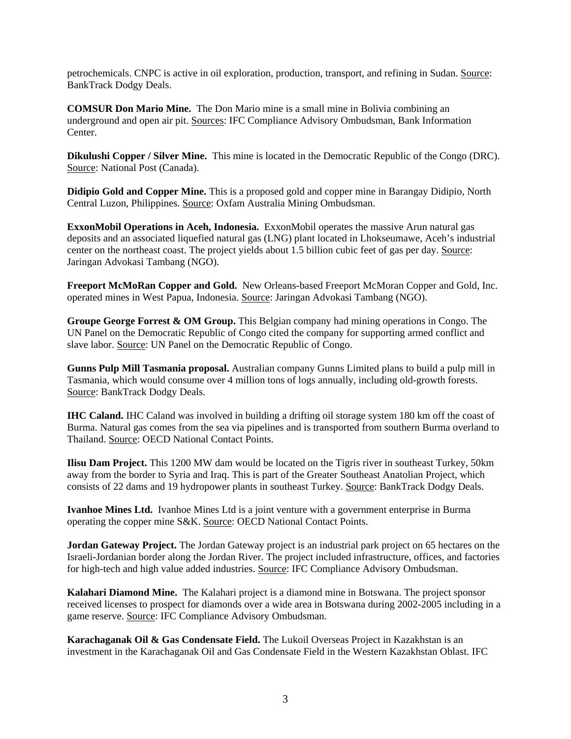petrochemicals. CNPC is active in oil exploration, production, transport, and refining in Sudan. Source: BankTrack Dodgy Deals.

**COMSUR Don Mario Mine.** The Don Mario mine is a small mine in Bolivia combining an underground and open air pit. Sources: IFC Compliance Advisory Ombudsman, Bank Information Center.

**Dikulushi Copper / Silver Mine.** This mine is located in the Democratic Republic of the Congo (DRC). Source: National Post (Canada).

**Didipio Gold and Copper Mine.** This is a proposed gold and copper mine in Barangay Didipio, North Central Luzon, Philippines. Source: Oxfam Australia Mining Ombudsman.

**ExxonMobil Operations in Aceh, Indonesia.** ExxonMobil operates the massive Arun natural gas deposits and an associated liquefied natural gas (LNG) plant located in Lhokseumawe, Aceh's industrial center on the northeast coast. The project yields about 1.5 billion cubic feet of gas per day. Source: Jaringan Advokasi Tambang (NGO).

**Freeport McMoRan Copper and Gold.** New Orleans-based Freeport McMoran Copper and Gold, Inc. operated mines in West Papua, Indonesia. Source: Jaringan Advokasi Tambang (NGO).

**Groupe George Forrest & OM Group.** This Belgian company had mining operations in Congo. The UN Panel on the Democratic Republic of Congo cited the company for supporting armed conflict and slave labor. Source: UN Panel on the Democratic Republic of Congo.

**Gunns Pulp Mill Tasmania proposal.** Australian company Gunns Limited plans to build a pulp mill in Tasmania, which would consume over 4 million tons of logs annually, including old-growth forests. Source: BankTrack Dodgy Deals.

**IHC Caland.** IHC Caland was involved in building a drifting oil storage system 180 km off the coast of Burma. Natural gas comes from the sea via pipelines and is transported from southern Burma overland to Thailand. Source: OECD National Contact Points.

**Ilisu Dam Project.** This 1200 MW dam would be located on the Tigris river in southeast Turkey, 50km away from the border to Syria and Iraq. This is part of the Greater Southeast Anatolian Project, which consists of 22 dams and 19 hydropower plants in southeast Turkey. Source: BankTrack Dodgy Deals.

**Ivanhoe Mines Ltd.** Ivanhoe Mines Ltd is a joint venture with a government enterprise in Burma operating the copper mine S&K. Source: OECD National Contact Points.

**Jordan Gateway Project.** The Jordan Gateway project is an industrial park project on 65 hectares on the Israeli-Jordanian border along the Jordan River. The project included infrastructure, offices, and factories for high-tech and high value added industries. Source: IFC Compliance Advisory Ombudsman.

**Kalahari Diamond Mine.** The Kalahari project is a diamond mine in Botswana. The project sponsor received licenses to prospect for diamonds over a wide area in Botswana during 2002-2005 including in a game reserve. Source: IFC Compliance Advisory Ombudsman.

**Karachaganak Oil & Gas Condensate Field.** The Lukoil Overseas Project in Kazakhstan is an investment in the Karachaganak Oil and Gas Condensate Field in the Western Kazakhstan Oblast. IFC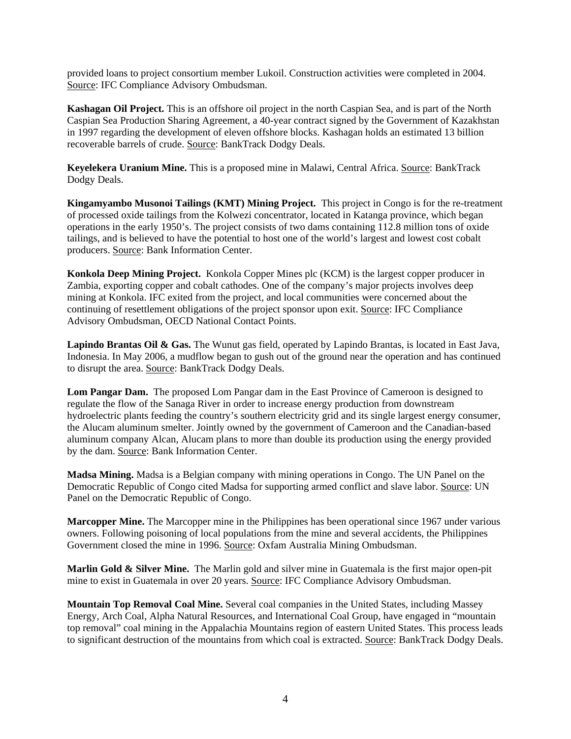provided loans to project consortium member Lukoil. Construction activities were completed in 2004. Source: IFC Compliance Advisory Ombudsman.

**Kashagan Oil Project.** This is an offshore oil project in the north Caspian Sea, and is part of the North Caspian Sea Production Sharing Agreement, a 40-year contract signed by the Government of Kazakhstan in 1997 regarding the development of eleven offshore blocks. Kashagan holds an estimated 13 billion recoverable barrels of crude. Source: BankTrack Dodgy Deals.

**Keyelekera Uranium Mine.** This is a proposed mine in Malawi, Central Africa. Source: BankTrack Dodgy Deals.

**Kingamyambo Musonoi Tailings (KMT) Mining Project.** This project in Congo is for the re-treatment of processed oxide tailings from the Kolwezi concentrator, located in Katanga province, which began operations in the early 1950's. The project consists of two dams containing 112.8 million tons of oxide tailings, and is believed to have the potential to host one of the world's largest and lowest cost cobalt producers. Source: Bank Information Center.

**Konkola Deep Mining Project.** Konkola Copper Mines plc (KCM) is the largest copper producer in Zambia, exporting copper and cobalt cathodes. One of the company's major projects involves deep mining at Konkola. IFC exited from the project, and local communities were concerned about the continuing of resettlement obligations of the project sponsor upon exit. Source: IFC Compliance Advisory Ombudsman, OECD National Contact Points.

**Lapindo Brantas Oil & Gas.** The Wunut gas field, operated by Lapindo Brantas, is located in East Java, Indonesia. In May 2006, a mudflow began to gush out of the ground near the operation and has continued to disrupt the area. Source: BankTrack Dodgy Deals.

**Lom Pangar Dam.** The proposed Lom Pangar dam in the East Province of Cameroon is designed to regulate the flow of the Sanaga River in order to increase energy production from downstream hydroelectric plants feeding the country's southern electricity grid and its single largest energy consumer, the Alucam aluminum smelter. Jointly owned by the government of Cameroon and the Canadian-based aluminum company Alcan, Alucam plans to more than double its production using the energy provided by the dam. Source: Bank Information Center.

**Madsa Mining.** Madsa is a Belgian company with mining operations in Congo. The UN Panel on the Democratic Republic of Congo cited Madsa for supporting armed conflict and slave labor. Source: UN Panel on the Democratic Republic of Congo.

**Marcopper Mine.** The Marcopper mine in the Philippines has been operational since 1967 under various owners. Following poisoning of local populations from the mine and several accidents, the Philippines Government closed the mine in 1996. Source: Oxfam Australia Mining Ombudsman.

**Marlin Gold & Silver Mine.** The Marlin gold and silver mine in Guatemala is the first major open-pit mine to exist in Guatemala in over 20 years. Source: IFC Compliance Advisory Ombudsman.

**Mountain Top Removal Coal Mine.** Several coal companies in the United States, including Massey Energy, Arch Coal, Alpha Natural Resources, and International Coal Group, have engaged in "mountain top removal" coal mining in the Appalachia Mountains region of eastern United States. This process leads to significant destruction of the mountains from which coal is extracted. Source: BankTrack Dodgy Deals.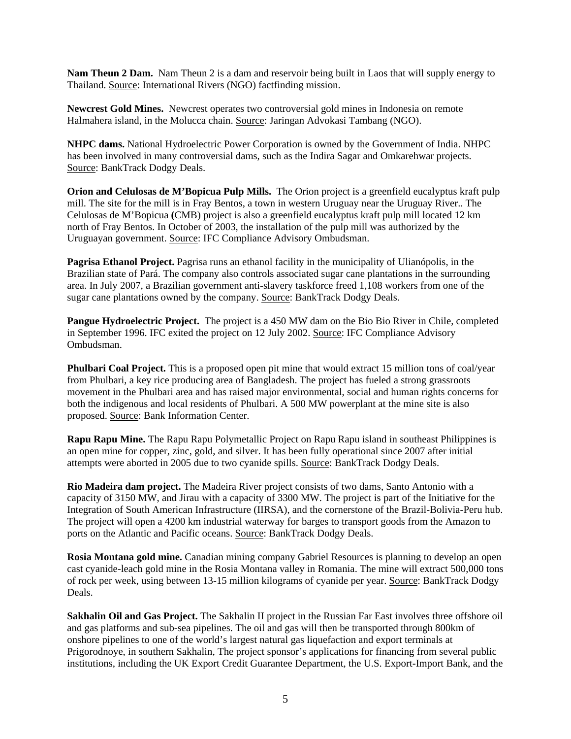**Nam Theun 2 Dam.** Nam Theun 2 is a dam and reservoir being built in Laos that will supply energy to Thailand. Source: International Rivers (NGO) factfinding mission.

**Newcrest Gold Mines.** Newcrest operates two controversial gold mines in Indonesia on remote Halmahera island, in the Molucca chain. Source: Jaringan Advokasi Tambang (NGO).

**NHPC dams.** National Hydroelectric Power Corporation is owned by the Government of India. NHPC has been involved in many controversial dams, such as the Indira Sagar and Omkarehwar projects. Source: BankTrack Dodgy Deals.

**Orion and Celulosas de M'Bopicua Pulp Mills.** The Orion project is a greenfield eucalyptus kraft pulp mill. The site for the mill is in Fray Bentos, a town in western Uruguay near the Uruguay River.. The Celulosas de M'Bopicua **(**CMB) project is also a greenfield eucalyptus kraft pulp mill located 12 km north of Fray Bentos. In October of 2003, the installation of the pulp mill was authorized by the Uruguayan government. Source: IFC Compliance Advisory Ombudsman.

**Pagrisa Ethanol Project.** Pagrisa runs an ethanol facility in the municipality of Ulianópolis, in the Brazilian state of Pará. The company also controls associated sugar cane plantations in the surrounding area. In July 2007, a Brazilian government anti-slavery taskforce freed 1,108 workers from one of the sugar cane plantations owned by the company. Source: BankTrack Dodgy Deals.

**Pangue Hydroelectric Project.** The project is a 450 MW dam on the Bio Bio River in Chile, completed in September 1996. IFC exited the project on 12 July 2002. Source: IFC Compliance Advisory Ombudsman.

**Phulbari Coal Project.** This is a proposed open pit mine that would extract 15 million tons of coal/year from Phulbari, a key rice producing area of Bangladesh. The project has fueled a strong grassroots movement in the Phulbari area and has raised major environmental, social and human rights concerns for both the indigenous and local residents of Phulbari. A 500 MW powerplant at the mine site is also proposed. Source: Bank Information Center.

**Rapu Rapu Mine.** The Rapu Rapu Polymetallic Project on Rapu Rapu island in southeast Philippines is an open mine for copper, zinc, gold, and silver. It has been fully operational since 2007 after initial attempts were aborted in 2005 due to two cyanide spills. Source: BankTrack Dodgy Deals.

**Rio Madeira dam project.** The Madeira River project consists of two dams, Santo Antonio with a capacity of 3150 MW, and Jirau with a capacity of 3300 MW. The project is part of the Initiative for the Integration of South American Infrastructure (IIRSA), and the cornerstone of the Brazil-Bolivia-Peru hub. The project will open a 4200 km industrial waterway for barges to transport goods from the Amazon to ports on the Atlantic and Pacific oceans. Source: BankTrack Dodgy Deals.

**Rosia Montana gold mine.** Canadian mining company Gabriel Resources is planning to develop an open cast cyanide-leach gold mine in the Rosia Montana valley in Romania. The mine will extract 500,000 tons of rock per week, using between 13-15 million kilograms of cyanide per year. Source: BankTrack Dodgy Deals.

**Sakhalin Oil and Gas Project.** The Sakhalin II project in the Russian Far East involves three offshore oil and gas platforms and sub-sea pipelines. The oil and gas will then be transported through 800km of onshore pipelines to one of the world's largest natural gas liquefaction and export terminals at Prigorodnoye, in southern Sakhalin, The project sponsor's applications for financing from several public institutions, including the UK Export Credit Guarantee Department, the U.S. Export-Import Bank, and the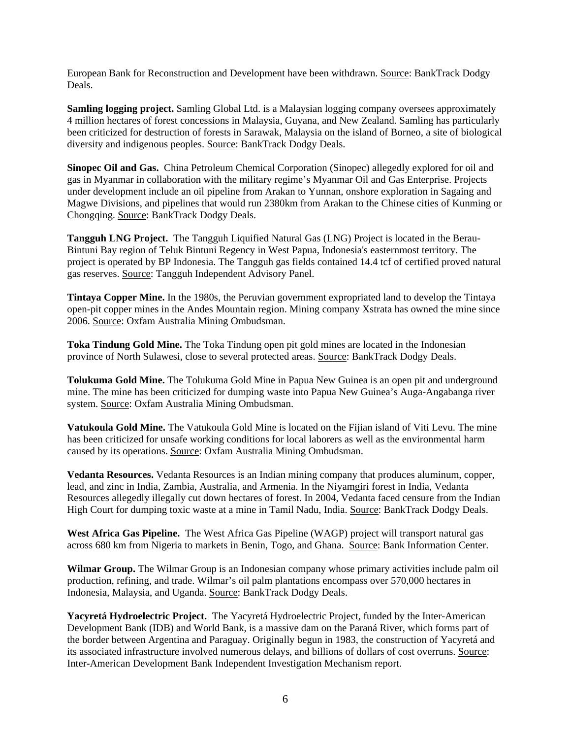European Bank for Reconstruction and Development have been withdrawn. Source: BankTrack Dodgy Deals.

**Samling logging project.** Samling Global Ltd. is a Malaysian logging company oversees approximately 4 million hectares of forest concessions in Malaysia, Guyana, and New Zealand. Samling has particularly been criticized for destruction of forests in Sarawak, Malaysia on the island of Borneo, a site of biological diversity and indigenous peoples. Source: BankTrack Dodgy Deals.

**Sinopec Oil and Gas.** China Petroleum Chemical Corporation (Sinopec) allegedly explored for oil and gas in Myanmar in collaboration with the military regime's Myanmar Oil and Gas Enterprise. Projects under development include an oil pipeline from Arakan to Yunnan, onshore exploration in Sagaing and Magwe Divisions, and pipelines that would run 2380km from Arakan to the Chinese cities of Kunming or Chongqing. Source: BankTrack Dodgy Deals.

**Tangguh LNG Project.** The Tangguh Liquified Natural Gas (LNG) Project is located in the Berau-Bintuni Bay region of Teluk Bintuni Regency in West Papua, Indonesia's easternmost territory. The project is operated by BP Indonesia. The Tangguh gas fields contained 14.4 tcf of certified proved natural gas reserves. Source: Tangguh Independent Advisory Panel.

**Tintaya Copper Mine.** In the 1980s, the Peruvian government expropriated land to develop the Tintaya open-pit copper mines in the Andes Mountain region. Mining company Xstrata has owned the mine since 2006. Source: Oxfam Australia Mining Ombudsman.

**Toka Tindung Gold Mine.** The Toka Tindung open pit gold mines are located in the Indonesian province of North Sulawesi, close to several protected areas. Source: BankTrack Dodgy Deals.

**Tolukuma Gold Mine.** The Tolukuma Gold Mine in Papua New Guinea is an open pit and underground mine. The mine has been criticized for dumping waste into Papua New Guinea's Auga-Angabanga river system. Source: Oxfam Australia Mining Ombudsman.

**Vatukoula Gold Mine.** The Vatukoula Gold Mine is located on the Fijian island of Viti Levu. The mine has been criticized for unsafe working conditions for local laborers as well as the environmental harm caused by its operations. Source: Oxfam Australia Mining Ombudsman.

**Vedanta Resources.** Vedanta Resources is an Indian mining company that produces aluminum, copper, lead, and zinc in India, Zambia, Australia, and Armenia. In the Niyamgiri forest in India, Vedanta Resources allegedly illegally cut down hectares of forest. In 2004, Vedanta faced censure from the Indian High Court for dumping toxic waste at a mine in Tamil Nadu, India. Source: BankTrack Dodgy Deals.

**West Africa Gas Pipeline.** The West Africa Gas Pipeline (WAGP) project will transport natural gas across 680 km from Nigeria to markets in Benin, Togo, and Ghana. Source: Bank Information Center.

**Wilmar Group.** The Wilmar Group is an Indonesian company whose primary activities include palm oil production, refining, and trade. Wilmar's oil palm plantations encompass over 570,000 hectares in Indonesia, Malaysia, and Uganda. Source: BankTrack Dodgy Deals.

**Yacyretá Hydroelectric Project.** The Yacyretá Hydroelectric Project, funded by the Inter-American Development Bank (IDB) and World Bank, is a massive dam on the Paraná River, which forms part of the border between Argentina and Paraguay. Originally begun in 1983, the construction of Yacyretá and its associated infrastructure involved numerous delays, and billions of dollars of cost overruns. Source: Inter-American Development Bank Independent Investigation Mechanism report.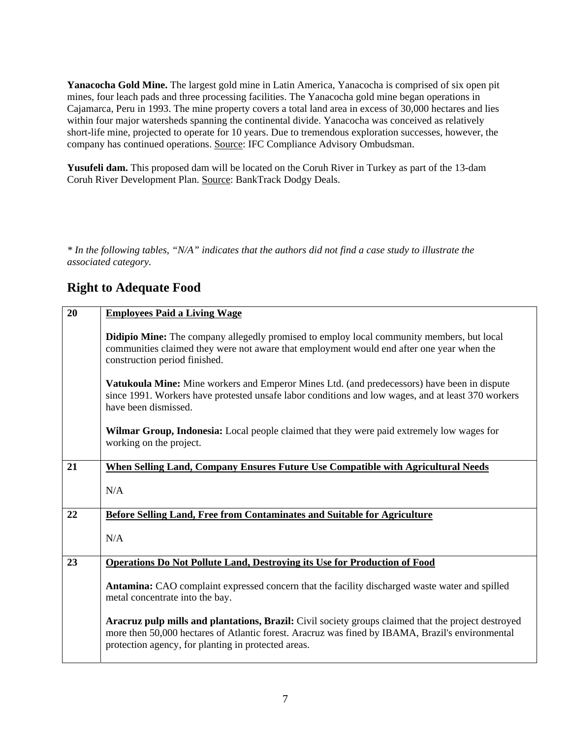**Yanacocha Gold Mine.** The largest gold mine in Latin America, Yanacocha is comprised of six open pit mines, four leach pads and three processing facilities. The Yanacocha gold mine began operations in Cajamarca, Peru in 1993. The mine property covers a total land area in excess of 30,000 hectares and lies within four major watersheds spanning the continental divide. Yanacocha was conceived as relatively short-life mine, projected to operate for 10 years. Due to tremendous exploration successes, however, the company has continued operations. Source: IFC Compliance Advisory Ombudsman.

**Yusufeli dam.** This proposed dam will be located on the Coruh River in Turkey as part of the 13-dam Coruh River Development Plan. Source: BankTrack Dodgy Deals.

*\* In the following tables, "N/A" indicates that the authors did not find a case study to illustrate the associated category.* 

### **Right to Adequate Food**

| 20 | <b>Employees Paid a Living Wage</b>                                                                                                                                                                                                                            |
|----|----------------------------------------------------------------------------------------------------------------------------------------------------------------------------------------------------------------------------------------------------------------|
|    | <b>Didipio Mine:</b> The company allegedly promised to employ local community members, but local<br>communities claimed they were not aware that employment would end after one year when the<br>construction period finished.                                 |
|    | Vatukoula Mine: Mine workers and Emperor Mines Ltd. (and predecessors) have been in dispute<br>since 1991. Workers have protested unsafe labor conditions and low wages, and at least 370 workers<br>have been dismissed.                                      |
|    | <b>Wilmar Group, Indonesia:</b> Local people claimed that they were paid extremely low wages for<br>working on the project.                                                                                                                                    |
| 21 | When Selling Land, Company Ensures Future Use Compatible with Agricultural Needs                                                                                                                                                                               |
|    | N/A                                                                                                                                                                                                                                                            |
| 22 | Before Selling Land, Free from Contaminates and Suitable for Agriculture                                                                                                                                                                                       |
|    | N/A                                                                                                                                                                                                                                                            |
| 23 | <b>Operations Do Not Pollute Land, Destroying its Use for Production of Food</b>                                                                                                                                                                               |
|    | Antamina: CAO complaint expressed concern that the facility discharged waste water and spilled<br>metal concentrate into the bay.                                                                                                                              |
|    | Aracruz pulp mills and plantations, Brazil: Civil society groups claimed that the project destroyed<br>more then 50,000 hectares of Atlantic forest. Aracruz was fined by IBAMA, Brazil's environmental<br>protection agency, for planting in protected areas. |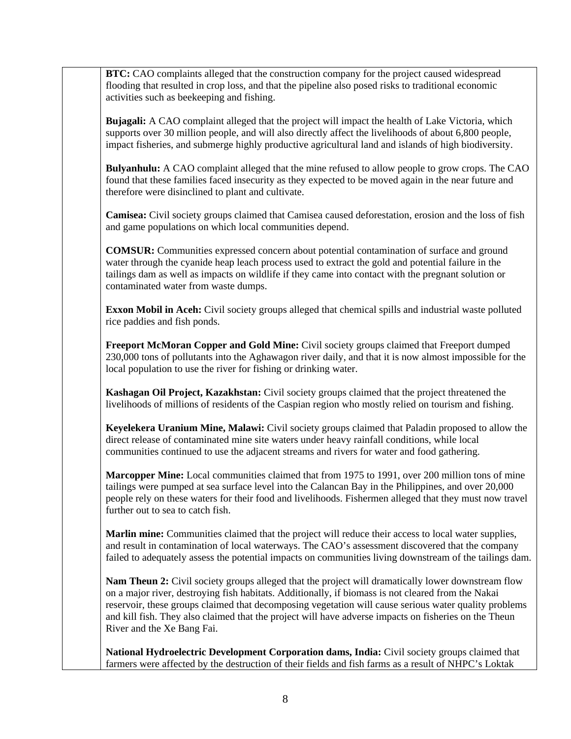**BTC:** CAO complaints alleged that the construction company for the project caused widespread flooding that resulted in crop loss, and that the pipeline also posed risks to traditional economic activities such as beekeeping and fishing.

**Bujagali:** A CAO complaint alleged that the project will impact the health of Lake Victoria, which supports over 30 million people, and will also directly affect the livelihoods of about 6,800 people, impact fisheries, and submerge highly productive agricultural land and islands of high biodiversity.

**Bulyanhulu:** A CAO complaint alleged that the mine refused to allow people to grow crops. The CAO found that these families faced insecurity as they expected to be moved again in the near future and therefore were disinclined to plant and cultivate.

**Camisea:** Civil society groups claimed that Camisea caused deforestation, erosion and the loss of fish and game populations on which local communities depend.

**COMSUR:** Communities expressed concern about potential contamination of surface and ground water through the cyanide heap leach process used to extract the gold and potential failure in the tailings dam as well as impacts on wildlife if they came into contact with the pregnant solution or contaminated water from waste dumps.

**Exxon Mobil in Aceh:** Civil society groups alleged that chemical spills and industrial waste polluted rice paddies and fish ponds.

**Freeport McMoran Copper and Gold Mine:** Civil society groups claimed that Freeport dumped 230,000 tons of pollutants into the Aghawagon river daily, and that it is now almost impossible for the local population to use the river for fishing or drinking water.

**Kashagan Oil Project, Kazakhstan:** Civil society groups claimed that the project threatened the livelihoods of millions of residents of the Caspian region who mostly relied on tourism and fishing.

**Keyelekera Uranium Mine, Malawi:** Civil society groups claimed that Paladin proposed to allow the direct release of contaminated mine site waters under heavy rainfall conditions, while local communities continued to use the adjacent streams and rivers for water and food gathering.

**Marcopper Mine:** Local communities claimed that from 1975 to 1991, over 200 million tons of mine tailings were pumped at sea surface level into the Calancan Bay in the Philippines, and over 20,000 people rely on these waters for their food and livelihoods. Fishermen alleged that they must now travel further out to sea to catch fish.

**Marlin mine:** Communities claimed that the project will reduce their access to local water supplies, and result in contamination of local waterways. The CAO's assessment discovered that the company failed to adequately assess the potential impacts on communities living downstream of the tailings dam.

**Nam Theun 2:** Civil society groups alleged that the project will dramatically lower downstream flow on a major river, destroying fish habitats. Additionally, if biomass is not cleared from the Nakai reservoir, these groups claimed that decomposing vegetation will cause serious water quality problems and kill fish. They also claimed that the project will have adverse impacts on fisheries on the Theun River and the Xe Bang Fai.

**National Hydroelectric Development Corporation dams, India:** Civil society groups claimed that farmers were affected by the destruction of their fields and fish farms as a result of NHPC's Loktak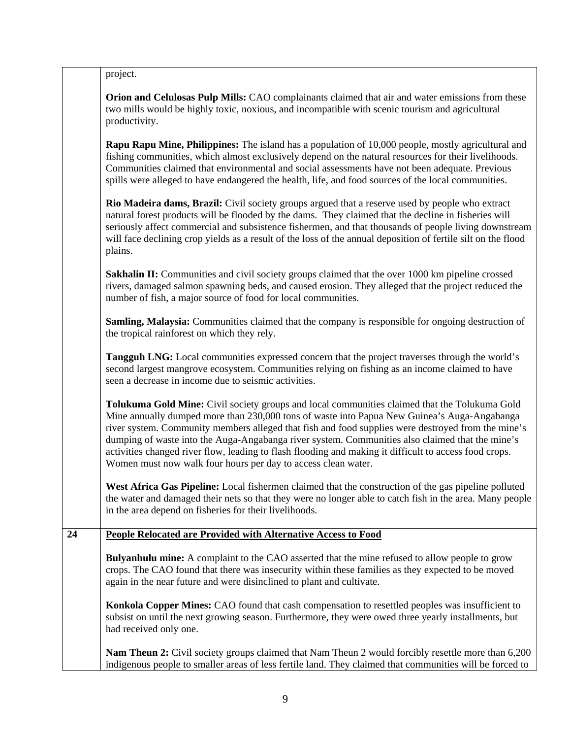| project. |  |
|----------|--|

**Orion and Celulosas Pulp Mills:** CAO complainants claimed that air and water emissions from these two mills would be highly toxic, noxious, and incompatible with scenic tourism and agricultural productivity.

**Rapu Rapu Mine, Philippines:** The island has a population of 10,000 people, mostly agricultural and fishing communities, which almost exclusively depend on the natural resources for their livelihoods. Communities claimed that environmental and social assessments have not been adequate. Previous spills were alleged to have endangered the health, life, and food sources of the local communities.

**Rio Madeira dams, Brazil:** Civil society groups argued that a reserve used by people who extract natural forest products will be flooded by the dams. They claimed that the decline in fisheries will seriously affect commercial and subsistence fishermen, and that thousands of people living downstream will face declining crop yields as a result of the loss of the annual deposition of fertile silt on the flood plains.

**Sakhalin II:** Communities and civil society groups claimed that the over 1000 km pipeline crossed rivers, damaged salmon spawning beds, and caused erosion. They alleged that the project reduced the number of fish, a major source of food for local communities.

**Samling, Malaysia:** Communities claimed that the company is responsible for ongoing destruction of the tropical rainforest on which they rely.

**Tangguh LNG:** Local communities expressed concern that the project traverses through the world's second largest mangrove ecosystem. Communities relying on fishing as an income claimed to have seen a decrease in income due to seismic activities.

**Tolukuma Gold Mine:** Civil society groups and local communities claimed that the Tolukuma Gold Mine annually dumped more than 230,000 tons of waste into Papua New Guinea's Auga-Angabanga river system. Community members alleged that fish and food supplies were destroyed from the mine's dumping of waste into the Auga-Angabanga river system. Communities also claimed that the mine's activities changed river flow, leading to flash flooding and making it difficult to access food crops. Women must now walk four hours per day to access clean water.

**West Africa Gas Pipeline:** Local fishermen claimed that the construction of the gas pipeline polluted the water and damaged their nets so that they were no longer able to catch fish in the area. Many people in the area depend on fisheries for their livelihoods.

#### **24 People Relocated are Provided with Alternative Access to Food**

**Bulyanhulu mine:** A complaint to the CAO asserted that the mine refused to allow people to grow crops. The CAO found that there was insecurity within these families as they expected to be moved again in the near future and were disinclined to plant and cultivate.

**Konkola Copper Mines:** CAO found that cash compensation to resettled peoples was insufficient to subsist on until the next growing season. Furthermore, they were owed three yearly installments, but had received only one.

**Nam Theun 2:** Civil society groups claimed that Nam Theun 2 would forcibly resettle more than 6,200 indigenous people to smaller areas of less fertile land. They claimed that communities will be forced to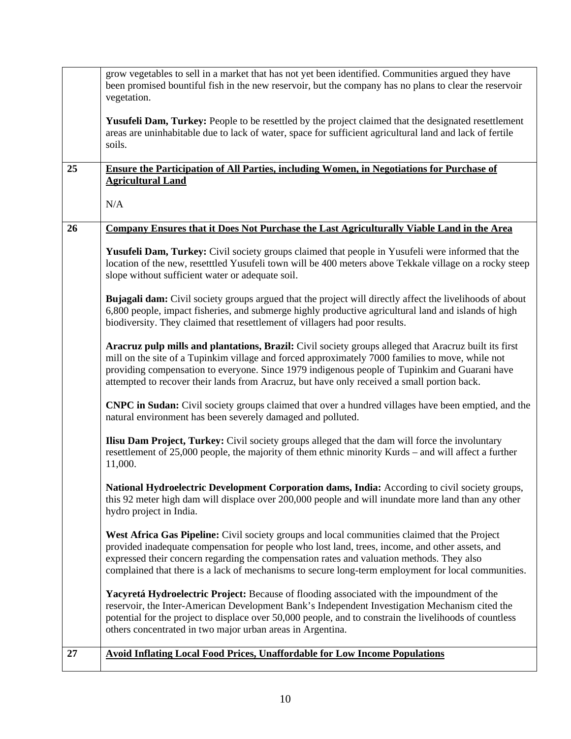|    | grow vegetables to sell in a market that has not yet been identified. Communities argued they have<br>been promised bountiful fish in the new reservoir, but the company has no plans to clear the reservoir<br>vegetation.                                                                                                                                                                               |
|----|-----------------------------------------------------------------------------------------------------------------------------------------------------------------------------------------------------------------------------------------------------------------------------------------------------------------------------------------------------------------------------------------------------------|
|    | Yusufeli Dam, Turkey: People to be resettled by the project claimed that the designated resettlement<br>areas are uninhabitable due to lack of water, space for sufficient agricultural land and lack of fertile<br>soils.                                                                                                                                                                                |
| 25 | <b>Ensure the Participation of All Parties, including Women, in Negotiations for Purchase of</b><br><b>Agricultural Land</b>                                                                                                                                                                                                                                                                              |
|    | N/A                                                                                                                                                                                                                                                                                                                                                                                                       |
| 26 | Company Ensures that it Does Not Purchase the Last Agriculturally Viable Land in the Area                                                                                                                                                                                                                                                                                                                 |
|    | Yusufeli Dam, Turkey: Civil society groups claimed that people in Yusufeli were informed that the<br>location of the new, resetttled Yusufeli town will be 400 meters above Tekkale village on a rocky steep<br>slope without sufficient water or adequate soil.                                                                                                                                          |
|    | <b>Bujagali dam:</b> Civil society groups argued that the project will directly affect the livelihoods of about<br>6,800 people, impact fisheries, and submerge highly productive agricultural land and islands of high<br>biodiversity. They claimed that resettlement of villagers had poor results.                                                                                                    |
|    | Aracruz pulp mills and plantations, Brazil: Civil society groups alleged that Aracruz built its first<br>mill on the site of a Tupinkim village and forced approximately 7000 families to move, while not<br>providing compensation to everyone. Since 1979 indigenous people of Tupinkim and Guarani have<br>attempted to recover their lands from Aracruz, but have only received a small portion back. |
|    | CNPC in Sudan: Civil society groups claimed that over a hundred villages have been emptied, and the<br>natural environment has been severely damaged and polluted.                                                                                                                                                                                                                                        |
|    | <b>Ilisu Dam Project, Turkey:</b> Civil society groups alleged that the dam will force the involuntary<br>resettlement of 25,000 people, the majority of them ethnic minority Kurds – and will affect a further<br>11,000.                                                                                                                                                                                |
|    | National Hydroelectric Development Corporation dams, India: According to civil society groups,<br>this 92 meter high dam will displace over 200,000 people and will inundate more land than any other<br>hydro project in India.                                                                                                                                                                          |
|    | West Africa Gas Pipeline: Civil society groups and local communities claimed that the Project<br>provided inadequate compensation for people who lost land, trees, income, and other assets, and<br>expressed their concern regarding the compensation rates and valuation methods. They also<br>complained that there is a lack of mechanisms to secure long-term employment for local communities.      |
|    | Yacyretá Hydroelectric Project: Because of flooding associated with the impoundment of the<br>reservoir, the Inter-American Development Bank's Independent Investigation Mechanism cited the<br>potential for the project to displace over 50,000 people, and to constrain the livelihoods of countless<br>others concentrated in two major urban areas in Argentina.                                     |
| 27 | <b>Avoid Inflating Local Food Prices, Unaffordable for Low Income Populations</b>                                                                                                                                                                                                                                                                                                                         |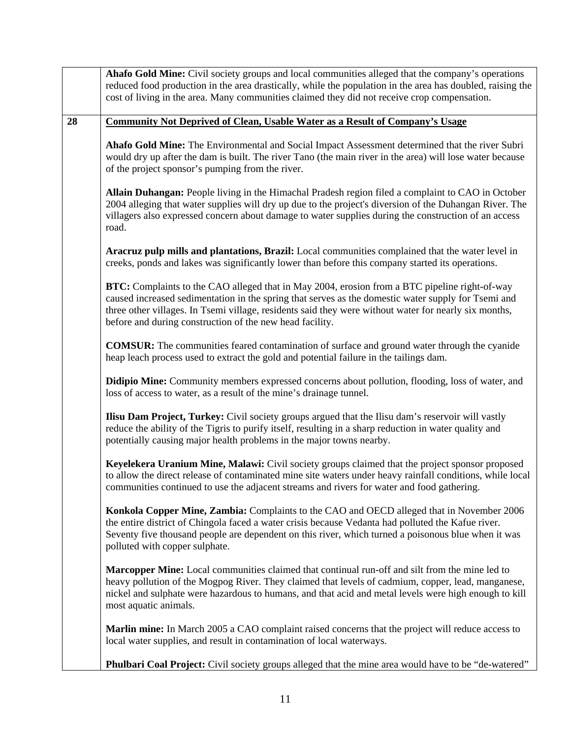| 28<br><b>Community Not Deprived of Clean, Usable Water as a Result of Company's Usage</b><br>Ahafo Gold Mine: The Environmental and Social Impact Assessment determined that the river Subri<br>would dry up after the dam is built. The river Tano (the main river in the area) will lose water because<br>of the project sponsor's pumping from the river.<br>Allain Duhangan: People living in the Himachal Pradesh region filed a complaint to CAO in October<br>2004 alleging that water supplies will dry up due to the project's diversion of the Duhangan River. The<br>villagers also expressed concern about damage to water supplies during the construction of an access<br>road.<br>Aracruz pulp mills and plantations, Brazil: Local communities complained that the water level in<br>creeks, ponds and lakes was significantly lower than before this company started its operations.<br>BTC: Complaints to the CAO alleged that in May 2004, erosion from a BTC pipeline right-of-way<br>caused increased sedimentation in the spring that serves as the domestic water supply for Tsemi and<br>three other villages. In Tsemi village, residents said they were without water for nearly six months,<br>before and during construction of the new head facility.<br><b>COMSUR:</b> The communities feared contamination of surface and ground water through the cyanide<br>heap leach process used to extract the gold and potential failure in the tailings dam.<br><b>Didipio Mine:</b> Community members expressed concerns about pollution, flooding, loss of water, and<br>loss of access to water, as a result of the mine's drainage tunnel.<br><b>Ilisu Dam Project, Turkey:</b> Civil society groups argued that the Ilisu dam's reservoir will vastly<br>reduce the ability of the Tigris to purify itself, resulting in a sharp reduction in water quality and<br>potentially causing major health problems in the major towns nearby.<br>Keyelekera Uranium Mine, Malawi: Civil society groups claimed that the project sponsor proposed<br>to allow the direct release of contaminated mine site waters under heavy rainfall conditions, while local<br>communities continued to use the adjacent streams and rivers for water and food gathering.<br>Konkola Copper Mine, Zambia: Complaints to the CAO and OECD alleged that in November 2006<br>the entire district of Chingola faced a water crisis because Vedanta had polluted the Kafue river.<br>Seventy five thousand people are dependent on this river, which turned a poisonous blue when it was<br>polluted with copper sulphate.<br><b>Marcopper Mine:</b> Local communities claimed that continual run-off and silt from the mine led to<br>heavy pollution of the Mogpog River. They claimed that levels of cadmium, copper, lead, manganese,<br>nickel and sulphate were hazardous to humans, and that acid and metal levels were high enough to kill<br>most aquatic animals.<br>Marlin mine: In March 2005 a CAO complaint raised concerns that the project will reduce access to<br>local water supplies, and result in contamination of local waterways.<br><b>Phulbari Coal Project:</b> Civil society groups alleged that the mine area would have to be "de-watered" | Ahafo Gold Mine: Civil society groups and local communities alleged that the company's operations<br>reduced food production in the area drastically, while the population in the area has doubled, raising the<br>cost of living in the area. Many communities claimed they did not receive crop compensation. |
|-----------------------------------------------------------------------------------------------------------------------------------------------------------------------------------------------------------------------------------------------------------------------------------------------------------------------------------------------------------------------------------------------------------------------------------------------------------------------------------------------------------------------------------------------------------------------------------------------------------------------------------------------------------------------------------------------------------------------------------------------------------------------------------------------------------------------------------------------------------------------------------------------------------------------------------------------------------------------------------------------------------------------------------------------------------------------------------------------------------------------------------------------------------------------------------------------------------------------------------------------------------------------------------------------------------------------------------------------------------------------------------------------------------------------------------------------------------------------------------------------------------------------------------------------------------------------------------------------------------------------------------------------------------------------------------------------------------------------------------------------------------------------------------------------------------------------------------------------------------------------------------------------------------------------------------------------------------------------------------------------------------------------------------------------------------------------------------------------------------------------------------------------------------------------------------------------------------------------------------------------------------------------------------------------------------------------------------------------------------------------------------------------------------------------------------------------------------------------------------------------------------------------------------------------------------------------------------------------------------------------------------------------------------------------------------------------------------------------------------------------------------------------------------------------------------------------------------------------------------------------------------------------------------------------------------------------------------------------------------------------------------------------------------------------------------------------------------------------------------------------------------------------------------------------------------------------------------------------------------------------------------------------------|-----------------------------------------------------------------------------------------------------------------------------------------------------------------------------------------------------------------------------------------------------------------------------------------------------------------|
|                                                                                                                                                                                                                                                                                                                                                                                                                                                                                                                                                                                                                                                                                                                                                                                                                                                                                                                                                                                                                                                                                                                                                                                                                                                                                                                                                                                                                                                                                                                                                                                                                                                                                                                                                                                                                                                                                                                                                                                                                                                                                                                                                                                                                                                                                                                                                                                                                                                                                                                                                                                                                                                                                                                                                                                                                                                                                                                                                                                                                                                                                                                                                                                                                                                                             |                                                                                                                                                                                                                                                                                                                 |
|                                                                                                                                                                                                                                                                                                                                                                                                                                                                                                                                                                                                                                                                                                                                                                                                                                                                                                                                                                                                                                                                                                                                                                                                                                                                                                                                                                                                                                                                                                                                                                                                                                                                                                                                                                                                                                                                                                                                                                                                                                                                                                                                                                                                                                                                                                                                                                                                                                                                                                                                                                                                                                                                                                                                                                                                                                                                                                                                                                                                                                                                                                                                                                                                                                                                             |                                                                                                                                                                                                                                                                                                                 |
|                                                                                                                                                                                                                                                                                                                                                                                                                                                                                                                                                                                                                                                                                                                                                                                                                                                                                                                                                                                                                                                                                                                                                                                                                                                                                                                                                                                                                                                                                                                                                                                                                                                                                                                                                                                                                                                                                                                                                                                                                                                                                                                                                                                                                                                                                                                                                                                                                                                                                                                                                                                                                                                                                                                                                                                                                                                                                                                                                                                                                                                                                                                                                                                                                                                                             |                                                                                                                                                                                                                                                                                                                 |
|                                                                                                                                                                                                                                                                                                                                                                                                                                                                                                                                                                                                                                                                                                                                                                                                                                                                                                                                                                                                                                                                                                                                                                                                                                                                                                                                                                                                                                                                                                                                                                                                                                                                                                                                                                                                                                                                                                                                                                                                                                                                                                                                                                                                                                                                                                                                                                                                                                                                                                                                                                                                                                                                                                                                                                                                                                                                                                                                                                                                                                                                                                                                                                                                                                                                             |                                                                                                                                                                                                                                                                                                                 |
|                                                                                                                                                                                                                                                                                                                                                                                                                                                                                                                                                                                                                                                                                                                                                                                                                                                                                                                                                                                                                                                                                                                                                                                                                                                                                                                                                                                                                                                                                                                                                                                                                                                                                                                                                                                                                                                                                                                                                                                                                                                                                                                                                                                                                                                                                                                                                                                                                                                                                                                                                                                                                                                                                                                                                                                                                                                                                                                                                                                                                                                                                                                                                                                                                                                                             |                                                                                                                                                                                                                                                                                                                 |
|                                                                                                                                                                                                                                                                                                                                                                                                                                                                                                                                                                                                                                                                                                                                                                                                                                                                                                                                                                                                                                                                                                                                                                                                                                                                                                                                                                                                                                                                                                                                                                                                                                                                                                                                                                                                                                                                                                                                                                                                                                                                                                                                                                                                                                                                                                                                                                                                                                                                                                                                                                                                                                                                                                                                                                                                                                                                                                                                                                                                                                                                                                                                                                                                                                                                             |                                                                                                                                                                                                                                                                                                                 |
|                                                                                                                                                                                                                                                                                                                                                                                                                                                                                                                                                                                                                                                                                                                                                                                                                                                                                                                                                                                                                                                                                                                                                                                                                                                                                                                                                                                                                                                                                                                                                                                                                                                                                                                                                                                                                                                                                                                                                                                                                                                                                                                                                                                                                                                                                                                                                                                                                                                                                                                                                                                                                                                                                                                                                                                                                                                                                                                                                                                                                                                                                                                                                                                                                                                                             |                                                                                                                                                                                                                                                                                                                 |
|                                                                                                                                                                                                                                                                                                                                                                                                                                                                                                                                                                                                                                                                                                                                                                                                                                                                                                                                                                                                                                                                                                                                                                                                                                                                                                                                                                                                                                                                                                                                                                                                                                                                                                                                                                                                                                                                                                                                                                                                                                                                                                                                                                                                                                                                                                                                                                                                                                                                                                                                                                                                                                                                                                                                                                                                                                                                                                                                                                                                                                                                                                                                                                                                                                                                             |                                                                                                                                                                                                                                                                                                                 |
|                                                                                                                                                                                                                                                                                                                                                                                                                                                                                                                                                                                                                                                                                                                                                                                                                                                                                                                                                                                                                                                                                                                                                                                                                                                                                                                                                                                                                                                                                                                                                                                                                                                                                                                                                                                                                                                                                                                                                                                                                                                                                                                                                                                                                                                                                                                                                                                                                                                                                                                                                                                                                                                                                                                                                                                                                                                                                                                                                                                                                                                                                                                                                                                                                                                                             |                                                                                                                                                                                                                                                                                                                 |
|                                                                                                                                                                                                                                                                                                                                                                                                                                                                                                                                                                                                                                                                                                                                                                                                                                                                                                                                                                                                                                                                                                                                                                                                                                                                                                                                                                                                                                                                                                                                                                                                                                                                                                                                                                                                                                                                                                                                                                                                                                                                                                                                                                                                                                                                                                                                                                                                                                                                                                                                                                                                                                                                                                                                                                                                                                                                                                                                                                                                                                                                                                                                                                                                                                                                             |                                                                                                                                                                                                                                                                                                                 |
|                                                                                                                                                                                                                                                                                                                                                                                                                                                                                                                                                                                                                                                                                                                                                                                                                                                                                                                                                                                                                                                                                                                                                                                                                                                                                                                                                                                                                                                                                                                                                                                                                                                                                                                                                                                                                                                                                                                                                                                                                                                                                                                                                                                                                                                                                                                                                                                                                                                                                                                                                                                                                                                                                                                                                                                                                                                                                                                                                                                                                                                                                                                                                                                                                                                                             |                                                                                                                                                                                                                                                                                                                 |
|                                                                                                                                                                                                                                                                                                                                                                                                                                                                                                                                                                                                                                                                                                                                                                                                                                                                                                                                                                                                                                                                                                                                                                                                                                                                                                                                                                                                                                                                                                                                                                                                                                                                                                                                                                                                                                                                                                                                                                                                                                                                                                                                                                                                                                                                                                                                                                                                                                                                                                                                                                                                                                                                                                                                                                                                                                                                                                                                                                                                                                                                                                                                                                                                                                                                             |                                                                                                                                                                                                                                                                                                                 |
|                                                                                                                                                                                                                                                                                                                                                                                                                                                                                                                                                                                                                                                                                                                                                                                                                                                                                                                                                                                                                                                                                                                                                                                                                                                                                                                                                                                                                                                                                                                                                                                                                                                                                                                                                                                                                                                                                                                                                                                                                                                                                                                                                                                                                                                                                                                                                                                                                                                                                                                                                                                                                                                                                                                                                                                                                                                                                                                                                                                                                                                                                                                                                                                                                                                                             |                                                                                                                                                                                                                                                                                                                 |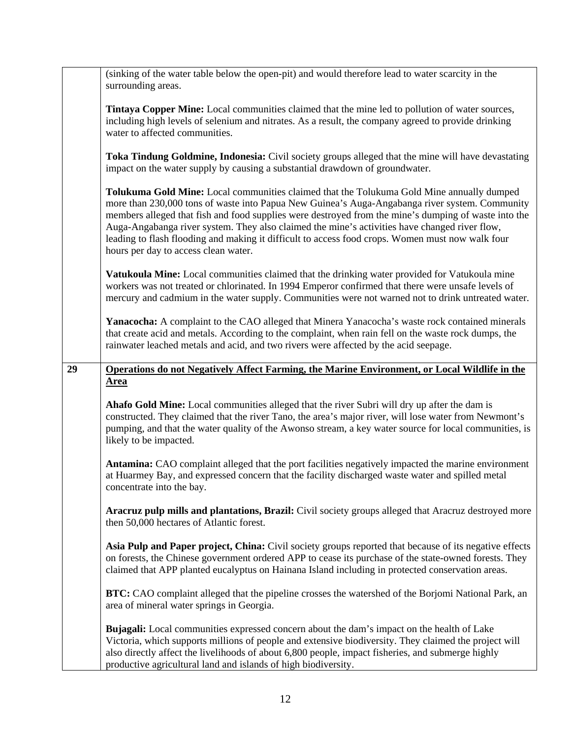|    | (sinking of the water table below the open-pit) and would therefore lead to water scarcity in the<br>surrounding areas.                                                                                                                                                                                                                                                                                                                                                                                                                          |
|----|--------------------------------------------------------------------------------------------------------------------------------------------------------------------------------------------------------------------------------------------------------------------------------------------------------------------------------------------------------------------------------------------------------------------------------------------------------------------------------------------------------------------------------------------------|
|    | <b>Tintaya Copper Mine:</b> Local communities claimed that the mine led to pollution of water sources,<br>including high levels of selenium and nitrates. As a result, the company agreed to provide drinking<br>water to affected communities.                                                                                                                                                                                                                                                                                                  |
|    | Toka Tindung Goldmine, Indonesia: Civil society groups alleged that the mine will have devastating<br>impact on the water supply by causing a substantial drawdown of groundwater.                                                                                                                                                                                                                                                                                                                                                               |
|    | Tolukuma Gold Mine: Local communities claimed that the Tolukuma Gold Mine annually dumped<br>more than 230,000 tons of waste into Papua New Guinea's Auga-Angabanga river system. Community<br>members alleged that fish and food supplies were destroyed from the mine's dumping of waste into the<br>Auga-Angabanga river system. They also claimed the mine's activities have changed river flow,<br>leading to flash flooding and making it difficult to access food crops. Women must now walk four<br>hours per day to access clean water. |
|    | Vatukoula Mine: Local communities claimed that the drinking water provided for Vatukoula mine<br>workers was not treated or chlorinated. In 1994 Emperor confirmed that there were unsafe levels of<br>mercury and cadmium in the water supply. Communities were not warned not to drink untreated water.                                                                                                                                                                                                                                        |
|    | Yanacocha: A complaint to the CAO alleged that Minera Yanacocha's waste rock contained minerals<br>that create acid and metals. According to the complaint, when rain fell on the waste rock dumps, the<br>rainwater leached metals and acid, and two rivers were affected by the acid seepage.                                                                                                                                                                                                                                                  |
| 29 | Operations do not Negatively Affect Farming, the Marine Environment, or Local Wildlife in the<br><b>Area</b>                                                                                                                                                                                                                                                                                                                                                                                                                                     |
|    | Ahafo Gold Mine: Local communities alleged that the river Subri will dry up after the dam is<br>constructed. They claimed that the river Tano, the area's major river, will lose water from Newmont's<br>pumping, and that the water quality of the Awonso stream, a key water source for local communities, is<br>likely to be impacted.                                                                                                                                                                                                        |
|    | Antamina: CAO complaint alleged that the port facilities negatively impacted the marine environment<br>at Huarmey Bay, and expressed concern that the facility discharged waste water and spilled metal<br>concentrate into the bay.                                                                                                                                                                                                                                                                                                             |
|    | Aracruz pulp mills and plantations, Brazil: Civil society groups alleged that Aracruz destroyed more<br>then 50,000 hectares of Atlantic forest.                                                                                                                                                                                                                                                                                                                                                                                                 |
|    | Asia Pulp and Paper project, China: Civil society groups reported that because of its negative effects<br>on forests, the Chinese government ordered APP to cease its purchase of the state-owned forests. They<br>claimed that APP planted eucalyptus on Hainana Island including in protected conservation areas.                                                                                                                                                                                                                              |
|    | BTC: CAO complaint alleged that the pipeline crosses the watershed of the Borjomi National Park, an<br>area of mineral water springs in Georgia.                                                                                                                                                                                                                                                                                                                                                                                                 |
|    | Bujagali: Local communities expressed concern about the dam's impact on the health of Lake<br>Victoria, which supports millions of people and extensive biodiversity. They claimed the project will<br>also directly affect the livelihoods of about 6,800 people, impact fisheries, and submerge highly<br>productive agricultural land and islands of high biodiversity.                                                                                                                                                                       |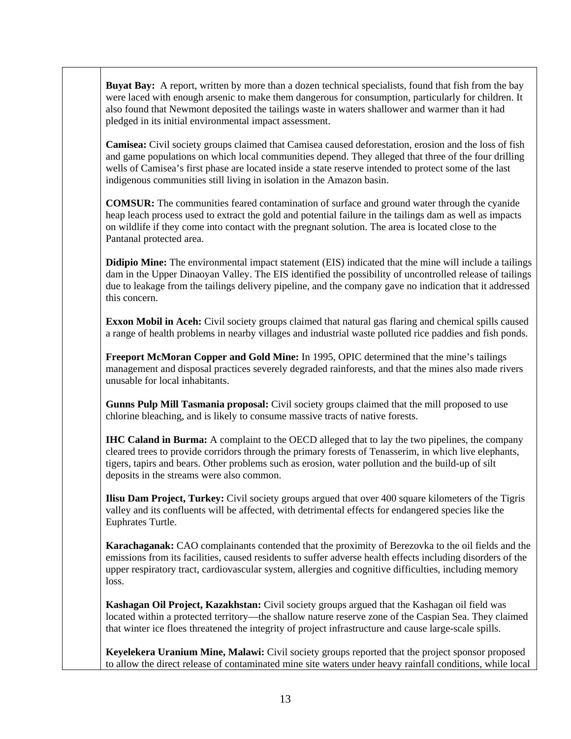**Buyat Bay:** A report, written by more than a dozen technical specialists, found that fish from the bay were laced with enough arsenic to make them dangerous for consumption, particularly for children. It also found that Newmont deposited the tailings waste in waters shallower and warmer than it had pledged in its initial environmental impact assessment.

**Camisea:** Civil society groups claimed that Camisea caused deforestation, erosion and the loss of fish and game populations on which local communities depend. They alleged that three of the four drilling wells of Camisea's first phase are located inside a state reserve intended to protect some of the last indigenous communities still living in isolation in the Amazon basin.

**COMSUR:** The communities feared contamination of surface and ground water through the cyanide heap leach process used to extract the gold and potential failure in the tailings dam as well as impacts on wildlife if they come into contact with the pregnant solution. The area is located close to the Pantanal protected area.

**Didipio Mine:** The environmental impact statement (EIS) indicated that the mine will include a tailings dam in the Upper Dinaoyan Valley. The EIS identified the possibility of uncontrolled release of tailings due to leakage from the tailings delivery pipeline, and the company gave no indication that it addressed this concern.

**Exxon Mobil in Aceh:** Civil society groups claimed that natural gas flaring and chemical spills caused a range of health problems in nearby villages and industrial waste polluted rice paddies and fish ponds.

**Freeport McMoran Copper and Gold Mine:** In 1995, OPIC determined that the mine's tailings management and disposal practices severely degraded rainforests, and that the mines also made rivers unusable for local inhabitants.

**Gunns Pulp Mill Tasmania proposal:** Civil society groups claimed that the mill proposed to use chlorine bleaching, and is likely to consume massive tracts of native forests.

**IHC Caland in Burma:** A complaint to the OECD alleged that to lay the two pipelines, the company cleared trees to provide corridors through the primary forests of Tenasserim, in which live elephants, tigers, tapirs and bears. Other problems such as erosion, water pollution and the build-up of silt deposits in the streams were also common.

**Ilisu Dam Project, Turkey:** Civil society groups argued that over 400 square kilometers of the Tigris valley and its confluents will be affected, with detrimental effects for endangered species like the Euphrates Turtle.

**Karachaganak:** CAO complainants contended that the proximity of Berezovka to the oil fields and the emissions from its facilities, caused residents to suffer adverse health effects including disorders of the upper respiratory tract, cardiovascular system, allergies and cognitive difficulties, including memory loss.

**Kashagan Oil Project, Kazakhstan:** Civil society groups argued that the Kashagan oil field was located within a protected territory—the shallow nature reserve zone of the Caspian Sea. They claimed that winter ice floes threatened the integrity of project infrastructure and cause large-scale spills.

**Keyelekera Uranium Mine, Malawi:** Civil society groups reported that the project sponsor proposed to allow the direct release of contaminated mine site waters under heavy rainfall conditions, while local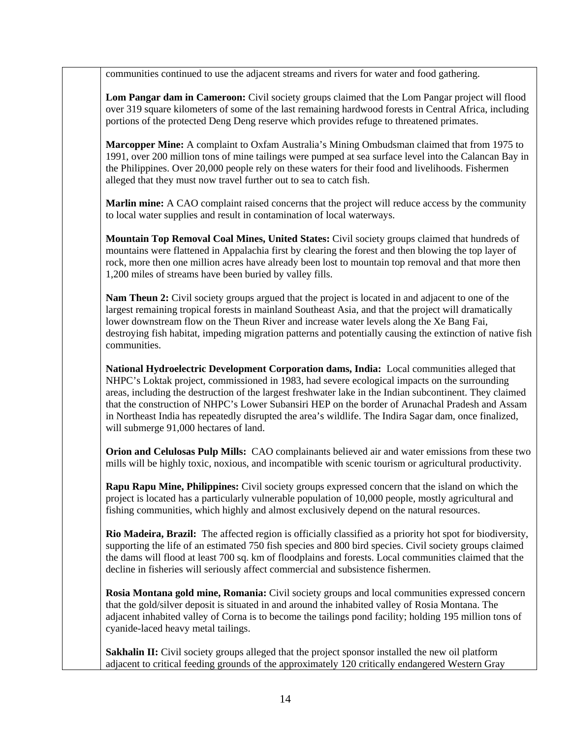communities continued to use the adjacent streams and rivers for water and food gathering.

Lom Pangar dam in Cameroon: Civil society groups claimed that the Lom Pangar project will flood over 319 square kilometers of some of the last remaining hardwood forests in Central Africa, including portions of the protected Deng Deng reserve which provides refuge to threatened primates.

**Marcopper Mine:** A complaint to Oxfam Australia's Mining Ombudsman claimed that from 1975 to 1991, over 200 million tons of mine tailings were pumped at sea surface level into the Calancan Bay in the Philippines. Over 20,000 people rely on these waters for their food and livelihoods. Fishermen alleged that they must now travel further out to sea to catch fish.

**Marlin mine:** A CAO complaint raised concerns that the project will reduce access by the community to local water supplies and result in contamination of local waterways.

**Mountain Top Removal Coal Mines, United States:** Civil society groups claimed that hundreds of mountains were flattened in Appalachia first by clearing the forest and then blowing the top layer of rock, more then one million acres have already been lost to mountain top removal and that more then 1,200 miles of streams have been buried by valley fills.

**Nam Theun 2:** Civil society groups argued that the project is located in and adjacent to one of the largest remaining tropical forests in mainland Southeast Asia, and that the project will dramatically lower downstream flow on the Theun River and increase water levels along the Xe Bang Fai, destroying fish habitat, impeding migration patterns and potentially causing the extinction of native fish communities.

**National Hydroelectric Development Corporation dams, India:** Local communities alleged that NHPC's Loktak project, commissioned in 1983, had severe ecological impacts on the surrounding areas, including the destruction of the largest freshwater lake in the Indian subcontinent. They claimed that the construction of NHPC's Lower Subansiri HEP on the border of Arunachal Pradesh and Assam in Northeast India has repeatedly disrupted the area's wildlife. The Indira Sagar dam, once finalized, will submerge 91,000 hectares of land.

**Orion and Celulosas Pulp Mills:** CAO complainants believed air and water emissions from these two mills will be highly toxic, noxious, and incompatible with scenic tourism or agricultural productivity.

**Rapu Rapu Mine, Philippines:** Civil society groups expressed concern that the island on which the project is located has a particularly vulnerable population of 10,000 people, mostly agricultural and fishing communities, which highly and almost exclusively depend on the natural resources.

**Rio Madeira, Brazil:** The affected region is officially classified as a priority hot spot for biodiversity, supporting the life of an estimated 750 fish species and 800 bird species. Civil society groups claimed the dams will flood at least 700 sq. km of floodplains and forests. Local communities claimed that the decline in fisheries will seriously affect commercial and subsistence fishermen.

**Rosia Montana gold mine, Romania:** Civil society groups and local communities expressed concern that the gold/silver deposit is situated in and around the inhabited valley of Rosia Montana. The adjacent inhabited valley of Corna is to become the tailings pond facility; holding 195 million tons of cyanide-laced heavy metal tailings.

**Sakhalin II:** Civil society groups alleged that the project sponsor installed the new oil platform adjacent to critical feeding grounds of the approximately 120 critically endangered Western Gray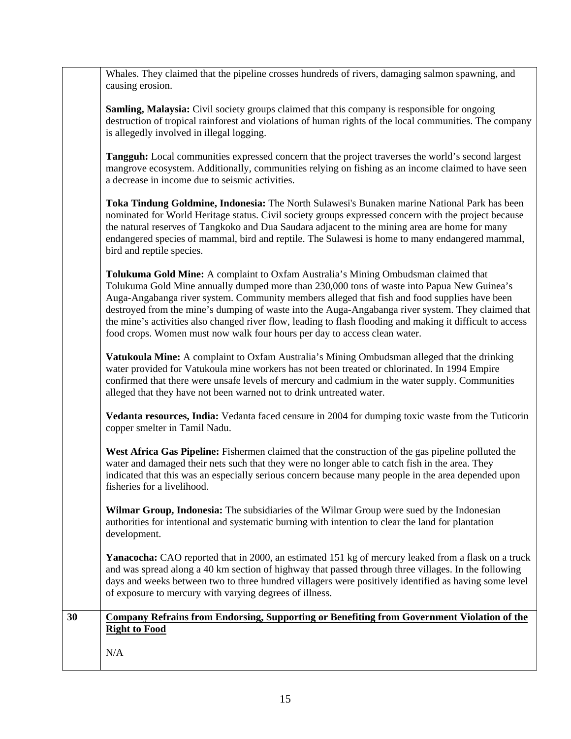|    | Whales. They claimed that the pipeline crosses hundreds of rivers, damaging salmon spawning, and<br>causing erosion.                                                                                                                                                                                                                                                                                                                                                                                                                                                              |
|----|-----------------------------------------------------------------------------------------------------------------------------------------------------------------------------------------------------------------------------------------------------------------------------------------------------------------------------------------------------------------------------------------------------------------------------------------------------------------------------------------------------------------------------------------------------------------------------------|
|    | <b>Samling, Malaysia:</b> Civil society groups claimed that this company is responsible for ongoing<br>destruction of tropical rainforest and violations of human rights of the local communities. The company<br>is allegedly involved in illegal logging.                                                                                                                                                                                                                                                                                                                       |
|    | Tangguh: Local communities expressed concern that the project traverses the world's second largest<br>mangrove ecosystem. Additionally, communities relying on fishing as an income claimed to have seen<br>a decrease in income due to seismic activities.                                                                                                                                                                                                                                                                                                                       |
|    | Toka Tindung Goldmine, Indonesia: The North Sulawesi's Bunaken marine National Park has been<br>nominated for World Heritage status. Civil society groups expressed concern with the project because<br>the natural reserves of Tangkoko and Dua Saudara adjacent to the mining area are home for many<br>endangered species of mammal, bird and reptile. The Sulawesi is home to many endangered mammal,<br>bird and reptile species.                                                                                                                                            |
|    | Tolukuma Gold Mine: A complaint to Oxfam Australia's Mining Ombudsman claimed that<br>Tolukuma Gold Mine annually dumped more than 230,000 tons of waste into Papua New Guinea's<br>Auga-Angabanga river system. Community members alleged that fish and food supplies have been<br>destroyed from the mine's dumping of waste into the Auga-Angabanga river system. They claimed that<br>the mine's activities also changed river flow, leading to flash flooding and making it difficult to access<br>food crops. Women must now walk four hours per day to access clean water. |
|    | Vatukoula Mine: A complaint to Oxfam Australia's Mining Ombudsman alleged that the drinking<br>water provided for Vatukoula mine workers has not been treated or chlorinated. In 1994 Empire<br>confirmed that there were unsafe levels of mercury and cadmium in the water supply. Communities<br>alleged that they have not been warned not to drink untreated water.                                                                                                                                                                                                           |
|    | Vedanta resources, India: Vedanta faced censure in 2004 for dumping toxic waste from the Tuticorin<br>copper smelter in Tamil Nadu.                                                                                                                                                                                                                                                                                                                                                                                                                                               |
|    | West Africa Gas Pipeline: Fishermen claimed that the construction of the gas pipeline polluted the<br>water and damaged their nets such that they were no longer able to catch fish in the area. They<br>indicated that this was an especially serious concern because many people in the area depended upon<br>fisheries for a livelihood.                                                                                                                                                                                                                                       |
|    | Wilmar Group, Indonesia: The subsidiaries of the Wilmar Group were sued by the Indonesian<br>authorities for intentional and systematic burning with intention to clear the land for plantation<br>development.                                                                                                                                                                                                                                                                                                                                                                   |
|    | Yanacocha: CAO reported that in 2000, an estimated 151 kg of mercury leaked from a flask on a truck<br>and was spread along a 40 km section of highway that passed through three villages. In the following<br>days and weeks between two to three hundred villagers were positively identified as having some level<br>of exposure to mercury with varying degrees of illness.                                                                                                                                                                                                   |
| 30 | <b>Company Refrains from Endorsing, Supporting or Benefiting from Government Violation of the</b><br><b>Right to Food</b>                                                                                                                                                                                                                                                                                                                                                                                                                                                         |
|    | N/A                                                                                                                                                                                                                                                                                                                                                                                                                                                                                                                                                                               |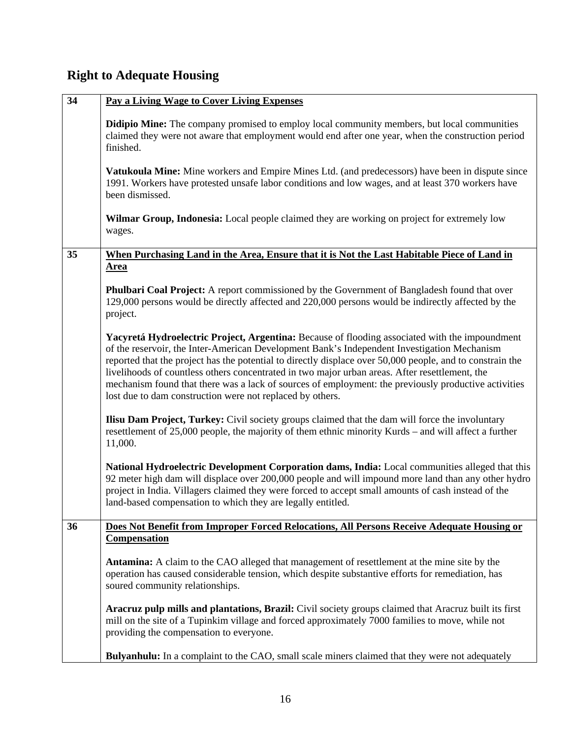## **Right to Adequate Housing**

| 34 | Pay a Living Wage to Cover Living Expenses                                                                                                                                                                                                                                                                                                                                                                                                                                                                                                                                        |
|----|-----------------------------------------------------------------------------------------------------------------------------------------------------------------------------------------------------------------------------------------------------------------------------------------------------------------------------------------------------------------------------------------------------------------------------------------------------------------------------------------------------------------------------------------------------------------------------------|
|    | <b>Didipio Mine:</b> The company promised to employ local community members, but local communities<br>claimed they were not aware that employment would end after one year, when the construction period<br>finished.                                                                                                                                                                                                                                                                                                                                                             |
|    | Vatukoula Mine: Mine workers and Empire Mines Ltd. (and predecessors) have been in dispute since<br>1991. Workers have protested unsafe labor conditions and low wages, and at least 370 workers have<br>been dismissed.                                                                                                                                                                                                                                                                                                                                                          |
|    | <b>Wilmar Group, Indonesia:</b> Local people claimed they are working on project for extremely low<br>wages.                                                                                                                                                                                                                                                                                                                                                                                                                                                                      |
| 35 | When Purchasing Land in the Area, Ensure that it is Not the Last Habitable Piece of Land in                                                                                                                                                                                                                                                                                                                                                                                                                                                                                       |
|    | <b>Area</b>                                                                                                                                                                                                                                                                                                                                                                                                                                                                                                                                                                       |
|    | <b>Phulbari Coal Project:</b> A report commissioned by the Government of Bangladesh found that over<br>129,000 persons would be directly affected and 220,000 persons would be indirectly affected by the<br>project.                                                                                                                                                                                                                                                                                                                                                             |
|    | Yacyretá Hydroelectric Project, Argentina: Because of flooding associated with the impoundment<br>of the reservoir, the Inter-American Development Bank's Independent Investigation Mechanism<br>reported that the project has the potential to directly displace over 50,000 people, and to constrain the<br>livelihoods of countless others concentrated in two major urban areas. After resettlement, the<br>mechanism found that there was a lack of sources of employment: the previously productive activities<br>lost due to dam construction were not replaced by others. |
|    | <b>Ilisu Dam Project, Turkey:</b> Civil society groups claimed that the dam will force the involuntary<br>resettlement of 25,000 people, the majority of them ethnic minority Kurds – and will affect a further<br>11,000.                                                                                                                                                                                                                                                                                                                                                        |
|    | National Hydroelectric Development Corporation dams, India: Local communities alleged that this<br>92 meter high dam will displace over 200,000 people and will impound more land than any other hydro<br>project in India. Villagers claimed they were forced to accept small amounts of cash instead of the<br>land-based compensation to which they are legally entitled.                                                                                                                                                                                                      |
| 36 | Does Not Benefit from Improper Forced Relocations, All Persons Receive Adequate Housing or<br><b>Compensation</b>                                                                                                                                                                                                                                                                                                                                                                                                                                                                 |
|    | <b>Antamina:</b> A claim to the CAO alleged that management of resettlement at the mine site by the<br>operation has caused considerable tension, which despite substantive efforts for remediation, has<br>soured community relationships.                                                                                                                                                                                                                                                                                                                                       |
|    | Aracruz pulp mills and plantations, Brazil: Civil society groups claimed that Aracruz built its first<br>mill on the site of a Tupinkim village and forced approximately 7000 families to move, while not<br>providing the compensation to everyone.                                                                                                                                                                                                                                                                                                                              |
|    | Bulyanhulu: In a complaint to the CAO, small scale miners claimed that they were not adequately                                                                                                                                                                                                                                                                                                                                                                                                                                                                                   |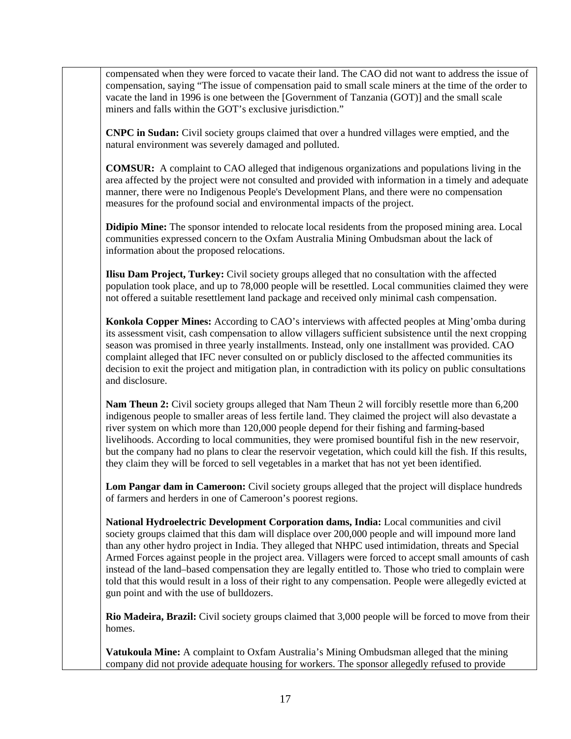compensated when they were forced to vacate their land. The CAO did not want to address the issue of compensation, saying "The issue of compensation paid to small scale miners at the time of the order to vacate the land in 1996 is one between the [Government of Tanzania (GOT)] and the small scale miners and falls within the GOT's exclusive jurisdiction."

**CNPC in Sudan:** Civil society groups claimed that over a hundred villages were emptied, and the natural environment was severely damaged and polluted.

**COMSUR:** A complaint to CAO alleged that indigenous organizations and populations living in the area affected by the project were not consulted and provided with information in a timely and adequate manner, there were no Indigenous People's Development Plans, and there were no compensation measures for the profound social and environmental impacts of the project.

**Didipio Mine:** The sponsor intended to relocate local residents from the proposed mining area. Local communities expressed concern to the Oxfam Australia Mining Ombudsman about the lack of information about the proposed relocations.

**Ilisu Dam Project, Turkey:** Civil society groups alleged that no consultation with the affected population took place, and up to 78,000 people will be resettled. Local communities claimed they were not offered a suitable resettlement land package and received only minimal cash compensation.

**Konkola Copper Mines:** According to CAO's interviews with affected peoples at Ming'omba during its assessment visit, cash compensation to allow villagers sufficient subsistence until the next cropping season was promised in three yearly installments. Instead, only one installment was provided. CAO complaint alleged that IFC never consulted on or publicly disclosed to the affected communities its decision to exit the project and mitigation plan, in contradiction with its policy on public consultations and disclosure.

**Nam Theun 2:** Civil society groups alleged that Nam Theun 2 will forcibly resettle more than 6,200 indigenous people to smaller areas of less fertile land. They claimed the project will also devastate a river system on which more than 120,000 people depend for their fishing and farming-based livelihoods. According to local communities, they were promised bountiful fish in the new reservoir, but the company had no plans to clear the reservoir vegetation, which could kill the fish. If this results, they claim they will be forced to sell vegetables in a market that has not yet been identified.

**Lom Pangar dam in Cameroon:** Civil society groups alleged that the project will displace hundreds of farmers and herders in one of Cameroon's poorest regions.

**National Hydroelectric Development Corporation dams, India:** Local communities and civil society groups claimed that this dam will displace over 200,000 people and will impound more land than any other hydro project in India. They alleged that NHPC used intimidation, threats and Special Armed Forces against people in the project area. Villagers were forced to accept small amounts of cash instead of the land–based compensation they are legally entitled to. Those who tried to complain were told that this would result in a loss of their right to any compensation. People were allegedly evicted at gun point and with the use of bulldozers.

**Rio Madeira, Brazil:** Civil society groups claimed that 3,000 people will be forced to move from their homes.

**Vatukoula Mine:** A complaint to Oxfam Australia's Mining Ombudsman alleged that the mining company did not provide adequate housing for workers. The sponsor allegedly refused to provide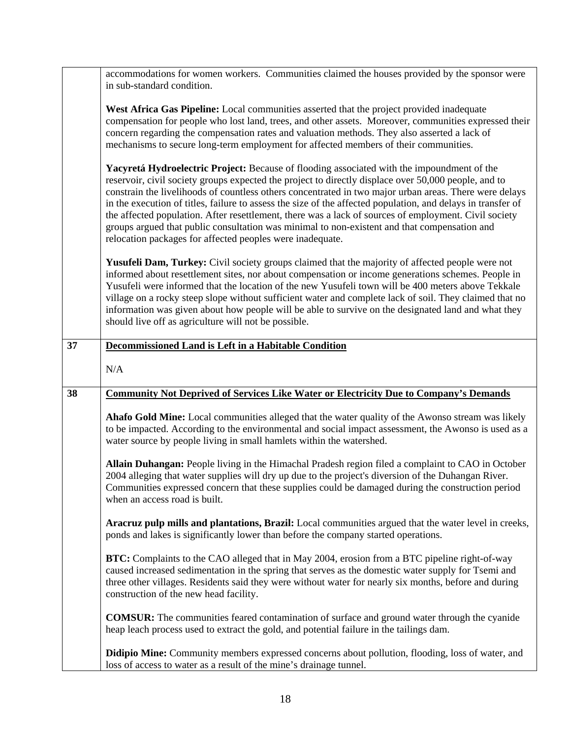|    | accommodations for women workers. Communities claimed the houses provided by the sponsor were<br>in sub-standard condition.                                                                                                                                                                                                                                                                                                                                                                                                                                                                                                                                                                        |
|----|----------------------------------------------------------------------------------------------------------------------------------------------------------------------------------------------------------------------------------------------------------------------------------------------------------------------------------------------------------------------------------------------------------------------------------------------------------------------------------------------------------------------------------------------------------------------------------------------------------------------------------------------------------------------------------------------------|
|    | West Africa Gas Pipeline: Local communities asserted that the project provided inadequate<br>compensation for people who lost land, trees, and other assets. Moreover, communities expressed their<br>concern regarding the compensation rates and valuation methods. They also asserted a lack of<br>mechanisms to secure long-term employment for affected members of their communities.                                                                                                                                                                                                                                                                                                         |
|    | Yacyretá Hydroelectric Project: Because of flooding associated with the impoundment of the<br>reservoir, civil society groups expected the project to directly displace over 50,000 people, and to<br>constrain the livelihoods of countless others concentrated in two major urban areas. There were delays<br>in the execution of titles, failure to assess the size of the affected population, and delays in transfer of<br>the affected population. After resettlement, there was a lack of sources of employment. Civil society<br>groups argued that public consultation was minimal to non-existent and that compensation and<br>relocation packages for affected peoples were inadequate. |
|    | Yusufeli Dam, Turkey: Civil society groups claimed that the majority of affected people were not<br>informed about resettlement sites, nor about compensation or income generations schemes. People in<br>Yusufeli were informed that the location of the new Yusufeli town will be 400 meters above Tekkale<br>village on a rocky steep slope without sufficient water and complete lack of soil. They claimed that no<br>information was given about how people will be able to survive on the designated land and what they<br>should live off as agriculture will not be possible.                                                                                                             |
| 37 | <b>Decommissioned Land is Left in a Habitable Condition</b>                                                                                                                                                                                                                                                                                                                                                                                                                                                                                                                                                                                                                                        |
|    | N/A                                                                                                                                                                                                                                                                                                                                                                                                                                                                                                                                                                                                                                                                                                |
| 38 | <b>Community Not Deprived of Services Like Water or Electricity Due to Company's Demands</b>                                                                                                                                                                                                                                                                                                                                                                                                                                                                                                                                                                                                       |
|    | Ahafo Gold Mine: Local communities alleged that the water quality of the Awonso stream was likely<br>to be impacted. According to the environmental and social impact assessment, the Awonso is used as a<br>water source by people living in small hamlets within the watershed.                                                                                                                                                                                                                                                                                                                                                                                                                  |
|    | Allain Duhangan: People living in the Himachal Pradesh region filed a complaint to CAO in October<br>2004 alleging that water supplies will dry up due to the project's diversion of the Duhangan River.<br>Communities expressed concern that these supplies could be damaged during the construction period<br>when an access road is built.                                                                                                                                                                                                                                                                                                                                                     |
|    | Aracruz pulp mills and plantations, Brazil: Local communities argued that the water level in creeks,<br>ponds and lakes is significantly lower than before the company started operations.                                                                                                                                                                                                                                                                                                                                                                                                                                                                                                         |
|    | BTC: Complaints to the CAO alleged that in May 2004, erosion from a BTC pipeline right-of-way<br>caused increased sedimentation in the spring that serves as the domestic water supply for Tsemi and<br>three other villages. Residents said they were without water for nearly six months, before and during<br>construction of the new head facility.                                                                                                                                                                                                                                                                                                                                            |
|    | <b>COMSUR:</b> The communities feared contamination of surface and ground water through the cyanide<br>heap leach process used to extract the gold, and potential failure in the tailings dam.                                                                                                                                                                                                                                                                                                                                                                                                                                                                                                     |
|    |                                                                                                                                                                                                                                                                                                                                                                                                                                                                                                                                                                                                                                                                                                    |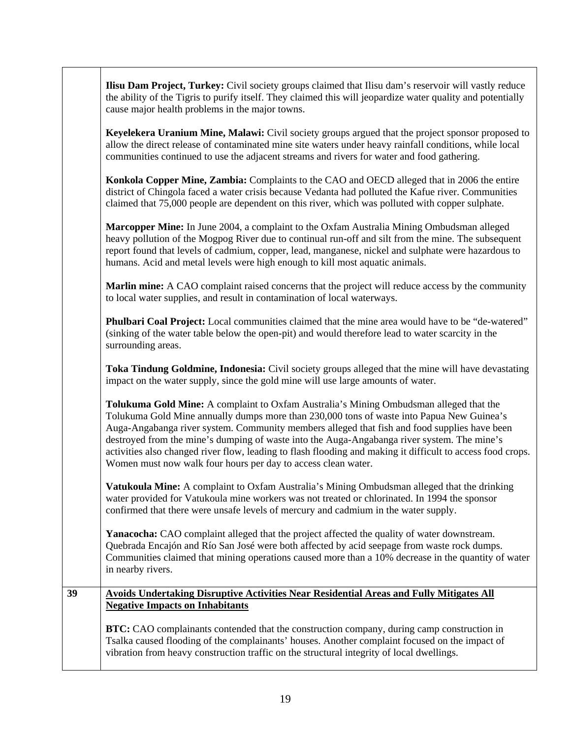|    | <b>Ilisu Dam Project, Turkey:</b> Civil society groups claimed that Ilisu dam's reservoir will vastly reduce<br>the ability of the Tigris to purify itself. They claimed this will jeopardize water quality and potentially<br>cause major health problems in the major towns.                                                                                                                                                                                                                                                                                     |
|----|--------------------------------------------------------------------------------------------------------------------------------------------------------------------------------------------------------------------------------------------------------------------------------------------------------------------------------------------------------------------------------------------------------------------------------------------------------------------------------------------------------------------------------------------------------------------|
|    | Keyelekera Uranium Mine, Malawi: Civil society groups argued that the project sponsor proposed to<br>allow the direct release of contaminated mine site waters under heavy rainfall conditions, while local<br>communities continued to use the adjacent streams and rivers for water and food gathering.                                                                                                                                                                                                                                                          |
|    | Konkola Copper Mine, Zambia: Complaints to the CAO and OECD alleged that in 2006 the entire<br>district of Chingola faced a water crisis because Vedanta had polluted the Kafue river. Communities<br>claimed that 75,000 people are dependent on this river, which was polluted with copper sulphate.                                                                                                                                                                                                                                                             |
|    | Marcopper Mine: In June 2004, a complaint to the Oxfam Australia Mining Ombudsman alleged<br>heavy pollution of the Mogpog River due to continual run-off and silt from the mine. The subsequent<br>report found that levels of cadmium, copper, lead, manganese, nickel and sulphate were hazardous to<br>humans. Acid and metal levels were high enough to kill most aquatic animals.                                                                                                                                                                            |
|    | Marlin mine: A CAO complaint raised concerns that the project will reduce access by the community<br>to local water supplies, and result in contamination of local waterways.                                                                                                                                                                                                                                                                                                                                                                                      |
|    | Phulbari Coal Project: Local communities claimed that the mine area would have to be "de-watered"<br>(sinking of the water table below the open-pit) and would therefore lead to water scarcity in the<br>surrounding areas.                                                                                                                                                                                                                                                                                                                                       |
|    | Toka Tindung Goldmine, Indonesia: Civil society groups alleged that the mine will have devastating<br>impact on the water supply, since the gold mine will use large amounts of water.                                                                                                                                                                                                                                                                                                                                                                             |
|    | Tolukuma Gold Mine: A complaint to Oxfam Australia's Mining Ombudsman alleged that the<br>Tolukuma Gold Mine annually dumps more than 230,000 tons of waste into Papua New Guinea's<br>Auga-Angabanga river system. Community members alleged that fish and food supplies have been<br>destroyed from the mine's dumping of waste into the Auga-Angabanga river system. The mine's<br>activities also changed river flow, leading to flash flooding and making it difficult to access food crops.<br>Women must now walk four hours per day to access clean water. |
|    | Vatukoula Mine: A complaint to Oxfam Australia's Mining Ombudsman alleged that the drinking<br>water provided for Vatukoula mine workers was not treated or chlorinated. In 1994 the sponsor<br>confirmed that there were unsafe levels of mercury and cadmium in the water supply.                                                                                                                                                                                                                                                                                |
|    | Yanacocha: CAO complaint alleged that the project affected the quality of water downstream.<br>Quebrada Encajón and Río San José were both affected by acid seepage from waste rock dumps.<br>Communities claimed that mining operations caused more than a 10% decrease in the quantity of water<br>in nearby rivers.                                                                                                                                                                                                                                             |
| 39 | Avoids Undertaking Disruptive Activities Near Residential Areas and Fully Mitigates All                                                                                                                                                                                                                                                                                                                                                                                                                                                                            |
|    | <b>Negative Impacts on Inhabitants</b>                                                                                                                                                                                                                                                                                                                                                                                                                                                                                                                             |
|    | BTC: CAO complainants contended that the construction company, during camp construction in<br>Tsalka caused flooding of the complainants' houses. Another complaint focused on the impact of<br>vibration from heavy construction traffic on the structural integrity of local dwellings.                                                                                                                                                                                                                                                                          |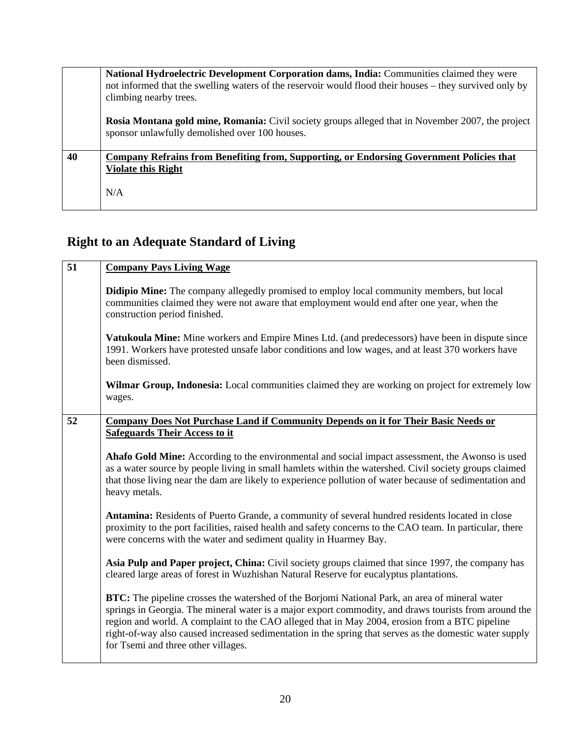|    | National Hydroelectric Development Corporation dams, India: Communities claimed they were<br>not informed that the swelling waters of the reservoir would flood their houses – they survived only by<br>climbing nearby trees. |
|----|--------------------------------------------------------------------------------------------------------------------------------------------------------------------------------------------------------------------------------|
|    | <b>Rosia Montana gold mine, Romania:</b> Civil society groups alleged that in November 2007, the project<br>sponsor unlawfully demolished over 100 houses.                                                                     |
| 40 | Company Refrains from Benefiting from, Supporting, or Endorsing Government Policies that<br><b>Violate this Right</b><br>N/A                                                                                                   |

# **Right to an Adequate Standard of Living**

| 51 | <b>Company Pays Living Wage</b>                                                                                                                                                                                                                                                                                                                                                                                                                                    |
|----|--------------------------------------------------------------------------------------------------------------------------------------------------------------------------------------------------------------------------------------------------------------------------------------------------------------------------------------------------------------------------------------------------------------------------------------------------------------------|
|    | <b>Didipio Mine:</b> The company allegedly promised to employ local community members, but local<br>communities claimed they were not aware that employment would end after one year, when the<br>construction period finished.                                                                                                                                                                                                                                    |
|    | Vatukoula Mine: Mine workers and Empire Mines Ltd. (and predecessors) have been in dispute since<br>1991. Workers have protested unsafe labor conditions and low wages, and at least 370 workers have<br>been dismissed.                                                                                                                                                                                                                                           |
|    | Wilmar Group, Indonesia: Local communities claimed they are working on project for extremely low<br>wages.                                                                                                                                                                                                                                                                                                                                                         |
| 52 | <b>Company Does Not Purchase Land if Community Depends on it for Their Basic Needs or</b>                                                                                                                                                                                                                                                                                                                                                                          |
|    | <b>Safeguards Their Access to it</b>                                                                                                                                                                                                                                                                                                                                                                                                                               |
|    | Ahafo Gold Mine: According to the environmental and social impact assessment, the Awonso is used<br>as a water source by people living in small hamlets within the watershed. Civil society groups claimed<br>that those living near the dam are likely to experience pollution of water because of sedimentation and<br>heavy metals.                                                                                                                             |
|    | Antamina: Residents of Puerto Grande, a community of several hundred residents located in close<br>proximity to the port facilities, raised health and safety concerns to the CAO team. In particular, there<br>were concerns with the water and sediment quality in Huarmey Bay.                                                                                                                                                                                  |
|    | Asia Pulp and Paper project, China: Civil society groups claimed that since 1997, the company has<br>cleared large areas of forest in Wuzhishan Natural Reserve for eucalyptus plantations.                                                                                                                                                                                                                                                                        |
|    | <b>BTC:</b> The pipeline crosses the watershed of the Borjomi National Park, an area of mineral water<br>springs in Georgia. The mineral water is a major export commodity, and draws tourists from around the<br>region and world. A complaint to the CAO alleged that in May 2004, erosion from a BTC pipeline<br>right-of-way also caused increased sedimentation in the spring that serves as the domestic water supply<br>for Tsemi and three other villages. |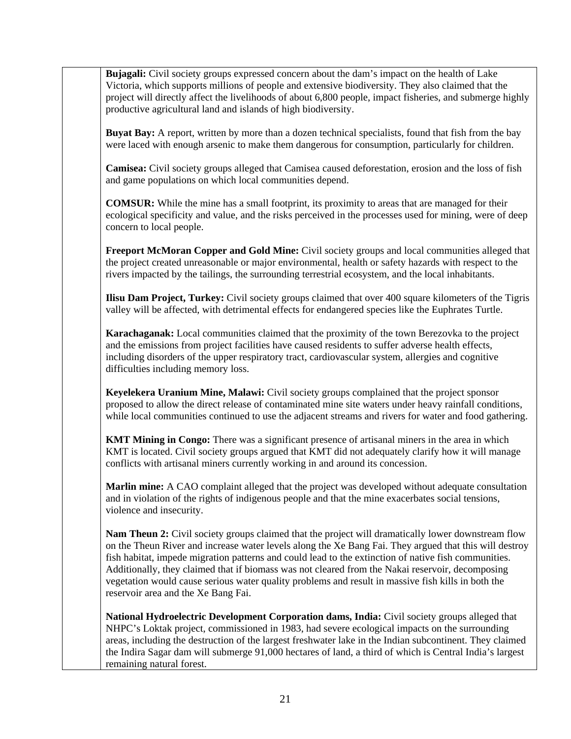**Bujagali:** Civil society groups expressed concern about the dam's impact on the health of Lake Victoria, which supports millions of people and extensive biodiversity. They also claimed that the project will directly affect the livelihoods of about 6,800 people, impact fisheries, and submerge highly productive agricultural land and islands of high biodiversity.

**Buyat Bay:** A report, written by more than a dozen technical specialists, found that fish from the bay were laced with enough arsenic to make them dangerous for consumption, particularly for children.

**Camisea:** Civil society groups alleged that Camisea caused deforestation, erosion and the loss of fish and game populations on which local communities depend.

**COMSUR:** While the mine has a small footprint, its proximity to areas that are managed for their ecological specificity and value, and the risks perceived in the processes used for mining, were of deep concern to local people.

**Freeport McMoran Copper and Gold Mine:** Civil society groups and local communities alleged that the project created unreasonable or major environmental, health or safety hazards with respect to the rivers impacted by the tailings, the surrounding terrestrial ecosystem, and the local inhabitants.

**Ilisu Dam Project, Turkey:** Civil society groups claimed that over 400 square kilometers of the Tigris valley will be affected, with detrimental effects for endangered species like the Euphrates Turtle.

**Karachaganak:** Local communities claimed that the proximity of the town Berezovka to the project and the emissions from project facilities have caused residents to suffer adverse health effects, including disorders of the upper respiratory tract, cardiovascular system, allergies and cognitive difficulties including memory loss.

**Keyelekera Uranium Mine, Malawi:** Civil society groups complained that the project sponsor proposed to allow the direct release of contaminated mine site waters under heavy rainfall conditions, while local communities continued to use the adjacent streams and rivers for water and food gathering.

**KMT Mining in Congo:** There was a significant presence of artisanal miners in the area in which KMT is located. Civil society groups argued that KMT did not adequately clarify how it will manage conflicts with artisanal miners currently working in and around its concession.

**Marlin mine:** A CAO complaint alleged that the project was developed without adequate consultation and in violation of the rights of indigenous people and that the mine exacerbates social tensions, violence and insecurity.

**Nam Theun 2:** Civil society groups claimed that the project will dramatically lower downstream flow on the Theun River and increase water levels along the Xe Bang Fai. They argued that this will destroy fish habitat, impede migration patterns and could lead to the extinction of native fish communities. Additionally, they claimed that if biomass was not cleared from the Nakai reservoir, decomposing vegetation would cause serious water quality problems and result in massive fish kills in both the reservoir area and the Xe Bang Fai.

**National Hydroelectric Development Corporation dams, India:** Civil society groups alleged that NHPC's Loktak project, commissioned in 1983, had severe ecological impacts on the surrounding areas, including the destruction of the largest freshwater lake in the Indian subcontinent. They claimed the Indira Sagar dam will submerge 91,000 hectares of land, a third of which is Central India's largest remaining natural forest.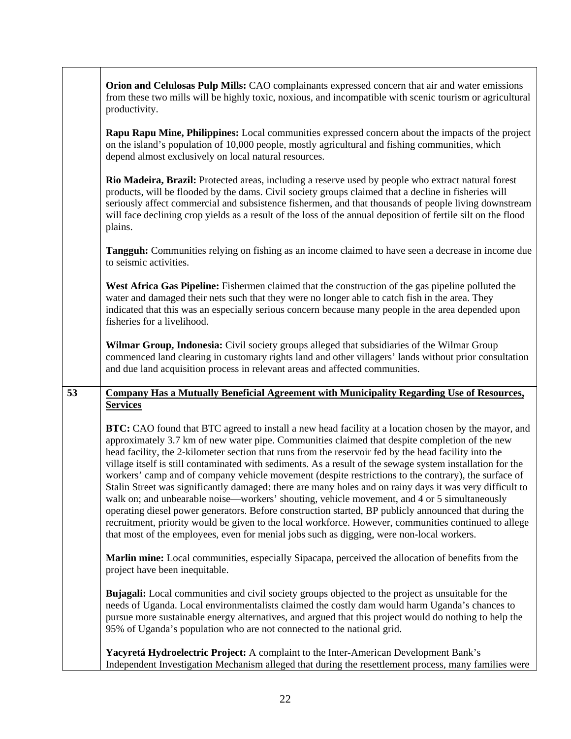|    | Orion and Celulosas Pulp Mills: CAO complainants expressed concern that air and water emissions<br>from these two mills will be highly toxic, noxious, and incompatible with scenic tourism or agricultural<br>productivity.                                                                                                                                                                                                                                                                                                                                                                                                                                                                                                                                                                                                                                                                                                                                                                                                                                            |
|----|-------------------------------------------------------------------------------------------------------------------------------------------------------------------------------------------------------------------------------------------------------------------------------------------------------------------------------------------------------------------------------------------------------------------------------------------------------------------------------------------------------------------------------------------------------------------------------------------------------------------------------------------------------------------------------------------------------------------------------------------------------------------------------------------------------------------------------------------------------------------------------------------------------------------------------------------------------------------------------------------------------------------------------------------------------------------------|
|    | Rapu Rapu Mine, Philippines: Local communities expressed concern about the impacts of the project<br>on the island's population of 10,000 people, mostly agricultural and fishing communities, which<br>depend almost exclusively on local natural resources.                                                                                                                                                                                                                                                                                                                                                                                                                                                                                                                                                                                                                                                                                                                                                                                                           |
|    | Rio Madeira, Brazil: Protected areas, including a reserve used by people who extract natural forest<br>products, will be flooded by the dams. Civil society groups claimed that a decline in fisheries will<br>seriously affect commercial and subsistence fishermen, and that thousands of people living downstream<br>will face declining crop yields as a result of the loss of the annual deposition of fertile silt on the flood<br>plains.                                                                                                                                                                                                                                                                                                                                                                                                                                                                                                                                                                                                                        |
|    | Tangguh: Communities relying on fishing as an income claimed to have seen a decrease in income due<br>to seismic activities.                                                                                                                                                                                                                                                                                                                                                                                                                                                                                                                                                                                                                                                                                                                                                                                                                                                                                                                                            |
|    | West Africa Gas Pipeline: Fishermen claimed that the construction of the gas pipeline polluted the<br>water and damaged their nets such that they were no longer able to catch fish in the area. They<br>indicated that this was an especially serious concern because many people in the area depended upon<br>fisheries for a livelihood.                                                                                                                                                                                                                                                                                                                                                                                                                                                                                                                                                                                                                                                                                                                             |
|    | Wilmar Group, Indonesia: Civil society groups alleged that subsidiaries of the Wilmar Group<br>commenced land clearing in customary rights land and other villagers' lands without prior consultation<br>and due land acquisition process in relevant areas and affected communities.                                                                                                                                                                                                                                                                                                                                                                                                                                                                                                                                                                                                                                                                                                                                                                                   |
| 53 | <b>Company Has a Mutually Beneficial Agreement with Municipality Regarding Use of Resources,</b>                                                                                                                                                                                                                                                                                                                                                                                                                                                                                                                                                                                                                                                                                                                                                                                                                                                                                                                                                                        |
|    | <b>Services</b>                                                                                                                                                                                                                                                                                                                                                                                                                                                                                                                                                                                                                                                                                                                                                                                                                                                                                                                                                                                                                                                         |
|    | <b>BTC:</b> CAO found that BTC agreed to install a new head facility at a location chosen by the mayor, and<br>approximately 3.7 km of new water pipe. Communities claimed that despite completion of the new<br>head facility, the 2-kilometer section that runs from the reservoir fed by the head facility into the<br>village itself is still contaminated with sediments. As a result of the sewage system installation for the<br>workers' camp and of company vehicle movement (despite restrictions to the contrary), the surface of<br>Stalin Street was significantly damaged: there are many holes and on rainy days it was very difficult to<br>walk on; and unbearable noise—workers' shouting, vehicle movement, and 4 or 5 simultaneously<br>operating diesel power generators. Before construction started, BP publicly announced that during the<br>recruitment, priority would be given to the local workforce. However, communities continued to allege<br>that most of the employees, even for menial jobs such as digging, were non-local workers. |
|    | Marlin mine: Local communities, especially Sipacapa, perceived the allocation of benefits from the<br>project have been inequitable.                                                                                                                                                                                                                                                                                                                                                                                                                                                                                                                                                                                                                                                                                                                                                                                                                                                                                                                                    |
|    | <b>Bujagali:</b> Local communities and civil society groups objected to the project as unsuitable for the<br>needs of Uganda. Local environmentalists claimed the costly dam would harm Uganda's chances to<br>pursue more sustainable energy alternatives, and argued that this project would do nothing to help the<br>95% of Uganda's population who are not connected to the national grid.                                                                                                                                                                                                                                                                                                                                                                                                                                                                                                                                                                                                                                                                         |
|    | Yacyretá Hydroelectric Project: A complaint to the Inter-American Development Bank's<br>Independent Investigation Mechanism alleged that during the resettlement process, many families were                                                                                                                                                                                                                                                                                                                                                                                                                                                                                                                                                                                                                                                                                                                                                                                                                                                                            |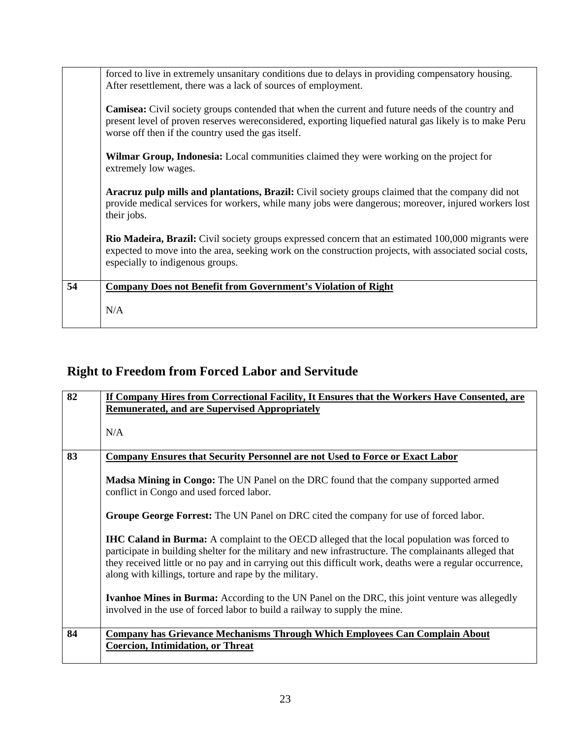|    | forced to live in extremely unsanitary conditions due to delays in providing compensatory housing.<br>After resettlement, there was a lack of sources of employment.                                                                                                       |
|----|----------------------------------------------------------------------------------------------------------------------------------------------------------------------------------------------------------------------------------------------------------------------------|
|    | <b>Camisea:</b> Civil society groups contended that when the current and future needs of the country and<br>present level of proven reserves were considered, exporting liquefied natural gas likely is to make Peru<br>worse off then if the country used the gas itself. |
|    | <b>Wilmar Group, Indonesia:</b> Local communities claimed they were working on the project for<br>extremely low wages.                                                                                                                                                     |
|    | <b>Aracruz pulp mills and plantations, Brazil:</b> Civil society groups claimed that the company did not<br>provide medical services for workers, while many jobs were dangerous; moreover, injured workers lost<br>their jobs.                                            |
|    | <b>Rio Madeira, Brazil:</b> Civil society groups expressed concern that an estimated 100,000 migrants were<br>expected to move into the area, seeking work on the construction projects, with associated social costs,<br>especially to indigenous groups.                 |
| 54 | <b>Company Does not Benefit from Government's Violation of Right</b>                                                                                                                                                                                                       |
|    | N/A                                                                                                                                                                                                                                                                        |

# **Right to Freedom from Forced Labor and Servitude**

| 82 | If Company Hires from Correctional Facility, It Ensures that the Workers Have Consented, are                                                                                                                                                                                                                                                                                         |
|----|--------------------------------------------------------------------------------------------------------------------------------------------------------------------------------------------------------------------------------------------------------------------------------------------------------------------------------------------------------------------------------------|
|    | <b>Remunerated, and are Supervised Appropriately</b>                                                                                                                                                                                                                                                                                                                                 |
|    |                                                                                                                                                                                                                                                                                                                                                                                      |
|    | N/A                                                                                                                                                                                                                                                                                                                                                                                  |
|    |                                                                                                                                                                                                                                                                                                                                                                                      |
| 83 | <b>Company Ensures that Security Personnel are not Used to Force or Exact Labor</b>                                                                                                                                                                                                                                                                                                  |
|    | <b>Madsa Mining in Congo:</b> The UN Panel on the DRC found that the company supported armed<br>conflict in Congo and used forced labor.                                                                                                                                                                                                                                             |
|    | Groupe George Forrest: The UN Panel on DRC cited the company for use of forced labor.                                                                                                                                                                                                                                                                                                |
|    | <b>IHC Caland in Burma:</b> A complaint to the OECD alleged that the local population was forced to<br>participate in building shelter for the military and new infrastructure. The complainants alleged that<br>they received little or no pay and in carrying out this difficult work, deaths were a regular occurrence,<br>along with killings, torture and rape by the military. |
|    | <b>Ivanhoe Mines in Burma:</b> According to the UN Panel on the DRC, this joint venture was allegedly<br>involved in the use of forced labor to build a railway to supply the mine.                                                                                                                                                                                                  |
| 84 | <b>Company has Grievance Mechanisms Through Which Employees Can Complain About</b>                                                                                                                                                                                                                                                                                                   |
|    | <b>Coercion, Intimidation, or Threat</b>                                                                                                                                                                                                                                                                                                                                             |
|    |                                                                                                                                                                                                                                                                                                                                                                                      |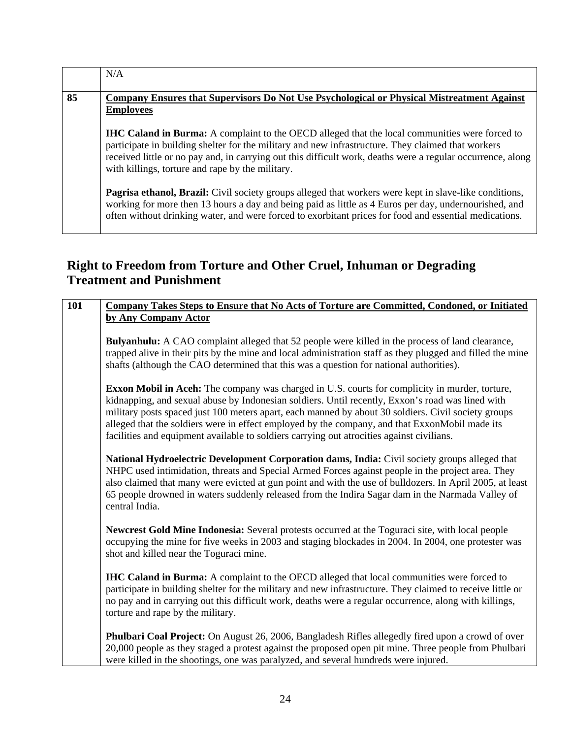|    | N/A                                                                                                                                                                                                                                                                                                                                                                            |
|----|--------------------------------------------------------------------------------------------------------------------------------------------------------------------------------------------------------------------------------------------------------------------------------------------------------------------------------------------------------------------------------|
| 85 | Company Ensures that Supervisors Do Not Use Psychological or Physical Mistreatment Against<br><b>Employees</b>                                                                                                                                                                                                                                                                 |
|    | <b>IHC Caland in Burma:</b> A complaint to the OECD alleged that the local communities were forced to<br>participate in building shelter for the military and new infrastructure. They claimed that workers<br>received little or no pay and, in carrying out this difficult work, deaths were a regular occurrence, along<br>with killings, torture and rape by the military. |
|    | Pagrisa ethanol, Brazil: Civil society groups alleged that workers were kept in slave-like conditions,<br>working for more then 13 hours a day and being paid as little as 4 Euros per day, undernourished, and<br>often without drinking water, and were forced to exorbitant prices for food and essential medications.                                                      |

### **Right to Freedom from Torture and Other Cruel, Inhuman or Degrading Treatment and Punishment**

| 101 | Company Takes Steps to Ensure that No Acts of Torture are Committed, Condoned, or Initiated                                                                                                                                                                                                                                                                                                                                                                                                                     |
|-----|-----------------------------------------------------------------------------------------------------------------------------------------------------------------------------------------------------------------------------------------------------------------------------------------------------------------------------------------------------------------------------------------------------------------------------------------------------------------------------------------------------------------|
|     | by Any Company Actor                                                                                                                                                                                                                                                                                                                                                                                                                                                                                            |
|     | <b>Bulyanhulu:</b> A CAO complaint alleged that 52 people were killed in the process of land clearance,<br>trapped alive in their pits by the mine and local administration staff as they plugged and filled the mine<br>shafts (although the CAO determined that this was a question for national authorities).                                                                                                                                                                                                |
|     | <b>Exxon Mobil in Aceh:</b> The company was charged in U.S. courts for complicity in murder, torture,<br>kidnapping, and sexual abuse by Indonesian soldiers. Until recently, Exxon's road was lined with<br>military posts spaced just 100 meters apart, each manned by about 30 soldiers. Civil society groups<br>alleged that the soldiers were in effect employed by the company, and that ExxonMobil made its<br>facilities and equipment available to soldiers carrying out atrocities against civilians. |
|     | National Hydroelectric Development Corporation dams, India: Civil society groups alleged that<br>NHPC used intimidation, threats and Special Armed Forces against people in the project area. They<br>also claimed that many were evicted at gun point and with the use of bulldozers. In April 2005, at least<br>65 people drowned in waters suddenly released from the Indira Sagar dam in the Narmada Valley of<br>central India.                                                                            |
|     | <b>Newcrest Gold Mine Indonesia:</b> Several protests occurred at the Toguraci site, with local people<br>occupying the mine for five weeks in 2003 and staging blockades in 2004. In 2004, one protester was<br>shot and killed near the Toguraci mine.                                                                                                                                                                                                                                                        |
|     | IHC Caland in Burma: A complaint to the OECD alleged that local communities were forced to<br>participate in building shelter for the military and new infrastructure. They claimed to receive little or<br>no pay and in carrying out this difficult work, deaths were a regular occurrence, along with killings,<br>torture and rape by the military.                                                                                                                                                         |
|     | <b>Phulbari Coal Project:</b> On August 26, 2006, Bangladesh Rifles allegedly fired upon a crowd of over<br>20,000 people as they staged a protest against the proposed open pit mine. Three people from Phulbari<br>were killed in the shootings, one was paralyzed, and several hundreds were injured.                                                                                                                                                                                                        |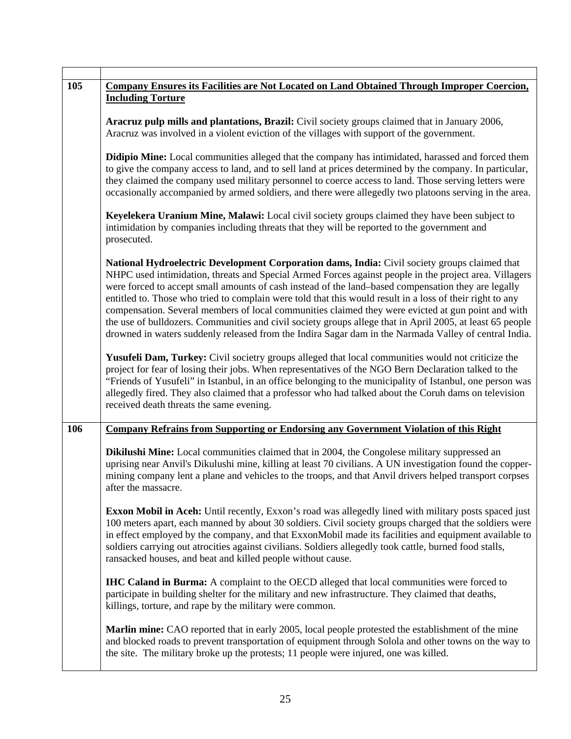| 105 | <b>Company Ensures its Facilities are Not Located on Land Obtained Through Improper Coercion,</b><br><b>Including Torture</b>                                                                                                                                                                                                                                                                                                                                                                                                                                                                                                                                                                                                                           |
|-----|---------------------------------------------------------------------------------------------------------------------------------------------------------------------------------------------------------------------------------------------------------------------------------------------------------------------------------------------------------------------------------------------------------------------------------------------------------------------------------------------------------------------------------------------------------------------------------------------------------------------------------------------------------------------------------------------------------------------------------------------------------|
|     | Aracruz pulp mills and plantations, Brazil: Civil society groups claimed that in January 2006,<br>Aracruz was involved in a violent eviction of the villages with support of the government.                                                                                                                                                                                                                                                                                                                                                                                                                                                                                                                                                            |
|     | Didipio Mine: Local communities alleged that the company has intimidated, harassed and forced them<br>to give the company access to land, and to sell land at prices determined by the company. In particular,<br>they claimed the company used military personnel to coerce access to land. Those serving letters were<br>occasionally accompanied by armed soldiers, and there were allegedly two platoons serving in the area.                                                                                                                                                                                                                                                                                                                       |
|     | Keyelekera Uranium Mine, Malawi: Local civil society groups claimed they have been subject to<br>intimidation by companies including threats that they will be reported to the government and<br>prosecuted.                                                                                                                                                                                                                                                                                                                                                                                                                                                                                                                                            |
|     | National Hydroelectric Development Corporation dams, India: Civil society groups claimed that<br>NHPC used intimidation, threats and Special Armed Forces against people in the project area. Villagers<br>were forced to accept small amounts of cash instead of the land-based compensation they are legally<br>entitled to. Those who tried to complain were told that this would result in a loss of their right to any<br>compensation. Several members of local communities claimed they were evicted at gun point and with<br>the use of bulldozers. Communities and civil society groups allege that in April 2005, at least 65 people<br>drowned in waters suddenly released from the Indira Sagar dam in the Narmada Valley of central India. |
|     | Yusufeli Dam, Turkey: Civil societry groups alleged that local communities would not criticize the<br>project for fear of losing their jobs. When representatives of the NGO Bern Declaration talked to the<br>"Friends of Yusufeli" in Istanbul, in an office belonging to the municipality of Istanbul, one person was<br>allegedly fired. They also claimed that a professor who had talked about the Coruh dams on television<br>received death threats the same evening.                                                                                                                                                                                                                                                                           |
| 106 | Company Refrains from Supporting or Endorsing any Government Violation of this Right                                                                                                                                                                                                                                                                                                                                                                                                                                                                                                                                                                                                                                                                    |
|     | <b>Dikilushi Mine:</b> Local communities claimed that in 2004, the Congolese military suppressed an<br>uprising near Anvil's Dikulushi mine, killing at least 70 civilians. A UN investigation found the copper-<br>mining company lent a plane and vehicles to the troops, and that Anvil drivers helped transport corpses<br>after the massacre.                                                                                                                                                                                                                                                                                                                                                                                                      |
|     | <b>Exxon Mobil in Aceh:</b> Until recently, Exxon's road was allegedly lined with military posts spaced just<br>100 meters apart, each manned by about 30 soldiers. Civil society groups charged that the soldiers were<br>in effect employed by the company, and that ExxonMobil made its facilities and equipment available to<br>soldiers carrying out atrocities against civilians. Soldiers allegedly took cattle, burned food stalls,<br>ransacked houses, and beat and killed people without cause.                                                                                                                                                                                                                                              |
|     | <b>IHC Caland in Burma:</b> A complaint to the OECD alleged that local communities were forced to<br>participate in building shelter for the military and new infrastructure. They claimed that deaths,<br>killings, torture, and rape by the military were common.                                                                                                                                                                                                                                                                                                                                                                                                                                                                                     |
|     | <b>Marlin mine:</b> CAO reported that in early 2005, local people protested the establishment of the mine<br>and blocked roads to prevent transportation of equipment through Solola and other towns on the way to<br>the site. The military broke up the protests; 11 people were injured, one was killed.                                                                                                                                                                                                                                                                                                                                                                                                                                             |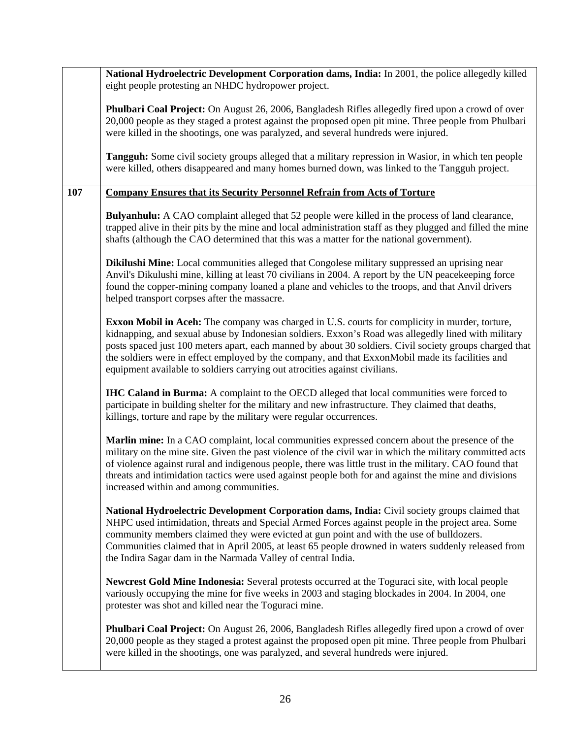|     | National Hydroelectric Development Corporation dams, India: In 2001, the police allegedly killed<br>eight people protesting an NHDC hydropower project.                                                                                                                                                                                                                                                                                                                                                   |
|-----|-----------------------------------------------------------------------------------------------------------------------------------------------------------------------------------------------------------------------------------------------------------------------------------------------------------------------------------------------------------------------------------------------------------------------------------------------------------------------------------------------------------|
|     | Phulbari Coal Project: On August 26, 2006, Bangladesh Rifles allegedly fired upon a crowd of over<br>20,000 people as they staged a protest against the proposed open pit mine. Three people from Phulbari<br>were killed in the shootings, one was paralyzed, and several hundreds were injured.                                                                                                                                                                                                         |
|     | Tangguh: Some civil society groups alleged that a military repression in Wasior, in which ten people<br>were killed, others disappeared and many homes burned down, was linked to the Tangguh project.                                                                                                                                                                                                                                                                                                    |
| 107 | <b>Company Ensures that its Security Personnel Refrain from Acts of Torture</b>                                                                                                                                                                                                                                                                                                                                                                                                                           |
|     | <b>Bulyanhulu:</b> A CAO complaint alleged that 52 people were killed in the process of land clearance,<br>trapped alive in their pits by the mine and local administration staff as they plugged and filled the mine<br>shafts (although the CAO determined that this was a matter for the national government).                                                                                                                                                                                         |
|     | Dikilushi Mine: Local communities alleged that Congolese military suppressed an uprising near<br>Anvil's Dikulushi mine, killing at least 70 civilians in 2004. A report by the UN peacekeeping force<br>found the copper-mining company loaned a plane and vehicles to the troops, and that Anvil drivers<br>helped transport corpses after the massacre.                                                                                                                                                |
|     | <b>Exxon Mobil in Aceh:</b> The company was charged in U.S. courts for complicity in murder, torture,<br>kidnapping, and sexual abuse by Indonesian soldiers. Exxon's Road was allegedly lined with military<br>posts spaced just 100 meters apart, each manned by about 30 soldiers. Civil society groups charged that<br>the soldiers were in effect employed by the company, and that ExxonMobil made its facilities and<br>equipment available to soldiers carrying out atrocities against civilians. |
|     | <b>IHC Caland in Burma:</b> A complaint to the OECD alleged that local communities were forced to<br>participate in building shelter for the military and new infrastructure. They claimed that deaths,<br>killings, torture and rape by the military were regular occurrences.                                                                                                                                                                                                                           |
|     | Marlin mine: In a CAO complaint, local communities expressed concern about the presence of the<br>military on the mine site. Given the past violence of the civil war in which the military committed acts<br>of violence against rural and indigenous people, there was little trust in the military. CAO found that<br>threats and intimidation tactics were used against people both for and against the mine and divisions<br>increased within and among communities.                                 |
|     | National Hydroelectric Development Corporation dams, India: Civil society groups claimed that<br>NHPC used intimidation, threats and Special Armed Forces against people in the project area. Some<br>community members claimed they were evicted at gun point and with the use of bulldozers.<br>Communities claimed that in April 2005, at least 65 people drowned in waters suddenly released from<br>the Indira Sagar dam in the Narmada Valley of central India.                                     |
|     | <b>Newcrest Gold Mine Indonesia:</b> Several protests occurred at the Toguraci site, with local people<br>variously occupying the mine for five weeks in 2003 and staging blockades in 2004. In 2004, one<br>protester was shot and killed near the Toguraci mine.                                                                                                                                                                                                                                        |
|     | Phulbari Coal Project: On August 26, 2006, Bangladesh Rifles allegedly fired upon a crowd of over<br>20,000 people as they staged a protest against the proposed open pit mine. Three people from Phulbari<br>were killed in the shootings, one was paralyzed, and several hundreds were injured.                                                                                                                                                                                                         |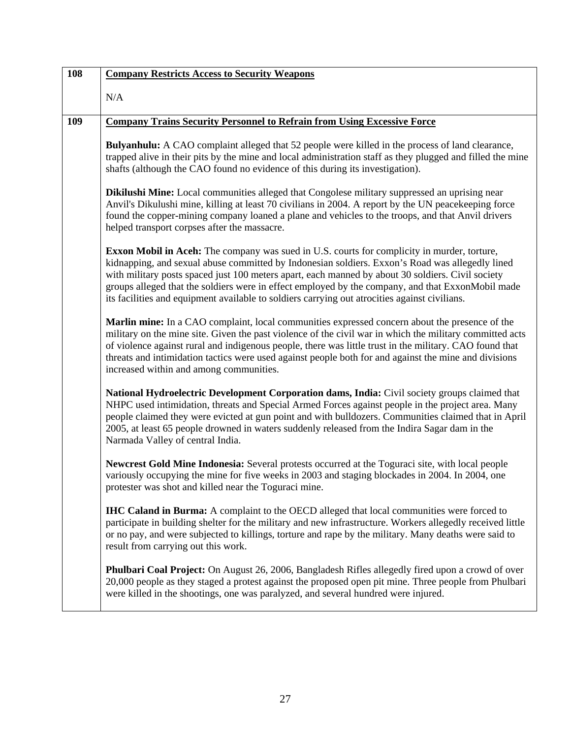| 108 | <b>Company Restricts Access to Security Weapons</b>                                                                                                                                                                                                                                                                                                                                                                                                                                                              |
|-----|------------------------------------------------------------------------------------------------------------------------------------------------------------------------------------------------------------------------------------------------------------------------------------------------------------------------------------------------------------------------------------------------------------------------------------------------------------------------------------------------------------------|
|     | N/A                                                                                                                                                                                                                                                                                                                                                                                                                                                                                                              |
| 109 | <b>Company Trains Security Personnel to Refrain from Using Excessive Force</b>                                                                                                                                                                                                                                                                                                                                                                                                                                   |
|     | <b>Bulyanhulu:</b> A CAO complaint alleged that 52 people were killed in the process of land clearance,<br>trapped alive in their pits by the mine and local administration staff as they plugged and filled the mine<br>shafts (although the CAO found no evidence of this during its investigation).                                                                                                                                                                                                           |
|     | Dikilushi Mine: Local communities alleged that Congolese military suppressed an uprising near<br>Anvil's Dikulushi mine, killing at least 70 civilians in 2004. A report by the UN peacekeeping force<br>found the copper-mining company loaned a plane and vehicles to the troops, and that Anvil drivers<br>helped transport corpses after the massacre.                                                                                                                                                       |
|     | <b>Exxon Mobil in Aceh:</b> The company was sued in U.S. courts for complicity in murder, torture,<br>kidnapping, and sexual abuse committed by Indonesian soldiers. Exxon's Road was allegedly lined<br>with military posts spaced just 100 meters apart, each manned by about 30 soldiers. Civil society<br>groups alleged that the soldiers were in effect employed by the company, and that ExxonMobil made<br>its facilities and equipment available to soldiers carrying out atrocities against civilians. |
|     | Marlin mine: In a CAO complaint, local communities expressed concern about the presence of the<br>military on the mine site. Given the past violence of the civil war in which the military committed acts<br>of violence against rural and indigenous people, there was little trust in the military. CAO found that<br>threats and intimidation tactics were used against people both for and against the mine and divisions<br>increased within and among communities.                                        |
|     | National Hydroelectric Development Corporation dams, India: Civil society groups claimed that<br>NHPC used intimidation, threats and Special Armed Forces against people in the project area. Many<br>people claimed they were evicted at gun point and with bulldozers. Communities claimed that in April<br>2005, at least 65 people drowned in waters suddenly released from the Indira Sagar dam in the<br>Narmada Valley of central India.                                                                  |
|     | Newcrest Gold Mine Indonesia: Several protests occurred at the Toguraci site, with local people<br>variously occupying the mine for five weeks in 2003 and staging blockades in 2004. In 2004, one<br>protester was shot and killed near the Toguraci mine.                                                                                                                                                                                                                                                      |
|     | <b>IHC Caland in Burma:</b> A complaint to the OECD alleged that local communities were forced to<br>participate in building shelter for the military and new infrastructure. Workers allegedly received little<br>or no pay, and were subjected to killings, torture and rape by the military. Many deaths were said to<br>result from carrying out this work.                                                                                                                                                  |
|     | <b>Phulbari Coal Project:</b> On August 26, 2006, Bangladesh Rifles allegedly fired upon a crowd of over<br>20,000 people as they staged a protest against the proposed open pit mine. Three people from Phulbari<br>were killed in the shootings, one was paralyzed, and several hundred were injured.                                                                                                                                                                                                          |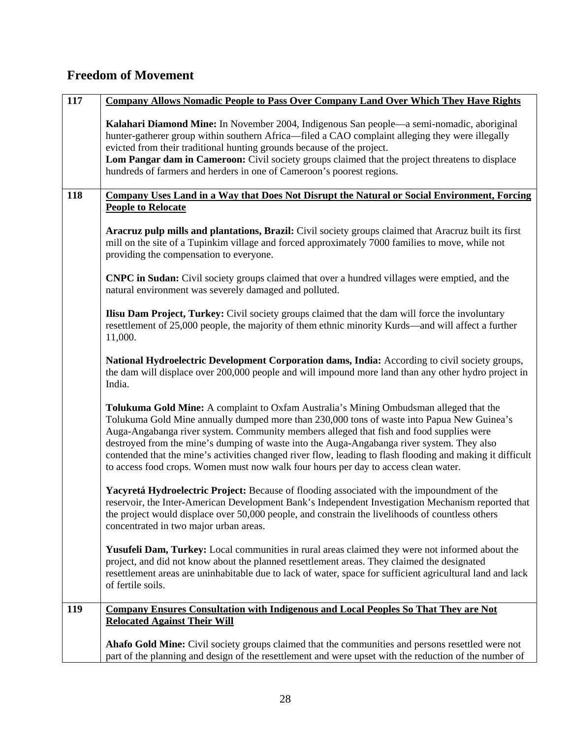### **Freedom of Movement**

| 117 | <b>Company Allows Nomadic People to Pass Over Company Land Over Which They Have Rights</b>                                                                                                                                                                                                                                                                                                                                                                                                                                                                                         |
|-----|------------------------------------------------------------------------------------------------------------------------------------------------------------------------------------------------------------------------------------------------------------------------------------------------------------------------------------------------------------------------------------------------------------------------------------------------------------------------------------------------------------------------------------------------------------------------------------|
|     | Kalahari Diamond Mine: In November 2004, Indigenous San people—a semi-nomadic, aboriginal<br>hunter-gatherer group within southern Africa—filed a CAO complaint alleging they were illegally<br>evicted from their traditional hunting grounds because of the project.<br>Lom Pangar dam in Cameroon: Civil society groups claimed that the project threatens to displace<br>hundreds of farmers and herders in one of Cameroon's poorest regions.                                                                                                                                 |
| 118 | Company Uses Land in a Way that Does Not Disrupt the Natural or Social Environment, Forcing                                                                                                                                                                                                                                                                                                                                                                                                                                                                                        |
|     | <b>People to Relocate</b>                                                                                                                                                                                                                                                                                                                                                                                                                                                                                                                                                          |
|     | Aracruz pulp mills and plantations, Brazil: Civil society groups claimed that Aracruz built its first<br>mill on the site of a Tupinkim village and forced approximately 7000 families to move, while not<br>providing the compensation to everyone.                                                                                                                                                                                                                                                                                                                               |
|     | <b>CNPC in Sudan:</b> Civil society groups claimed that over a hundred villages were emptied, and the<br>natural environment was severely damaged and polluted.                                                                                                                                                                                                                                                                                                                                                                                                                    |
|     | <b>Ilisu Dam Project, Turkey:</b> Civil society groups claimed that the dam will force the involuntary<br>resettlement of 25,000 people, the majority of them ethnic minority Kurds—and will affect a further<br>11,000.                                                                                                                                                                                                                                                                                                                                                           |
|     | National Hydroelectric Development Corporation dams, India: According to civil society groups,<br>the dam will displace over 200,000 people and will impound more land than any other hydro project in<br>India.                                                                                                                                                                                                                                                                                                                                                                   |
|     | Tolukuma Gold Mine: A complaint to Oxfam Australia's Mining Ombudsman alleged that the<br>Tolukuma Gold Mine annually dumped more than 230,000 tons of waste into Papua New Guinea's<br>Auga-Angabanga river system. Community members alleged that fish and food supplies were<br>destroyed from the mine's dumping of waste into the Auga-Angabanga river system. They also<br>contended that the mine's activities changed river flow, leading to flash flooding and making it difficult<br>to access food crops. Women must now walk four hours per day to access clean water. |
|     | Yacyretá Hydroelectric Project: Because of flooding associated with the impoundment of the<br>reservoir, the Inter-American Development Bank's Independent Investigation Mechanism reported that<br>the project would displace over 50,000 people, and constrain the livelihoods of countless others<br>concentrated in two major urban areas.                                                                                                                                                                                                                                     |
|     | Yusufeli Dam, Turkey: Local communities in rural areas claimed they were not informed about the<br>project, and did not know about the planned resettlement areas. They claimed the designated<br>resettlement areas are uninhabitable due to lack of water, space for sufficient agricultural land and lack<br>of fertile soils.                                                                                                                                                                                                                                                  |
| 119 | <b>Company Ensures Consultation with Indigenous and Local Peoples So That They are Not</b>                                                                                                                                                                                                                                                                                                                                                                                                                                                                                         |
|     | <b>Relocated Against Their Will</b>                                                                                                                                                                                                                                                                                                                                                                                                                                                                                                                                                |
|     | <b>Ahafo Gold Mine:</b> Civil society groups claimed that the communities and persons resettled were not<br>part of the planning and design of the resettlement and were upset with the reduction of the number of                                                                                                                                                                                                                                                                                                                                                                 |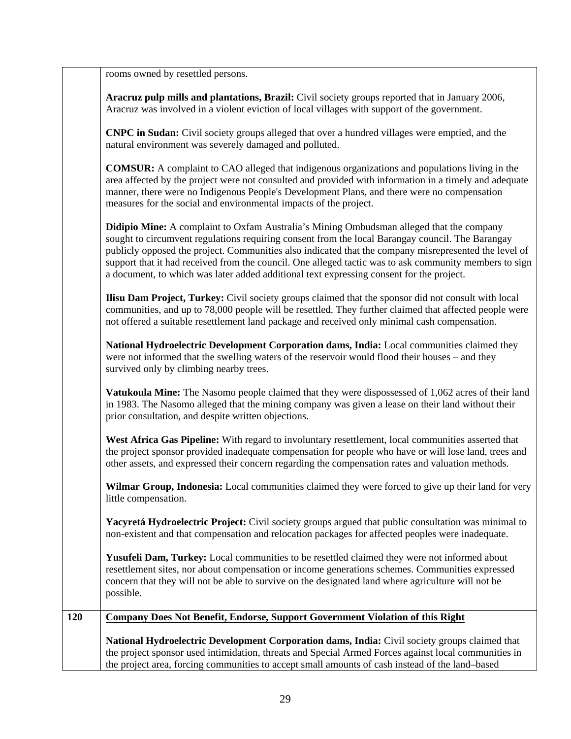rooms owned by resettled persons.

**Aracruz pulp mills and plantations, Brazil:** Civil society groups reported that in January 2006, Aracruz was involved in a violent eviction of local villages with support of the government.

**CNPC in Sudan:** Civil society groups alleged that over a hundred villages were emptied, and the natural environment was severely damaged and polluted.

**COMSUR:** A complaint to CAO alleged that indigenous organizations and populations living in the area affected by the project were not consulted and provided with information in a timely and adequate manner, there were no Indigenous People's Development Plans, and there were no compensation measures for the social and environmental impacts of the project.

**Didipio Mine:** A complaint to Oxfam Australia's Mining Ombudsman alleged that the company sought to circumvent regulations requiring consent from the local Barangay council. The Barangay publicly opposed the project. Communities also indicated that the company misrepresented the level of support that it had received from the council. One alleged tactic was to ask community members to sign a document, to which was later added additional text expressing consent for the project.

**Ilisu Dam Project, Turkey:** Civil society groups claimed that the sponsor did not consult with local communities, and up to 78,000 people will be resettled. They further claimed that affected people were not offered a suitable resettlement land package and received only minimal cash compensation.

**National Hydroelectric Development Corporation dams, India:** Local communities claimed they were not informed that the swelling waters of the reservoir would flood their houses – and they survived only by climbing nearby trees.

**Vatukoula Mine:** The Nasomo people claimed that they were dispossessed of 1,062 acres of their land in 1983. The Nasomo alleged that the mining company was given a lease on their land without their prior consultation, and despite written objections.

**West Africa Gas Pipeline:** With regard to involuntary resettlement, local communities asserted that the project sponsor provided inadequate compensation for people who have or will lose land, trees and other assets, and expressed their concern regarding the compensation rates and valuation methods.

**Wilmar Group, Indonesia:** Local communities claimed they were forced to give up their land for very little compensation.

**Yacyretá Hydroelectric Project:** Civil society groups argued that public consultation was minimal to non-existent and that compensation and relocation packages for affected peoples were inadequate.

Yusufeli Dam, Turkey: Local communities to be resettled claimed they were not informed about resettlement sites, nor about compensation or income generations schemes. Communities expressed concern that they will not be able to survive on the designated land where agriculture will not be possible.

| 120 | Company Does Not Benefit, Endorse, Support Government Violation of this Right                        |
|-----|------------------------------------------------------------------------------------------------------|
|     | National Hydroelectric Development Corporation dams, India: Civil society groups claimed that        |
|     | the project sponsor used intimidation, threats and Special Armed Forces against local communities in |
|     | the project area, forcing communities to accept small amounts of cash instead of the land-based      |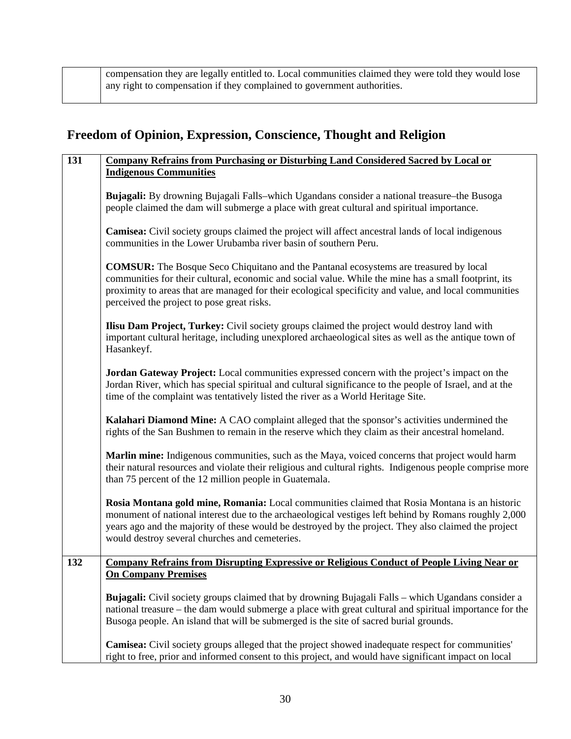| compensation they are legally entitled to. Local communities claimed they were told they would lose |
|-----------------------------------------------------------------------------------------------------|
| any right to compensation if they complained to government authorities.                             |

# **Freedom of Opinion, Expression, Conscience, Thought and Religion**

| 131 | <b>Company Refrains from Purchasing or Disturbing Land Considered Sacred by Local or</b><br><b>Indigenous Communities</b>                                                                                                                                                                                                                                       |
|-----|-----------------------------------------------------------------------------------------------------------------------------------------------------------------------------------------------------------------------------------------------------------------------------------------------------------------------------------------------------------------|
|     | <b>Bujagali:</b> By drowning Bujagali Falls–which Ugandans consider a national treasure–the Busoga<br>people claimed the dam will submerge a place with great cultural and spiritual importance.                                                                                                                                                                |
|     | <b>Camisea:</b> Civil society groups claimed the project will affect ancestral lands of local indigenous<br>communities in the Lower Urubamba river basin of southern Peru.                                                                                                                                                                                     |
|     | <b>COMSUR:</b> The Bosque Seco Chiquitano and the Pantanal ecosystems are treasured by local<br>communities for their cultural, economic and social value. While the mine has a small footprint, its<br>proximity to areas that are managed for their ecological specificity and value, and local communities<br>perceived the project to pose great risks.     |
|     | <b>Ilisu Dam Project, Turkey:</b> Civil society groups claimed the project would destroy land with<br>important cultural heritage, including unexplored archaeological sites as well as the antique town of<br>Hasankeyf.                                                                                                                                       |
|     | Jordan Gateway Project: Local communities expressed concern with the project's impact on the<br>Jordan River, which has special spiritual and cultural significance to the people of Israel, and at the<br>time of the complaint was tentatively listed the river as a World Heritage Site.                                                                     |
|     | Kalahari Diamond Mine: A CAO complaint alleged that the sponsor's activities undermined the<br>rights of the San Bushmen to remain in the reserve which they claim as their ancestral homeland.                                                                                                                                                                 |
|     | Marlin mine: Indigenous communities, such as the Maya, voiced concerns that project would harm<br>their natural resources and violate their religious and cultural rights. Indigenous people comprise more<br>than 75 percent of the 12 million people in Guatemala.                                                                                            |
|     | Rosia Montana gold mine, Romania: Local communities claimed that Rosia Montana is an historic<br>monument of national interest due to the archaeological vestiges left behind by Romans roughly 2,000<br>years ago and the majority of these would be destroyed by the project. They also claimed the project<br>would destroy several churches and cemeteries. |
| 132 | <b>Company Refrains from Disrupting Expressive or Religious Conduct of People Living Near or</b><br><b>On Company Premises</b>                                                                                                                                                                                                                                  |
|     | Bujagali: Civil society groups claimed that by drowning Bujagali Falls - which Ugandans consider a<br>national treasure – the dam would submerge a place with great cultural and spiritual importance for the<br>Busoga people. An island that will be submerged is the site of sacred burial grounds.                                                          |
|     | Camisea: Civil society groups alleged that the project showed inadequate respect for communities'<br>right to free, prior and informed consent to this project, and would have significant impact on local                                                                                                                                                      |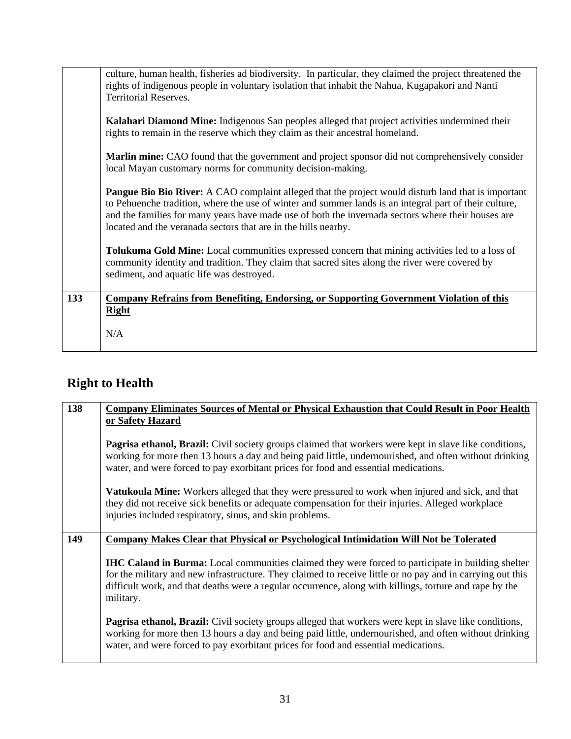|     | culture, human health, fisheries ad biodiversity. In particular, they claimed the project threatened the<br>rights of indigenous people in voluntary isolation that inhabit the Nahua, Kugapakori and Nanti                                                                                                                                                                                  |
|-----|----------------------------------------------------------------------------------------------------------------------------------------------------------------------------------------------------------------------------------------------------------------------------------------------------------------------------------------------------------------------------------------------|
|     | <b>Territorial Reserves.</b>                                                                                                                                                                                                                                                                                                                                                                 |
|     | Kalahari Diamond Mine: Indigenous San peoples alleged that project activities undermined their<br>rights to remain in the reserve which they claim as their ancestral homeland.                                                                                                                                                                                                              |
|     | Marlin mine: CAO found that the government and project sponsor did not comprehensively consider<br>local Mayan customary norms for community decision-making.                                                                                                                                                                                                                                |
|     | <b>Pangue Bio Bio River:</b> A CAO complaint alleged that the project would disturb land that is important<br>to Pehuenche tradition, where the use of winter and summer lands is an integral part of their culture,<br>and the families for many years have made use of both the invernada sectors where their houses are<br>located and the veranada sectors that are in the hills nearby. |
|     | <b>Tolukuma Gold Mine:</b> Local communities expressed concern that mining activities led to a loss of<br>community identity and tradition. They claim that sacred sites along the river were covered by<br>sediment, and aquatic life was destroyed.                                                                                                                                        |
| 133 | <b>Company Refrains from Benefiting, Endorsing, or Supporting Government Violation of this</b><br><b>Right</b>                                                                                                                                                                                                                                                                               |
|     | N/A                                                                                                                                                                                                                                                                                                                                                                                          |

# **Right to Health**

| 138 | <b>Company Eliminates Sources of Mental or Physical Exhaustion that Could Result in Poor Health</b>                                                                                                                                                                                                                                      |
|-----|------------------------------------------------------------------------------------------------------------------------------------------------------------------------------------------------------------------------------------------------------------------------------------------------------------------------------------------|
|     | or Safety Hazard                                                                                                                                                                                                                                                                                                                         |
|     | <b>Pagrisa ethanol, Brazil:</b> Civil society groups claimed that workers were kept in slave like conditions,<br>working for more then 13 hours a day and being paid little, undernourished, and often without drinking<br>water, and were forced to pay exorbitant prices for food and essential medications.                           |
|     | <b>Vatukoula Mine:</b> Workers alleged that they were pressured to work when injured and sick, and that<br>they did not receive sick benefits or adequate compensation for their injuries. Alleged workplace<br>injuries included respiratory, sinus, and skin problems.                                                                 |
|     |                                                                                                                                                                                                                                                                                                                                          |
| 149 | Company Makes Clear that Physical or Psychological Intimidation Will Not be Tolerated                                                                                                                                                                                                                                                    |
|     | IHC Caland in Burma: Local communities claimed they were forced to participate in building shelter<br>for the military and new infrastructure. They claimed to receive little or no pay and in carrying out this<br>difficult work, and that deaths were a regular occurrence, along with killings, torture and rape by the<br>military. |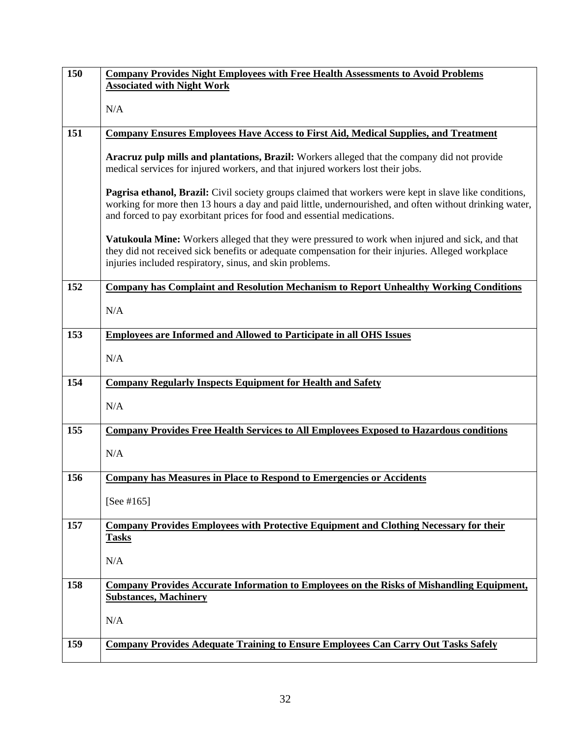| 150 | <b>Company Provides Night Employees with Free Health Assessments to Avoid Problems</b>                                                                                             |
|-----|------------------------------------------------------------------------------------------------------------------------------------------------------------------------------------|
|     | <b>Associated with Night Work</b>                                                                                                                                                  |
|     | N/A                                                                                                                                                                                |
|     |                                                                                                                                                                                    |
| 151 | <b>Company Ensures Employees Have Access to First Aid, Medical Supplies, and Treatment</b>                                                                                         |
|     |                                                                                                                                                                                    |
|     | Aracruz pulp mills and plantations, Brazil: Workers alleged that the company did not provide<br>medical services for injured workers, and that injured workers lost their jobs.    |
|     |                                                                                                                                                                                    |
|     | Pagrisa ethanol, Brazil: Civil society groups claimed that workers were kept in slave like conditions,                                                                             |
|     | working for more then 13 hours a day and paid little, undernourished, and often without drinking water,<br>and forced to pay exorbitant prices for food and essential medications. |
|     |                                                                                                                                                                                    |
|     | Vatukoula Mine: Workers alleged that they were pressured to work when injured and sick, and that                                                                                   |
|     | they did not received sick benefits or adequate compensation for their injuries. Alleged workplace                                                                                 |
|     | injuries included respiratory, sinus, and skin problems.                                                                                                                           |
| 152 | <b>Company has Complaint and Resolution Mechanism to Report Unhealthy Working Conditions</b>                                                                                       |
|     |                                                                                                                                                                                    |
|     | N/A                                                                                                                                                                                |
| 153 | <b>Employees are Informed and Allowed to Participate in all OHS Issues</b>                                                                                                         |
|     |                                                                                                                                                                                    |
|     | N/A                                                                                                                                                                                |
| 154 | <b>Company Regularly Inspects Equipment for Health and Safety</b>                                                                                                                  |
|     |                                                                                                                                                                                    |
|     | N/A                                                                                                                                                                                |
| 155 | <b>Company Provides Free Health Services to All Employees Exposed to Hazardous conditions</b>                                                                                      |
|     |                                                                                                                                                                                    |
|     | N/A                                                                                                                                                                                |
| 156 | <b>Company has Measures in Place to Respond to Emergencies or Accidents</b>                                                                                                        |
|     |                                                                                                                                                                                    |
|     | [See # $165$ ]                                                                                                                                                                     |
| 157 | Company Provides Employees with Protective Equipment and Clothing Necessary for their                                                                                              |
|     | <b>Tasks</b>                                                                                                                                                                       |
|     | N/A                                                                                                                                                                                |
|     |                                                                                                                                                                                    |
| 158 | <b>Company Provides Accurate Information to Employees on the Risks of Mishandling Equipment,</b>                                                                                   |
|     | <b>Substances, Machinery</b>                                                                                                                                                       |
|     | N/A                                                                                                                                                                                |
|     |                                                                                                                                                                                    |
| 159 | <b>Company Provides Adequate Training to Ensure Employees Can Carry Out Tasks Safely</b>                                                                                           |
|     |                                                                                                                                                                                    |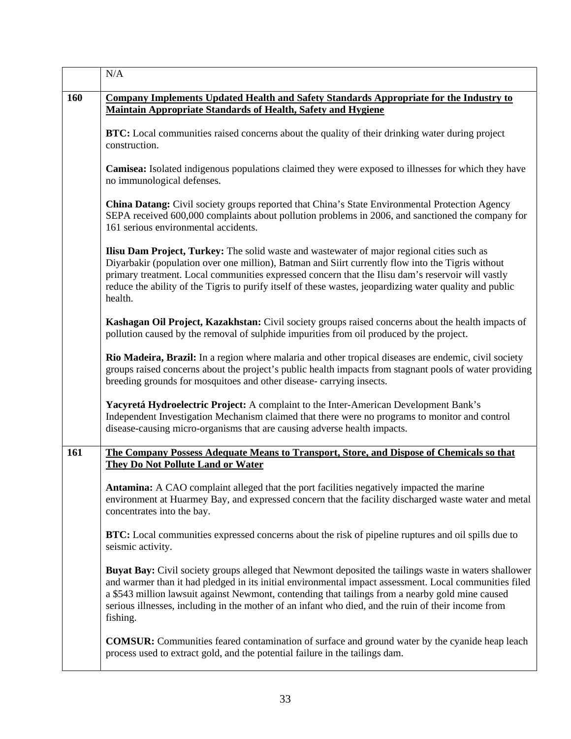|     | N/A                                                                                                                                                                                                                                                                                                                                                                                                                                    |
|-----|----------------------------------------------------------------------------------------------------------------------------------------------------------------------------------------------------------------------------------------------------------------------------------------------------------------------------------------------------------------------------------------------------------------------------------------|
| 160 | <b>Company Implements Updated Health and Safety Standards Appropriate for the Industry to</b><br><b>Maintain Appropriate Standards of Health, Safety and Hygiene</b>                                                                                                                                                                                                                                                                   |
|     | <b>BTC:</b> Local communities raised concerns about the quality of their drinking water during project<br>construction.                                                                                                                                                                                                                                                                                                                |
|     | <b>Camisea:</b> Isolated indigenous populations claimed they were exposed to illnesses for which they have<br>no immunological defenses.                                                                                                                                                                                                                                                                                               |
|     | <b>China Datang:</b> Civil society groups reported that China's State Environmental Protection Agency<br>SEPA received 600,000 complaints about pollution problems in 2006, and sanctioned the company for<br>161 serious environmental accidents.                                                                                                                                                                                     |
|     | <b>Ilisu Dam Project, Turkey:</b> The solid waste and wastewater of major regional cities such as<br>Diyarbakir (population over one million), Batman and Siirt currently flow into the Tigris without<br>primary treatment. Local communities expressed concern that the Ilisu dam's reservoir will vastly<br>reduce the ability of the Tigris to purify itself of these wastes, jeopardizing water quality and public<br>health.     |
|     | Kashagan Oil Project, Kazakhstan: Civil society groups raised concerns about the health impacts of<br>pollution caused by the removal of sulphide impurities from oil produced by the project.                                                                                                                                                                                                                                         |
|     | Rio Madeira, Brazil: In a region where malaria and other tropical diseases are endemic, civil society<br>groups raised concerns about the project's public health impacts from stagnant pools of water providing<br>breeding grounds for mosquitoes and other disease-carrying insects.                                                                                                                                                |
|     | Yacyretá Hydroelectric Project: A complaint to the Inter-American Development Bank's<br>Independent Investigation Mechanism claimed that there were no programs to monitor and control<br>disease-causing micro-organisms that are causing adverse health impacts.                                                                                                                                                                     |
| 161 | The Company Possess Adequate Means to Transport, Store, and Dispose of Chemicals so that<br>They Do Not Pollute Land or Water                                                                                                                                                                                                                                                                                                          |
|     | Antamina: A CAO complaint alleged that the port facilities negatively impacted the marine<br>environment at Huarmey Bay, and expressed concern that the facility discharged waste water and metal<br>concentrates into the bay.                                                                                                                                                                                                        |
|     | BTC: Local communities expressed concerns about the risk of pipeline ruptures and oil spills due to<br>seismic activity.                                                                                                                                                                                                                                                                                                               |
|     | Buyat Bay: Civil society groups alleged that Newmont deposited the tailings waste in waters shallower<br>and warmer than it had pledged in its initial environmental impact assessment. Local communities filed<br>a \$543 million lawsuit against Newmont, contending that tailings from a nearby gold mine caused<br>serious illnesses, including in the mother of an infant who died, and the ruin of their income from<br>fishing. |
|     | <b>COMSUR:</b> Communities feared contamination of surface and ground water by the cyanide heap leach<br>process used to extract gold, and the potential failure in the tailings dam.                                                                                                                                                                                                                                                  |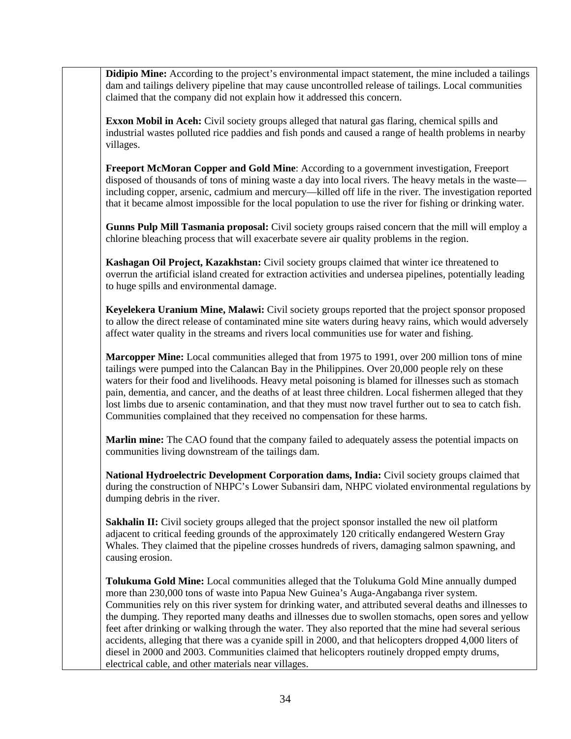**Didipio Mine:** According to the project's environmental impact statement, the mine included a tailings dam and tailings delivery pipeline that may cause uncontrolled release of tailings. Local communities claimed that the company did not explain how it addressed this concern.

**Exxon Mobil in Aceh:** Civil society groups alleged that natural gas flaring, chemical spills and industrial wastes polluted rice paddies and fish ponds and caused a range of health problems in nearby villages.

**Freeport McMoran Copper and Gold Mine**: According to a government investigation, Freeport disposed of thousands of tons of mining waste a day into local rivers. The heavy metals in the waste including copper, arsenic, cadmium and mercury—killed off life in the river. The investigation reported that it became almost impossible for the local population to use the river for fishing or drinking water.

**Gunns Pulp Mill Tasmania proposal:** Civil society groups raised concern that the mill will employ a chlorine bleaching process that will exacerbate severe air quality problems in the region.

**Kashagan Oil Project, Kazakhstan:** Civil society groups claimed that winter ice threatened to overrun the artificial island created for extraction activities and undersea pipelines, potentially leading to huge spills and environmental damage.

**Keyelekera Uranium Mine, Malawi:** Civil society groups reported that the project sponsor proposed to allow the direct release of contaminated mine site waters during heavy rains, which would adversely affect water quality in the streams and rivers local communities use for water and fishing.

**Marcopper Mine:** Local communities alleged that from 1975 to 1991, over 200 million tons of mine tailings were pumped into the Calancan Bay in the Philippines. Over 20,000 people rely on these waters for their food and livelihoods. Heavy metal poisoning is blamed for illnesses such as stomach pain, dementia, and cancer, and the deaths of at least three children. Local fishermen alleged that they lost limbs due to arsenic contamination, and that they must now travel further out to sea to catch fish. Communities complained that they received no compensation for these harms.

**Marlin mine:** The CAO found that the company failed to adequately assess the potential impacts on communities living downstream of the tailings dam.

**National Hydroelectric Development Corporation dams, India:** Civil society groups claimed that during the construction of NHPC's Lower Subansiri dam, NHPC violated environmental regulations by dumping debris in the river.

**Sakhalin II:** Civil society groups alleged that the project sponsor installed the new oil platform adjacent to critical feeding grounds of the approximately 120 critically endangered Western Gray Whales. They claimed that the pipeline crosses hundreds of rivers, damaging salmon spawning, and causing erosion.

**Tolukuma Gold Mine:** Local communities alleged that the Tolukuma Gold Mine annually dumped more than 230,000 tons of waste into Papua New Guinea's Auga-Angabanga river system. Communities rely on this river system for drinking water, and attributed several deaths and illnesses to the dumping. They reported many deaths and illnesses due to swollen stomachs, open sores and yellow feet after drinking or walking through the water. They also reported that the mine had several serious accidents, alleging that there was a cyanide spill in 2000, and that helicopters dropped 4,000 liters of diesel in 2000 and 2003. Communities claimed that helicopters routinely dropped empty drums, electrical cable, and other materials near villages.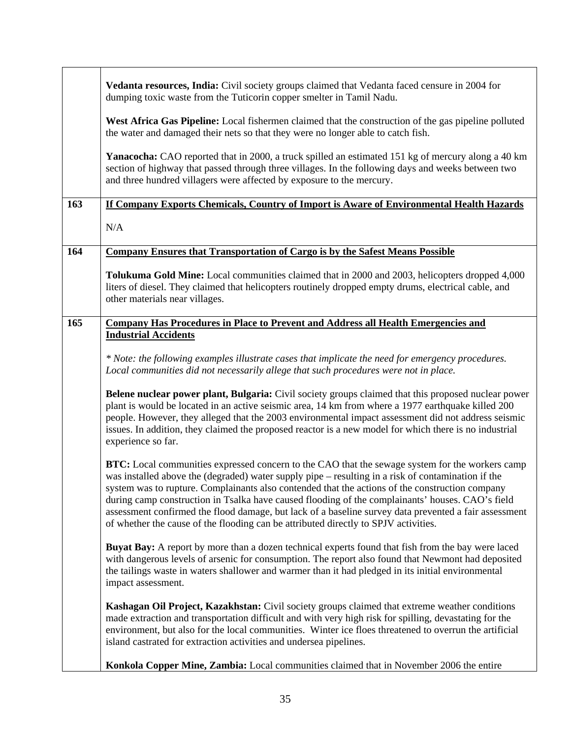|     | Vedanta resources, India: Civil society groups claimed that Vedanta faced censure in 2004 for<br>dumping toxic waste from the Tuticorin copper smelter in Tamil Nadu.                                                                                                                                                                                                                                                                                                                                                                                                                                               |
|-----|---------------------------------------------------------------------------------------------------------------------------------------------------------------------------------------------------------------------------------------------------------------------------------------------------------------------------------------------------------------------------------------------------------------------------------------------------------------------------------------------------------------------------------------------------------------------------------------------------------------------|
|     | West Africa Gas Pipeline: Local fishermen claimed that the construction of the gas pipeline polluted<br>the water and damaged their nets so that they were no longer able to catch fish.                                                                                                                                                                                                                                                                                                                                                                                                                            |
|     | Yanacocha: CAO reported that in 2000, a truck spilled an estimated 151 kg of mercury along a 40 km<br>section of highway that passed through three villages. In the following days and weeks between two<br>and three hundred villagers were affected by exposure to the mercury.                                                                                                                                                                                                                                                                                                                                   |
| 163 | If Company Exports Chemicals, Country of Import is Aware of Environmental Health Hazards                                                                                                                                                                                                                                                                                                                                                                                                                                                                                                                            |
|     | N/A                                                                                                                                                                                                                                                                                                                                                                                                                                                                                                                                                                                                                 |
| 164 | <b>Company Ensures that Transportation of Cargo is by the Safest Means Possible</b>                                                                                                                                                                                                                                                                                                                                                                                                                                                                                                                                 |
|     | <b>Tolukuma Gold Mine:</b> Local communities claimed that in 2000 and 2003, helicopters dropped 4,000<br>liters of diesel. They claimed that helicopters routinely dropped empty drums, electrical cable, and<br>other materials near villages.                                                                                                                                                                                                                                                                                                                                                                     |
| 165 | <b>Company Has Procedures in Place to Prevent and Address all Health Emergencies and</b>                                                                                                                                                                                                                                                                                                                                                                                                                                                                                                                            |
|     | <b>Industrial Accidents</b>                                                                                                                                                                                                                                                                                                                                                                                                                                                                                                                                                                                         |
|     | * Note: the following examples illustrate cases that implicate the need for emergency procedures.<br>Local communities did not necessarily allege that such procedures were not in place.                                                                                                                                                                                                                                                                                                                                                                                                                           |
|     | Belene nuclear power plant, Bulgaria: Civil society groups claimed that this proposed nuclear power<br>plant is would be located in an active seismic area, 14 km from where a 1977 earthquake killed 200<br>people. However, they alleged that the 2003 environmental impact assessment did not address seismic<br>issues. In addition, they claimed the proposed reactor is a new model for which there is no industrial<br>experience so far.                                                                                                                                                                    |
|     | <b>BTC:</b> Local communities expressed concern to the CAO that the sewage system for the workers camp<br>was installed above the (degraded) water supply pipe - resulting in a risk of contamination if the<br>system was to rupture. Complainants also contended that the actions of the construction company<br>during camp construction in Tsalka have caused flooding of the complainants' houses. CAO's field<br>assessment confirmed the flood damage, but lack of a baseline survey data prevented a fair assessment<br>of whether the cause of the flooding can be attributed directly to SPJV activities. |
|     | <b>Buyat Bay:</b> A report by more than a dozen technical experts found that fish from the bay were laced<br>with dangerous levels of arsenic for consumption. The report also found that Newmont had deposited<br>the tailings waste in waters shallower and warmer than it had pledged in its initial environmental<br>impact assessment.                                                                                                                                                                                                                                                                         |
|     | Kashagan Oil Project, Kazakhstan: Civil society groups claimed that extreme weather conditions<br>made extraction and transportation difficult and with very high risk for spilling, devastating for the<br>environment, but also for the local communities. Winter ice floes threatened to overrun the artificial<br>island castrated for extraction activities and undersea pipelines.                                                                                                                                                                                                                            |
|     | Konkola Copper Mine, Zambia: Local communities claimed that in November 2006 the entire                                                                                                                                                                                                                                                                                                                                                                                                                                                                                                                             |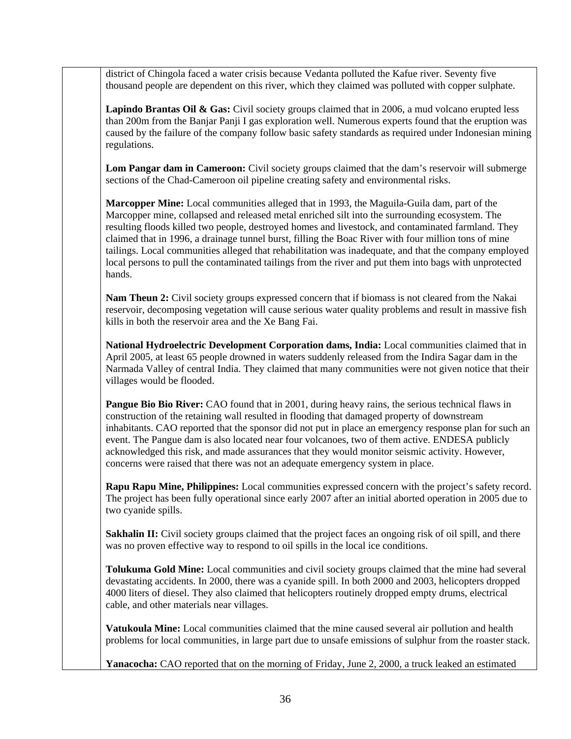district of Chingola faced a water crisis because Vedanta polluted the Kafue river. Seventy five thousand people are dependent on this river, which they claimed was polluted with copper sulphate.

Lapindo Brantas Oil & Gas: Civil society groups claimed that in 2006, a mud volcano erupted less than 200m from the Banjar Panji I gas exploration well. Numerous experts found that the eruption was caused by the failure of the company follow basic safety standards as required under Indonesian mining regulations.

**Lom Pangar dam in Cameroon:** Civil society groups claimed that the dam's reservoir will submerge sections of the Chad-Cameroon oil pipeline creating safety and environmental risks.

**Marcopper Mine:** Local communities alleged that in 1993, the Maguila-Guila dam, part of the Marcopper mine, collapsed and released metal enriched silt into the surrounding ecosystem. The resulting floods killed two people, destroyed homes and livestock, and contaminated farmland. They claimed that in 1996, a drainage tunnel burst, filling the Boac River with four million tons of mine tailings. Local communities alleged that rehabilitation was inadequate, and that the company employed local persons to pull the contaminated tailings from the river and put them into bags with unprotected hands.

**Nam Theun 2:** Civil society groups expressed concern that if biomass is not cleared from the Nakai reservoir, decomposing vegetation will cause serious water quality problems and result in massive fish kills in both the reservoir area and the Xe Bang Fai.

**National Hydroelectric Development Corporation dams, India:** Local communities claimed that in April 2005, at least 65 people drowned in waters suddenly released from the Indira Sagar dam in the Narmada Valley of central India. They claimed that many communities were not given notice that their villages would be flooded.

**Pangue Bio Bio River:** CAO found that in 2001, during heavy rains, the serious technical flaws in construction of the retaining wall resulted in flooding that damaged property of downstream inhabitants. CAO reported that the sponsor did not put in place an emergency response plan for such an event. The Pangue dam is also located near four volcanoes, two of them active. ENDESA publicly acknowledged this risk, and made assurances that they would monitor seismic activity. However, concerns were raised that there was not an adequate emergency system in place.

**Rapu Rapu Mine, Philippines:** Local communities expressed concern with the project's safety record. The project has been fully operational since early 2007 after an initial aborted operation in 2005 due to two cyanide spills.

**Sakhalin II:** Civil society groups claimed that the project faces an ongoing risk of oil spill, and there was no proven effective way to respond to oil spills in the local ice conditions.

**Tolukuma Gold Mine:** Local communities and civil society groups claimed that the mine had several devastating accidents. In 2000, there was a cyanide spill. In both 2000 and 2003, helicopters dropped 4000 liters of diesel. They also claimed that helicopters routinely dropped empty drums, electrical cable, and other materials near villages.

**Vatukoula Mine:** Local communities claimed that the mine caused several air pollution and health problems for local communities, in large part due to unsafe emissions of sulphur from the roaster stack.

**Yanacocha:** CAO reported that on the morning of Friday, June 2, 2000, a truck leaked an estimated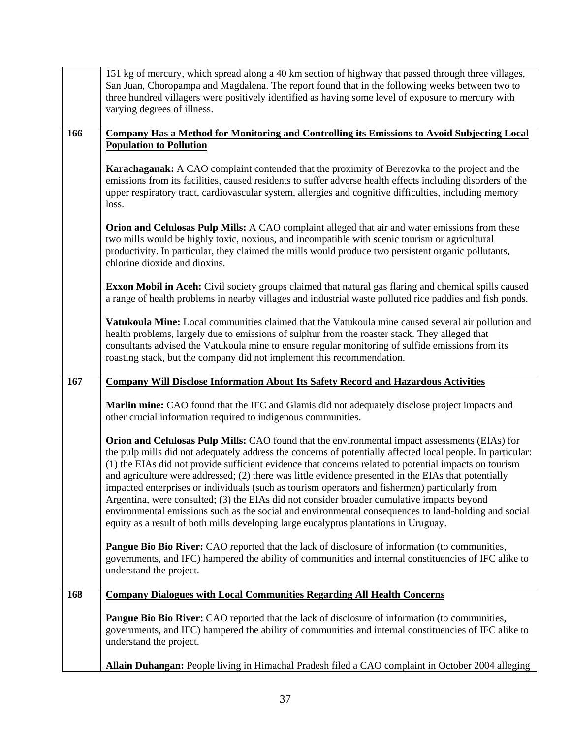|     | 151 kg of mercury, which spread along a 40 km section of highway that passed through three villages,<br>San Juan, Choropampa and Magdalena. The report found that in the following weeks between two to<br>three hundred villagers were positively identified as having some level of exposure to mercury with<br>varying degrees of illness.                                                                                                                                                                                                                                                                                                                                                                                                                                                                                    |
|-----|----------------------------------------------------------------------------------------------------------------------------------------------------------------------------------------------------------------------------------------------------------------------------------------------------------------------------------------------------------------------------------------------------------------------------------------------------------------------------------------------------------------------------------------------------------------------------------------------------------------------------------------------------------------------------------------------------------------------------------------------------------------------------------------------------------------------------------|
| 166 | <b>Company Has a Method for Monitoring and Controlling its Emissions to Avoid Subjecting Local</b><br><b>Population to Pollution</b>                                                                                                                                                                                                                                                                                                                                                                                                                                                                                                                                                                                                                                                                                             |
|     | <b>Karachaganak:</b> A CAO complaint contended that the proximity of Berezovka to the project and the<br>emissions from its facilities, caused residents to suffer adverse health effects including disorders of the<br>upper respiratory tract, cardiovascular system, allergies and cognitive difficulties, including memory<br>loss.                                                                                                                                                                                                                                                                                                                                                                                                                                                                                          |
|     | Orion and Celulosas Pulp Mills: A CAO complaint alleged that air and water emissions from these<br>two mills would be highly toxic, noxious, and incompatible with scenic tourism or agricultural<br>productivity. In particular, they claimed the mills would produce two persistent organic pollutants,<br>chlorine dioxide and dioxins.                                                                                                                                                                                                                                                                                                                                                                                                                                                                                       |
|     | <b>Exxon Mobil in Aceh:</b> Civil society groups claimed that natural gas flaring and chemical spills caused<br>a range of health problems in nearby villages and industrial waste polluted rice paddies and fish ponds.                                                                                                                                                                                                                                                                                                                                                                                                                                                                                                                                                                                                         |
|     | Vatukoula Mine: Local communities claimed that the Vatukoula mine caused several air pollution and<br>health problems, largely due to emissions of sulphur from the roaster stack. They alleged that<br>consultants advised the Vatukoula mine to ensure regular monitoring of sulfide emissions from its<br>roasting stack, but the company did not implement this recommendation.                                                                                                                                                                                                                                                                                                                                                                                                                                              |
| 167 | <b>Company Will Disclose Information About Its Safety Record and Hazardous Activities</b>                                                                                                                                                                                                                                                                                                                                                                                                                                                                                                                                                                                                                                                                                                                                        |
|     |                                                                                                                                                                                                                                                                                                                                                                                                                                                                                                                                                                                                                                                                                                                                                                                                                                  |
|     | Marlin mine: CAO found that the IFC and Glamis did not adequately disclose project impacts and<br>other crucial information required to indigenous communities.                                                                                                                                                                                                                                                                                                                                                                                                                                                                                                                                                                                                                                                                  |
|     | Orion and Celulosas Pulp Mills: CAO found that the environmental impact assessments (EIAs) for<br>the pulp mills did not adequately address the concerns of potentially affected local people. In particular:<br>(1) the EIAs did not provide sufficient evidence that concerns related to potential impacts on tourism<br>and agriculture were addressed; (2) there was little evidence presented in the EIAs that potentially<br>impacted enterprises or individuals (such as tourism operators and fishermen) particularly from<br>Argentina, were consulted; (3) the EIAs did not consider broader cumulative impacts beyond<br>environmental emissions such as the social and environmental consequences to land-holding and social<br>equity as a result of both mills developing large eucalyptus plantations in Uruguay. |
|     | Pangue Bio Bio River: CAO reported that the lack of disclosure of information (to communities,<br>governments, and IFC) hampered the ability of communities and internal constituencies of IFC alike to<br>understand the project.                                                                                                                                                                                                                                                                                                                                                                                                                                                                                                                                                                                               |
| 168 | <b>Company Dialogues with Local Communities Regarding All Health Concerns</b>                                                                                                                                                                                                                                                                                                                                                                                                                                                                                                                                                                                                                                                                                                                                                    |
|     | <b>Pangue Bio Bio River:</b> CAO reported that the lack of disclosure of information (to communities,<br>governments, and IFC) hampered the ability of communities and internal constituencies of IFC alike to<br>understand the project.                                                                                                                                                                                                                                                                                                                                                                                                                                                                                                                                                                                        |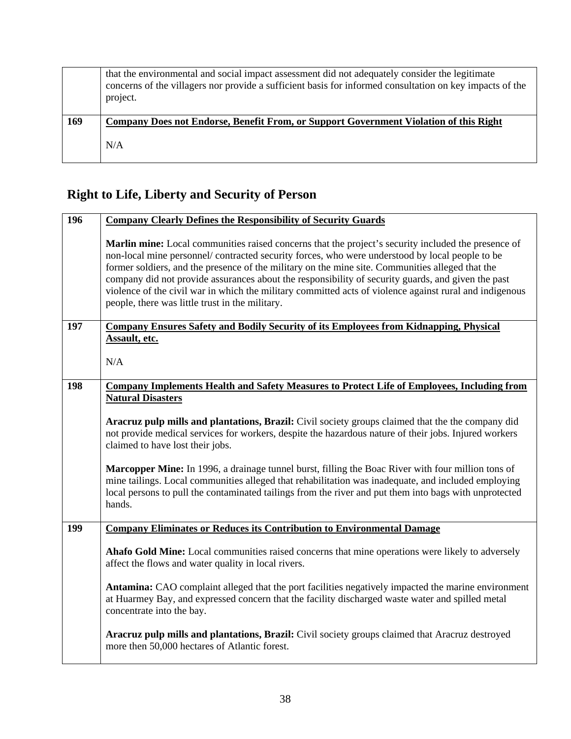|     | that the environmental and social impact assessment did not adequately consider the legitimate<br>concerns of the villagers nor provide a sufficient basis for informed consultation on key impacts of the<br>project. |
|-----|------------------------------------------------------------------------------------------------------------------------------------------------------------------------------------------------------------------------|
| 169 | Company Does not Endorse, Benefit From, or Support Government Violation of this Right                                                                                                                                  |
|     | N/A                                                                                                                                                                                                                    |

# **Right to Life, Liberty and Security of Person**

| 196 | <b>Company Clearly Defines the Responsibility of Security Guards</b>                                                                                                                                                                                                                                                                                                                                                                                                                                                                                                          |
|-----|-------------------------------------------------------------------------------------------------------------------------------------------------------------------------------------------------------------------------------------------------------------------------------------------------------------------------------------------------------------------------------------------------------------------------------------------------------------------------------------------------------------------------------------------------------------------------------|
|     | Marlin mine: Local communities raised concerns that the project's security included the presence of<br>non-local mine personnel/contracted security forces, who were understood by local people to be<br>former soldiers, and the presence of the military on the mine site. Communities alleged that the<br>company did not provide assurances about the responsibility of security guards, and given the past<br>violence of the civil war in which the military committed acts of violence against rural and indigenous<br>people, there was little trust in the military. |
| 197 | <b>Company Ensures Safety and Bodily Security of its Employees from Kidnapping, Physical</b>                                                                                                                                                                                                                                                                                                                                                                                                                                                                                  |
|     | Assault, etc.<br>N/A                                                                                                                                                                                                                                                                                                                                                                                                                                                                                                                                                          |
|     |                                                                                                                                                                                                                                                                                                                                                                                                                                                                                                                                                                               |
| 198 | <b>Company Implements Health and Safety Measures to Protect Life of Employees, Including from</b><br><b>Natural Disasters</b>                                                                                                                                                                                                                                                                                                                                                                                                                                                 |
|     | Aracruz pulp mills and plantations, Brazil: Civil society groups claimed that the the company did<br>not provide medical services for workers, despite the hazardous nature of their jobs. Injured workers<br>claimed to have lost their jobs.                                                                                                                                                                                                                                                                                                                                |
|     | Marcopper Mine: In 1996, a drainage tunnel burst, filling the Boac River with four million tons of<br>mine tailings. Local communities alleged that rehabilitation was inadequate, and included employing<br>local persons to pull the contaminated tailings from the river and put them into bags with unprotected<br>hands.                                                                                                                                                                                                                                                 |
| 199 | <b>Company Eliminates or Reduces its Contribution to Environmental Damage</b>                                                                                                                                                                                                                                                                                                                                                                                                                                                                                                 |
|     | Ahafo Gold Mine: Local communities raised concerns that mine operations were likely to adversely<br>affect the flows and water quality in local rivers.                                                                                                                                                                                                                                                                                                                                                                                                                       |
|     | Antamina: CAO complaint alleged that the port facilities negatively impacted the marine environment<br>at Huarmey Bay, and expressed concern that the facility discharged waste water and spilled metal<br>concentrate into the bay.                                                                                                                                                                                                                                                                                                                                          |
|     | Aracruz pulp mills and plantations, Brazil: Civil society groups claimed that Aracruz destroyed<br>more then 50,000 hectares of Atlantic forest.                                                                                                                                                                                                                                                                                                                                                                                                                              |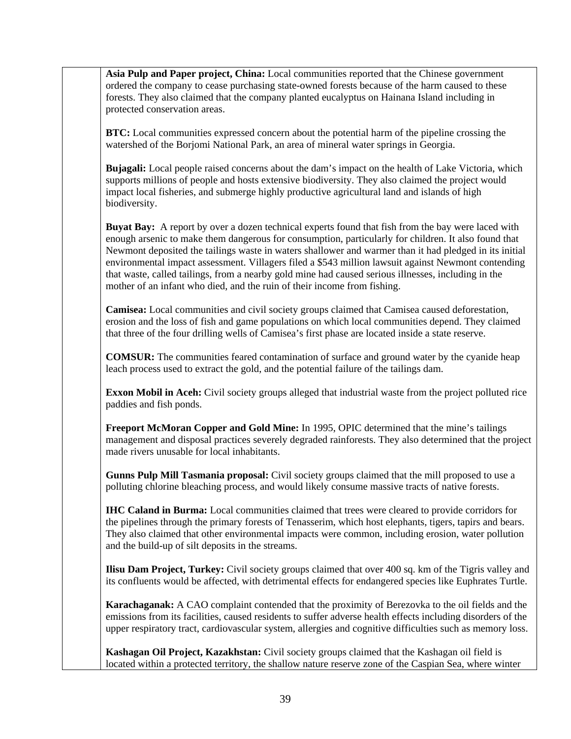**Asia Pulp and Paper project, China:** Local communities reported that the Chinese government ordered the company to cease purchasing state-owned forests because of the harm caused to these forests. They also claimed that the company planted eucalyptus on Hainana Island including in protected conservation areas.

**BTC:** Local communities expressed concern about the potential harm of the pipeline crossing the watershed of the Borjomi National Park, an area of mineral water springs in Georgia.

**Bujagali:** Local people raised concerns about the dam's impact on the health of Lake Victoria, which supports millions of people and hosts extensive biodiversity. They also claimed the project would impact local fisheries, and submerge highly productive agricultural land and islands of high biodiversity.

**Buyat Bay:** A report by over a dozen technical experts found that fish from the bay were laced with enough arsenic to make them dangerous for consumption, particularly for children. It also found that Newmont deposited the tailings waste in waters shallower and warmer than it had pledged in its initial environmental impact assessment. Villagers filed a \$543 million lawsuit against Newmont contending that waste, called tailings, from a nearby gold mine had caused serious illnesses, including in the mother of an infant who died, and the ruin of their income from fishing.

**Camisea:** Local communities and civil society groups claimed that Camisea caused deforestation, erosion and the loss of fish and game populations on which local communities depend. They claimed that three of the four drilling wells of Camisea's first phase are located inside a state reserve.

**COMSUR:** The communities feared contamination of surface and ground water by the cyanide heap leach process used to extract the gold, and the potential failure of the tailings dam.

**Exxon Mobil in Aceh:** Civil society groups alleged that industrial waste from the project polluted rice paddies and fish ponds.

**Freeport McMoran Copper and Gold Mine:** In 1995, OPIC determined that the mine's tailings management and disposal practices severely degraded rainforests. They also determined that the project made rivers unusable for local inhabitants.

**Gunns Pulp Mill Tasmania proposal:** Civil society groups claimed that the mill proposed to use a polluting chlorine bleaching process, and would likely consume massive tracts of native forests.

**IHC Caland in Burma:** Local communities claimed that trees were cleared to provide corridors for the pipelines through the primary forests of Tenasserim, which host elephants, tigers, tapirs and bears. They also claimed that other environmental impacts were common, including erosion, water pollution and the build-up of silt deposits in the streams.

**Ilisu Dam Project, Turkey:** Civil society groups claimed that over 400 sq. km of the Tigris valley and its confluents would be affected, with detrimental effects for endangered species like Euphrates Turtle.

**Karachaganak:** A CAO complaint contended that the proximity of Berezovka to the oil fields and the emissions from its facilities, caused residents to suffer adverse health effects including disorders of the upper respiratory tract, cardiovascular system, allergies and cognitive difficulties such as memory loss.

**Kashagan Oil Project, Kazakhstan:** Civil society groups claimed that the Kashagan oil field is located within a protected territory, the shallow nature reserve zone of the Caspian Sea, where winter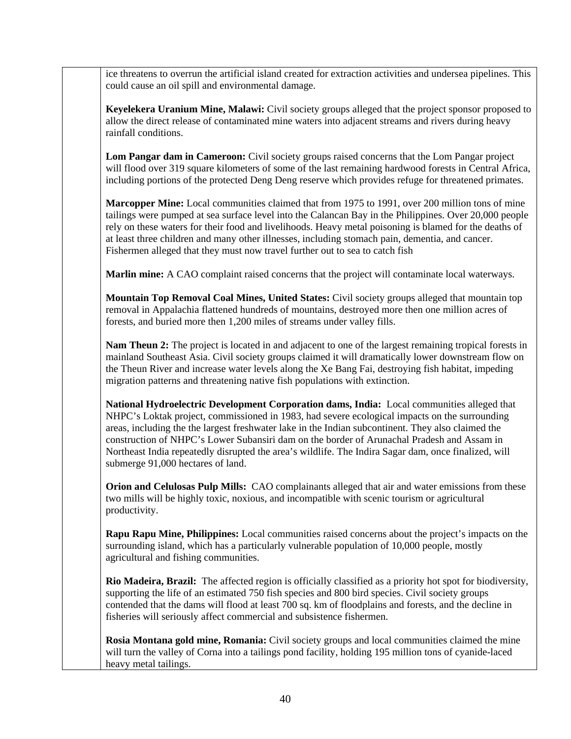ice threatens to overrun the artificial island created for extraction activities and undersea pipelines. This could cause an oil spill and environmental damage.

**Keyelekera Uranium Mine, Malawi:** Civil society groups alleged that the project sponsor proposed to allow the direct release of contaminated mine waters into adjacent streams and rivers during heavy rainfall conditions.

Lom Pangar dam in Cameroon: Civil society groups raised concerns that the Lom Pangar project will flood over 319 square kilometers of some of the last remaining hardwood forests in Central Africa, including portions of the protected Deng Deng reserve which provides refuge for threatened primates.

**Marcopper Mine:** Local communities claimed that from 1975 to 1991, over 200 million tons of mine tailings were pumped at sea surface level into the Calancan Bay in the Philippines. Over 20,000 people rely on these waters for their food and livelihoods. Heavy metal poisoning is blamed for the deaths of at least three children and many other illnesses, including stomach pain, dementia, and cancer. Fishermen alleged that they must now travel further out to sea to catch fish

**Marlin mine:** A CAO complaint raised concerns that the project will contaminate local waterways.

**Mountain Top Removal Coal Mines, United States:** Civil society groups alleged that mountain top removal in Appalachia flattened hundreds of mountains, destroyed more then one million acres of forests, and buried more then 1,200 miles of streams under valley fills.

**Nam Theun 2:** The project is located in and adjacent to one of the largest remaining tropical forests in mainland Southeast Asia. Civil society groups claimed it will dramatically lower downstream flow on the Theun River and increase water levels along the Xe Bang Fai, destroying fish habitat, impeding migration patterns and threatening native fish populations with extinction.

**National Hydroelectric Development Corporation dams, India:** Local communities alleged that NHPC's Loktak project, commissioned in 1983, had severe ecological impacts on the surrounding areas, including the the largest freshwater lake in the Indian subcontinent. They also claimed the construction of NHPC's Lower Subansiri dam on the border of Arunachal Pradesh and Assam in Northeast India repeatedly disrupted the area's wildlife. The Indira Sagar dam, once finalized, will submerge 91,000 hectares of land.

**Orion and Celulosas Pulp Mills:** CAO complainants alleged that air and water emissions from these two mills will be highly toxic, noxious, and incompatible with scenic tourism or agricultural productivity.

**Rapu Rapu Mine, Philippines:** Local communities raised concerns about the project's impacts on the surrounding island, which has a particularly vulnerable population of 10,000 people, mostly agricultural and fishing communities.

**Rio Madeira, Brazil:** The affected region is officially classified as a priority hot spot for biodiversity, supporting the life of an estimated 750 fish species and 800 bird species. Civil society groups contended that the dams will flood at least 700 sq. km of floodplains and forests, and the decline in fisheries will seriously affect commercial and subsistence fishermen.

**Rosia Montana gold mine, Romania:** Civil society groups and local communities claimed the mine will turn the valley of Corna into a tailings pond facility, holding 195 million tons of cyanide-laced heavy metal tailings.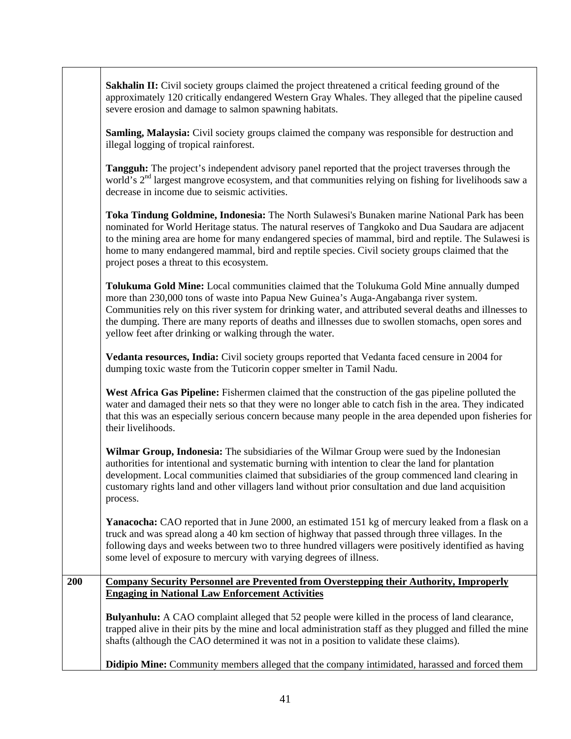|     | <b>Sakhalin II:</b> Civil society groups claimed the project threatened a critical feeding ground of the<br>approximately 120 critically endangered Western Gray Whales. They alleged that the pipeline caused<br>severe erosion and damage to salmon spawning habitats.                                                                                                                                                                                         |
|-----|------------------------------------------------------------------------------------------------------------------------------------------------------------------------------------------------------------------------------------------------------------------------------------------------------------------------------------------------------------------------------------------------------------------------------------------------------------------|
|     | <b>Samling, Malaysia:</b> Civil society groups claimed the company was responsible for destruction and<br>illegal logging of tropical rainforest.                                                                                                                                                                                                                                                                                                                |
|     | Tangguh: The project's independent advisory panel reported that the project traverses through the<br>world's 2 <sup>nd</sup> largest mangrove ecosystem, and that communities relying on fishing for livelihoods saw a<br>decrease in income due to seismic activities.                                                                                                                                                                                          |
|     | Toka Tindung Goldmine, Indonesia: The North Sulawesi's Bunaken marine National Park has been<br>nominated for World Heritage status. The natural reserves of Tangkoko and Dua Saudara are adjacent<br>to the mining area are home for many endangered species of mammal, bird and reptile. The Sulawesi is<br>home to many endangered mammal, bird and reptile species. Civil society groups claimed that the<br>project poses a threat to this ecosystem.       |
|     | Tolukuma Gold Mine: Local communities claimed that the Tolukuma Gold Mine annually dumped<br>more than 230,000 tons of waste into Papua New Guinea's Auga-Angabanga river system.<br>Communities rely on this river system for drinking water, and attributed several deaths and illnesses to<br>the dumping. There are many reports of deaths and illnesses due to swollen stomachs, open sores and<br>yellow feet after drinking or walking through the water. |
|     | Vedanta resources, India: Civil society groups reported that Vedanta faced censure in 2004 for<br>dumping toxic waste from the Tuticorin copper smelter in Tamil Nadu.                                                                                                                                                                                                                                                                                           |
|     | West Africa Gas Pipeline: Fishermen claimed that the construction of the gas pipeline polluted the<br>water and damaged their nets so that they were no longer able to catch fish in the area. They indicated<br>that this was an especially serious concern because many people in the area depended upon fisheries for<br>their livelihoods.                                                                                                                   |
|     | Wilmar Group, Indonesia: The subsidiaries of the Wilmar Group were sued by the Indonesian<br>authorities for intentional and systematic burning with intention to clear the land for plantation<br>development. Local communities claimed that subsidiaries of the group commenced land clearing in<br>customary rights land and other villagers land without prior consultation and due land acquisition<br>process.                                            |
|     | Yanacocha: CAO reported that in June 2000, an estimated 151 kg of mercury leaked from a flask on a<br>truck and was spread along a 40 km section of highway that passed through three villages. In the<br>following days and weeks between two to three hundred villagers were positively identified as having<br>some level of exposure to mercury with varying degrees of illness.                                                                             |
| 200 | <b>Company Security Personnel are Prevented from Overstepping their Authority, Improperly</b>                                                                                                                                                                                                                                                                                                                                                                    |
|     | <b>Engaging in National Law Enforcement Activities</b>                                                                                                                                                                                                                                                                                                                                                                                                           |
|     | <b>Bulyanhulu:</b> A CAO complaint alleged that 52 people were killed in the process of land clearance,<br>trapped alive in their pits by the mine and local administration staff as they plugged and filled the mine<br>shafts (although the CAO determined it was not in a position to validate these claims).                                                                                                                                                 |
|     | <b>Didipio Mine:</b> Community members alleged that the company intimidated, harassed and forced them                                                                                                                                                                                                                                                                                                                                                            |

 $\overline{\phantom{0}}$ 

٦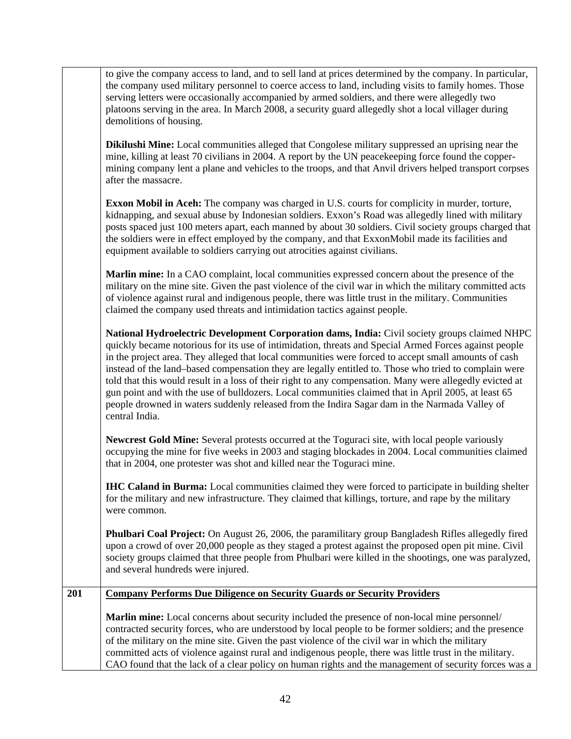|     | to give the company access to land, and to sell land at prices determined by the company. In particular,<br>the company used military personnel to coerce access to land, including visits to family homes. Those<br>serving letters were occasionally accompanied by armed soldiers, and there were allegedly two<br>platoons serving in the area. In March 2008, a security guard allegedly shot a local villager during<br>demolitions of housing.                                                                                                                                                                                                                                                                                                         |
|-----|---------------------------------------------------------------------------------------------------------------------------------------------------------------------------------------------------------------------------------------------------------------------------------------------------------------------------------------------------------------------------------------------------------------------------------------------------------------------------------------------------------------------------------------------------------------------------------------------------------------------------------------------------------------------------------------------------------------------------------------------------------------|
|     | <b>Dikilushi Mine:</b> Local communities alleged that Congolese military suppressed an uprising near the<br>mine, killing at least 70 civilians in 2004. A report by the UN peacekeeping force found the copper-<br>mining company lent a plane and vehicles to the troops, and that Anvil drivers helped transport corpses<br>after the massacre.                                                                                                                                                                                                                                                                                                                                                                                                            |
|     | <b>Exxon Mobil in Aceh:</b> The company was charged in U.S. courts for complicity in murder, torture,<br>kidnapping, and sexual abuse by Indonesian soldiers. Exxon's Road was allegedly lined with military<br>posts spaced just 100 meters apart, each manned by about 30 soldiers. Civil society groups charged that<br>the soldiers were in effect employed by the company, and that ExxonMobil made its facilities and<br>equipment available to soldiers carrying out atrocities against civilians.                                                                                                                                                                                                                                                     |
|     | Marlin mine: In a CAO complaint, local communities expressed concern about the presence of the<br>military on the mine site. Given the past violence of the civil war in which the military committed acts<br>of violence against rural and indigenous people, there was little trust in the military. Communities<br>claimed the company used threats and intimidation tactics against people.                                                                                                                                                                                                                                                                                                                                                               |
|     | National Hydroelectric Development Corporation dams, India: Civil society groups claimed NHPC<br>quickly became notorious for its use of intimidation, threats and Special Armed Forces against people<br>in the project area. They alleged that local communities were forced to accept small amounts of cash<br>instead of the land-based compensation they are legally entitled to. Those who tried to complain were<br>told that this would result in a loss of their right to any compensation. Many were allegedly evicted at<br>gun point and with the use of bulldozers. Local communities claimed that in April 2005, at least 65<br>people drowned in waters suddenly released from the Indira Sagar dam in the Narmada Valley of<br>central India. |
|     | Newcrest Gold Mine: Several protests occurred at the Toguraci site, with local people variously<br>occupying the mine for five weeks in 2003 and staging blockades in 2004. Local communities claimed<br>that in 2004, one protester was shot and killed near the Toguraci mine.                                                                                                                                                                                                                                                                                                                                                                                                                                                                              |
|     | <b>IHC Caland in Burma:</b> Local communities claimed they were forced to participate in building shelter<br>for the military and new infrastructure. They claimed that killings, torture, and rape by the military<br>were common.                                                                                                                                                                                                                                                                                                                                                                                                                                                                                                                           |
|     | <b>Phulbari Coal Project:</b> On August 26, 2006, the paramilitary group Bangladesh Rifles allegedly fired<br>upon a crowd of over 20,000 people as they staged a protest against the proposed open pit mine. Civil<br>society groups claimed that three people from Phulbari were killed in the shootings, one was paralyzed,<br>and several hundreds were injured.                                                                                                                                                                                                                                                                                                                                                                                          |
| 201 | <b>Company Performs Due Diligence on Security Guards or Security Providers</b>                                                                                                                                                                                                                                                                                                                                                                                                                                                                                                                                                                                                                                                                                |
|     | Marlin mine: Local concerns about security included the presence of non-local mine personnel/<br>contracted security forces, who are understood by local people to be former soldiers; and the presence<br>of the military on the mine site. Given the past violence of the civil war in which the military<br>committed acts of violence against rural and indigenous people, there was little trust in the military.<br>CAO found that the lack of a clear policy on human rights and the management of security forces was a                                                                                                                                                                                                                               |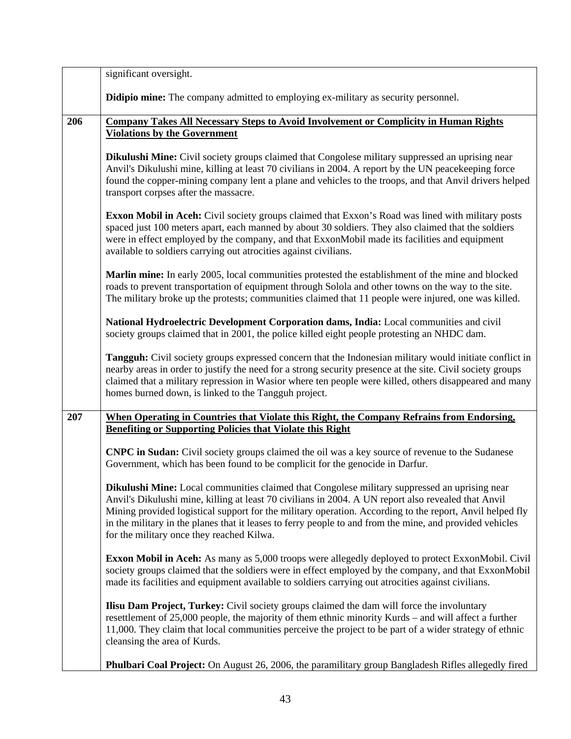|     | significant oversight.                                                                                                                                                                                                                                                                                                                                                                                                                                                    |
|-----|---------------------------------------------------------------------------------------------------------------------------------------------------------------------------------------------------------------------------------------------------------------------------------------------------------------------------------------------------------------------------------------------------------------------------------------------------------------------------|
|     | <b>Didipio mine:</b> The company admitted to employing ex-military as security personnel.                                                                                                                                                                                                                                                                                                                                                                                 |
| 206 | <b>Company Takes All Necessary Steps to Avoid Involvement or Complicity in Human Rights</b>                                                                                                                                                                                                                                                                                                                                                                               |
|     | <b>Violations by the Government</b>                                                                                                                                                                                                                                                                                                                                                                                                                                       |
|     | <b>Dikulushi Mine:</b> Civil society groups claimed that Congolese military suppressed an uprising near<br>Anvil's Dikulushi mine, killing at least 70 civilians in 2004. A report by the UN peacekeeping force<br>found the copper-mining company lent a plane and vehicles to the troops, and that Anvil drivers helped<br>transport corpses after the massacre.                                                                                                        |
|     | <b>Exxon Mobil in Aceh:</b> Civil society groups claimed that Exxon's Road was lined with military posts<br>spaced just 100 meters apart, each manned by about 30 soldiers. They also claimed that the soldiers<br>were in effect employed by the company, and that ExxonMobil made its facilities and equipment<br>available to soldiers carrying out atrocities against civilians.                                                                                      |
|     | Marlin mine: In early 2005, local communities protested the establishment of the mine and blocked<br>roads to prevent transportation of equipment through Solola and other towns on the way to the site.<br>The military broke up the protests; communities claimed that 11 people were injured, one was killed.                                                                                                                                                          |
|     | National Hydroelectric Development Corporation dams, India: Local communities and civil<br>society groups claimed that in 2001, the police killed eight people protesting an NHDC dam.                                                                                                                                                                                                                                                                                    |
|     | Tangguh: Civil society groups expressed concern that the Indonesian military would initiate conflict in<br>nearby areas in order to justify the need for a strong security presence at the site. Civil society groups<br>claimed that a military repression in Wasior where ten people were killed, others disappeared and many<br>homes burned down, is linked to the Tangguh project.                                                                                   |
| 207 | When Operating in Countries that Violate this Right, the Company Refrains from Endorsing,                                                                                                                                                                                                                                                                                                                                                                                 |
|     | <b>Benefiting or Supporting Policies that Violate this Right</b>                                                                                                                                                                                                                                                                                                                                                                                                          |
|     | <b>CNPC in Sudan:</b> Civil society groups claimed the oil was a key source of revenue to the Sudanese<br>Government, which has been found to be complicit for the genocide in Darfur.                                                                                                                                                                                                                                                                                    |
|     | Dikulushi Mine: Local communities claimed that Congolese military suppressed an uprising near<br>Anvil's Dikulushi mine, killing at least 70 civilians in 2004. A UN report also revealed that Anvil<br>Mining provided logistical support for the military operation. According to the report, Anvil helped fly<br>in the military in the planes that it leases to ferry people to and from the mine, and provided vehicles<br>for the military once they reached Kilwa. |
|     | <b>Exxon Mobil in Aceh:</b> As many as 5,000 troops were allegedly deployed to protect ExxonMobil. Civil<br>society groups claimed that the soldiers were in effect employed by the company, and that ExxonMobil<br>made its facilities and equipment available to soldiers carrying out atrocities against civilians.                                                                                                                                                    |
|     | <b>Ilisu Dam Project, Turkey:</b> Civil society groups claimed the dam will force the involuntary<br>resettlement of 25,000 people, the majority of them ethnic minority Kurds – and will affect a further<br>11,000. They claim that local communities perceive the project to be part of a wider strategy of ethnic<br>cleansing the area of Kurds.                                                                                                                     |
|     | <b>Phulbari Coal Project:</b> On August 26, 2006, the paramilitary group Bangladesh Rifles allegedly fired                                                                                                                                                                                                                                                                                                                                                                |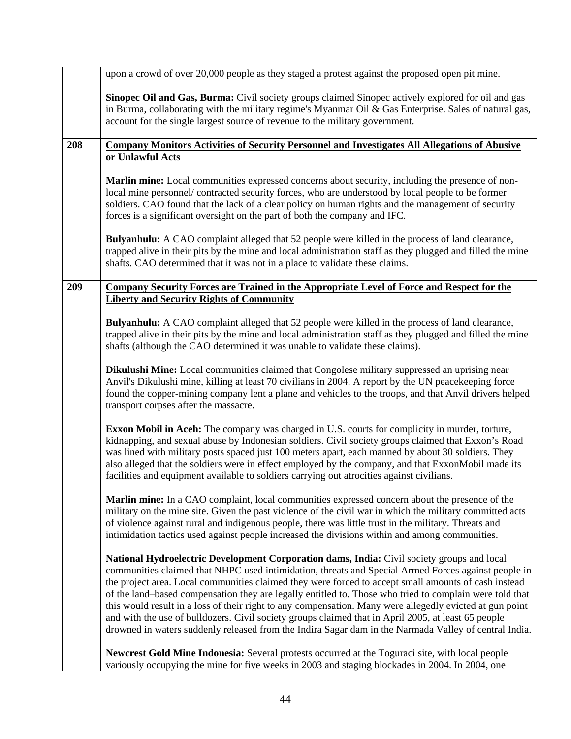|     | upon a crowd of over 20,000 people as they staged a protest against the proposed open pit mine.                                                                                                                                                                                                                                                                                                                                                                                                                                                                                                                                                                                                                                                  |
|-----|--------------------------------------------------------------------------------------------------------------------------------------------------------------------------------------------------------------------------------------------------------------------------------------------------------------------------------------------------------------------------------------------------------------------------------------------------------------------------------------------------------------------------------------------------------------------------------------------------------------------------------------------------------------------------------------------------------------------------------------------------|
|     | <b>Sinopec Oil and Gas, Burma:</b> Civil society groups claimed Sinopec actively explored for oil and gas<br>in Burma, collaborating with the military regime's Myanmar Oil & Gas Enterprise. Sales of natural gas,<br>account for the single largest source of revenue to the military government.                                                                                                                                                                                                                                                                                                                                                                                                                                              |
| 208 | <b>Company Monitors Activities of Security Personnel and Investigates All Allegations of Abusive</b>                                                                                                                                                                                                                                                                                                                                                                                                                                                                                                                                                                                                                                             |
|     | or Unlawful Acts                                                                                                                                                                                                                                                                                                                                                                                                                                                                                                                                                                                                                                                                                                                                 |
|     | Marlin mine: Local communities expressed concerns about security, including the presence of non-<br>local mine personnel/ contracted security forces, who are understood by local people to be former<br>soldiers. CAO found that the lack of a clear policy on human rights and the management of security<br>forces is a significant oversight on the part of both the company and IFC.                                                                                                                                                                                                                                                                                                                                                        |
|     | <b>Bulyanhulu:</b> A CAO complaint alleged that 52 people were killed in the process of land clearance,<br>trapped alive in their pits by the mine and local administration staff as they plugged and filled the mine<br>shafts. CAO determined that it was not in a place to validate these claims.                                                                                                                                                                                                                                                                                                                                                                                                                                             |
| 209 | <b>Company Security Forces are Trained in the Appropriate Level of Force and Respect for the</b>                                                                                                                                                                                                                                                                                                                                                                                                                                                                                                                                                                                                                                                 |
|     | <b>Liberty and Security Rights of Community</b>                                                                                                                                                                                                                                                                                                                                                                                                                                                                                                                                                                                                                                                                                                  |
|     | Bulyanhulu: A CAO complaint alleged that 52 people were killed in the process of land clearance,<br>trapped alive in their pits by the mine and local administration staff as they plugged and filled the mine<br>shafts (although the CAO determined it was unable to validate these claims).                                                                                                                                                                                                                                                                                                                                                                                                                                                   |
|     | Dikulushi Mine: Local communities claimed that Congolese military suppressed an uprising near<br>Anvil's Dikulushi mine, killing at least 70 civilians in 2004. A report by the UN peacekeeping force<br>found the copper-mining company lent a plane and vehicles to the troops, and that Anvil drivers helped<br>transport corpses after the massacre.                                                                                                                                                                                                                                                                                                                                                                                         |
|     | <b>Exxon Mobil in Aceh:</b> The company was charged in U.S. courts for complicity in murder, torture,<br>kidnapping, and sexual abuse by Indonesian soldiers. Civil society groups claimed that Exxon's Road<br>was lined with military posts spaced just 100 meters apart, each manned by about 30 soldiers. They<br>also alleged that the soldiers were in effect employed by the company, and that ExxonMobil made its<br>facilities and equipment available to soldiers carrying out atrocities against civilians.                                                                                                                                                                                                                           |
|     | Marlin mine: In a CAO complaint, local communities expressed concern about the presence of the<br>military on the mine site. Given the past violence of the civil war in which the military committed acts<br>of violence against rural and indigenous people, there was little trust in the military. Threats and<br>intimidation tactics used against people increased the divisions within and among communities.                                                                                                                                                                                                                                                                                                                             |
|     | National Hydroelectric Development Corporation dams, India: Civil society groups and local<br>communities claimed that NHPC used intimidation, threats and Special Armed Forces against people in<br>the project area. Local communities claimed they were forced to accept small amounts of cash instead<br>of the land-based compensation they are legally entitled to. Those who tried to complain were told that<br>this would result in a loss of their right to any compensation. Many were allegedly evicted at gun point<br>and with the use of bulldozers. Civil society groups claimed that in April 2005, at least 65 people<br>drowned in waters suddenly released from the Indira Sagar dam in the Narmada Valley of central India. |
|     | Newcrest Gold Mine Indonesia: Several protests occurred at the Toguraci site, with local people<br>variously occupying the mine for five weeks in 2003 and staging blockades in 2004. In 2004, one                                                                                                                                                                                                                                                                                                                                                                                                                                                                                                                                               |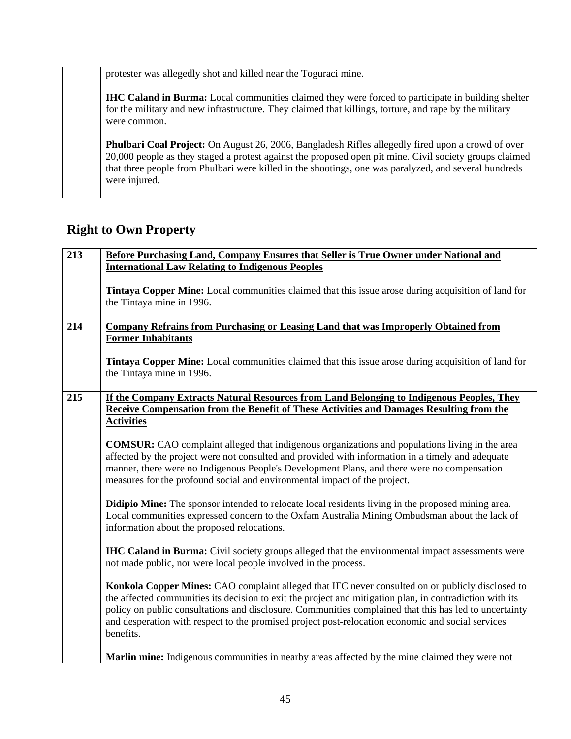protester was allegedly shot and killed near the Toguraci mine.

**IHC Caland in Burma:** Local communities claimed they were forced to participate in building shelter for the military and new infrastructure. They claimed that killings, torture, and rape by the military were common.

**Phulbari Coal Project:** On August 26, 2006, Bangladesh Rifles allegedly fired upon a crowd of over 20,000 people as they staged a protest against the proposed open pit mine. Civil society groups claimed that three people from Phulbari were killed in the shootings, one was paralyzed, and several hundreds were injured.

### **Right to Own Property**

| 213 | Before Purchasing Land, Company Ensures that Seller is True Owner under National and                                                                                                                                                                                                                                                                                                                                                     |
|-----|------------------------------------------------------------------------------------------------------------------------------------------------------------------------------------------------------------------------------------------------------------------------------------------------------------------------------------------------------------------------------------------------------------------------------------------|
|     | <b>International Law Relating to Indigenous Peoples</b>                                                                                                                                                                                                                                                                                                                                                                                  |
|     | <b>Tintaya Copper Mine:</b> Local communities claimed that this issue arose during acquisition of land for<br>the Tintaya mine in 1996.                                                                                                                                                                                                                                                                                                  |
| 214 | <b>Company Refrains from Purchasing or Leasing Land that was Improperly Obtained from</b>                                                                                                                                                                                                                                                                                                                                                |
|     | <b>Former Inhabitants</b>                                                                                                                                                                                                                                                                                                                                                                                                                |
|     | <b>Tintaya Copper Mine:</b> Local communities claimed that this issue arose during acquisition of land for<br>the Tintaya mine in 1996.                                                                                                                                                                                                                                                                                                  |
| 215 | If the Company Extracts Natural Resources from Land Belonging to Indigenous Peoples, They                                                                                                                                                                                                                                                                                                                                                |
|     | Receive Compensation from the Benefit of These Activities and Damages Resulting from the                                                                                                                                                                                                                                                                                                                                                 |
|     | <b>Activities</b>                                                                                                                                                                                                                                                                                                                                                                                                                        |
|     |                                                                                                                                                                                                                                                                                                                                                                                                                                          |
|     | <b>COMSUR:</b> CAO complaint alleged that indigenous organizations and populations living in the area<br>affected by the project were not consulted and provided with information in a timely and adequate<br>manner, there were no Indigenous People's Development Plans, and there were no compensation<br>measures for the profound social and environmental impact of the project.                                                   |
|     |                                                                                                                                                                                                                                                                                                                                                                                                                                          |
|     | Didipio Mine: The sponsor intended to relocate local residents living in the proposed mining area.<br>Local communities expressed concern to the Oxfam Australia Mining Ombudsman about the lack of<br>information about the proposed relocations.                                                                                                                                                                                       |
|     | <b>IHC Caland in Burma:</b> Civil society groups alleged that the environmental impact assessments were<br>not made public, nor were local people involved in the process.                                                                                                                                                                                                                                                               |
|     | Konkola Copper Mines: CAO complaint alleged that IFC never consulted on or publicly disclosed to<br>the affected communities its decision to exit the project and mitigation plan, in contradiction with its<br>policy on public consultations and disclosure. Communities complained that this has led to uncertainty<br>and desperation with respect to the promised project post-relocation economic and social services<br>benefits. |
|     | Marlin mine: Indigenous communities in nearby areas affected by the mine claimed they were not                                                                                                                                                                                                                                                                                                                                           |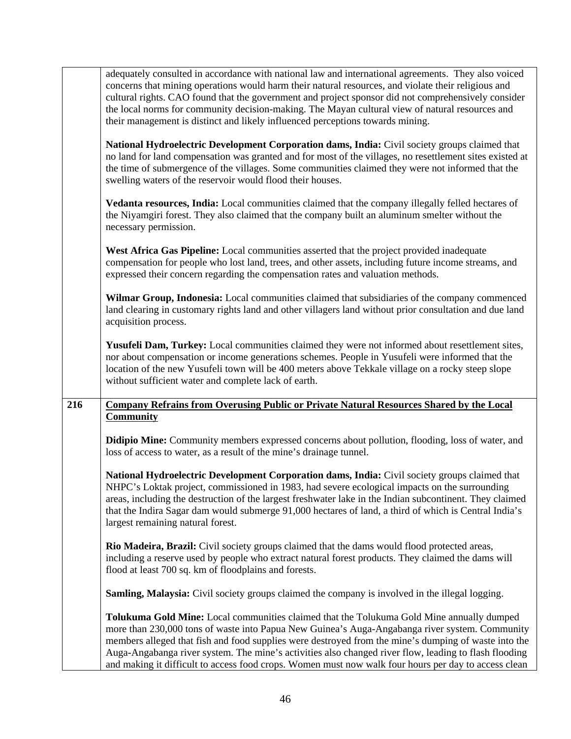|     | adequately consulted in accordance with national law and international agreements. They also voiced<br>concerns that mining operations would harm their natural resources, and violate their religious and<br>cultural rights. CAO found that the government and project sponsor did not comprehensively consider<br>the local norms for community decision-making. The Mayan cultural view of natural resources and<br>their management is distinct and likely influenced perceptions towards mining.               |
|-----|----------------------------------------------------------------------------------------------------------------------------------------------------------------------------------------------------------------------------------------------------------------------------------------------------------------------------------------------------------------------------------------------------------------------------------------------------------------------------------------------------------------------|
|     | National Hydroelectric Development Corporation dams, India: Civil society groups claimed that<br>no land for land compensation was granted and for most of the villages, no resettlement sites existed at<br>the time of submergence of the villages. Some communities claimed they were not informed that the<br>swelling waters of the reservoir would flood their houses.                                                                                                                                         |
|     | Vedanta resources, India: Local communities claimed that the company illegally felled hectares of<br>the Niyamgiri forest. They also claimed that the company built an aluminum smelter without the<br>necessary permission.                                                                                                                                                                                                                                                                                         |
|     | West Africa Gas Pipeline: Local communities asserted that the project provided inadequate<br>compensation for people who lost land, trees, and other assets, including future income streams, and<br>expressed their concern regarding the compensation rates and valuation methods.                                                                                                                                                                                                                                 |
|     | Wilmar Group, Indonesia: Local communities claimed that subsidiaries of the company commenced<br>land clearing in customary rights land and other villagers land without prior consultation and due land<br>acquisition process.                                                                                                                                                                                                                                                                                     |
|     | Yusufeli Dam, Turkey: Local communities claimed they were not informed about resettlement sites,<br>nor about compensation or income generations schemes. People in Yusufeli were informed that the<br>location of the new Yusufeli town will be 400 meters above Tekkale village on a rocky steep slope<br>without sufficient water and complete lack of earth.                                                                                                                                                     |
| 216 | <b>Company Refrains from Overusing Public or Private Natural Resources Shared by the Local</b><br><b>Community</b>                                                                                                                                                                                                                                                                                                                                                                                                   |
|     | <b>Didipio Mine:</b> Community members expressed concerns about pollution, flooding, loss of water, and<br>loss of access to water, as a result of the mine's drainage tunnel.                                                                                                                                                                                                                                                                                                                                       |
|     | National Hydroelectric Development Corporation dams, India: Civil society groups claimed that<br>NHPC's Loktak project, commissioned in 1983, had severe ecological impacts on the surrounding<br>areas, including the destruction of the largest freshwater lake in the Indian subcontinent. They claimed<br>that the Indira Sagar dam would submerge 91,000 hectares of land, a third of which is Central India's<br>largest remaining natural forest.                                                             |
|     | Rio Madeira, Brazil: Civil society groups claimed that the dams would flood protected areas,<br>including a reserve used by people who extract natural forest products. They claimed the dams will<br>flood at least 700 sq. km of floodplains and forests.                                                                                                                                                                                                                                                          |
|     | Samling, Malaysia: Civil society groups claimed the company is involved in the illegal logging.                                                                                                                                                                                                                                                                                                                                                                                                                      |
|     | Tolukuma Gold Mine: Local communities claimed that the Tolukuma Gold Mine annually dumped<br>more than 230,000 tons of waste into Papua New Guinea's Auga-Angabanga river system. Community<br>members alleged that fish and food supplies were destroyed from the mine's dumping of waste into the<br>Auga-Angabanga river system. The mine's activities also changed river flow, leading to flash flooding<br>and making it difficult to access food crops. Women must now walk four hours per day to access clean |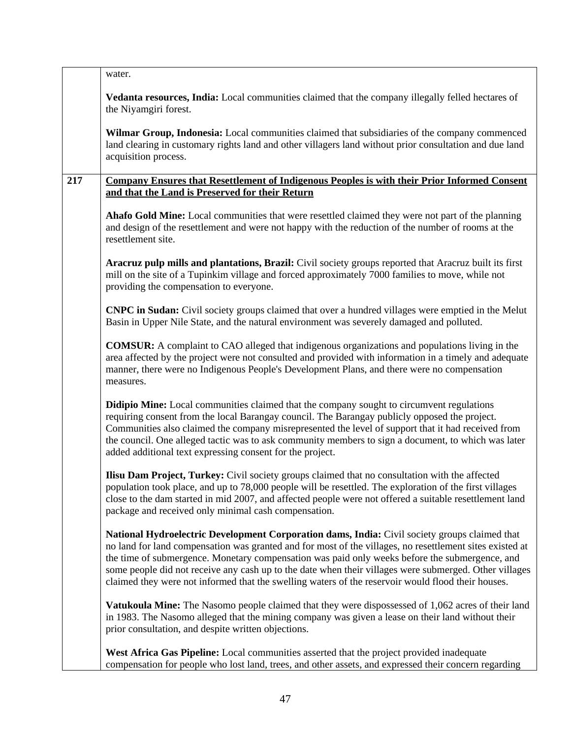|     | water.                                                                                                                                                                                                                                                                                                                                                                                                                                                                                                                      |
|-----|-----------------------------------------------------------------------------------------------------------------------------------------------------------------------------------------------------------------------------------------------------------------------------------------------------------------------------------------------------------------------------------------------------------------------------------------------------------------------------------------------------------------------------|
|     | Vedanta resources, India: Local communities claimed that the company illegally felled hectares of<br>the Niyamgiri forest.                                                                                                                                                                                                                                                                                                                                                                                                  |
|     | Wilmar Group, Indonesia: Local communities claimed that subsidiaries of the company commenced<br>land clearing in customary rights land and other villagers land without prior consultation and due land<br>acquisition process.                                                                                                                                                                                                                                                                                            |
| 217 | <b>Company Ensures that Resettlement of Indigenous Peoples is with their Prior Informed Consent</b>                                                                                                                                                                                                                                                                                                                                                                                                                         |
|     | and that the Land is Preserved for their Return                                                                                                                                                                                                                                                                                                                                                                                                                                                                             |
|     | Ahafo Gold Mine: Local communities that were resettled claimed they were not part of the planning<br>and design of the resettlement and were not happy with the reduction of the number of rooms at the<br>resettlement site.                                                                                                                                                                                                                                                                                               |
|     | Aracruz pulp mills and plantations, Brazil: Civil society groups reported that Aracruz built its first<br>mill on the site of a Tupinkim village and forced approximately 7000 families to move, while not<br>providing the compensation to everyone.                                                                                                                                                                                                                                                                       |
|     | <b>CNPC in Sudan:</b> Civil society groups claimed that over a hundred villages were emptied in the Melut<br>Basin in Upper Nile State, and the natural environment was severely damaged and polluted.                                                                                                                                                                                                                                                                                                                      |
|     | <b>COMSUR:</b> A complaint to CAO alleged that indigenous organizations and populations living in the<br>area affected by the project were not consulted and provided with information in a timely and adequate<br>manner, there were no Indigenous People's Development Plans, and there were no compensation<br>measures.                                                                                                                                                                                                 |
|     | <b>Didipio Mine:</b> Local communities claimed that the company sought to circumvent regulations<br>requiring consent from the local Barangay council. The Barangay publicly opposed the project.<br>Communities also claimed the company misrepresented the level of support that it had received from<br>the council. One alleged tactic was to ask community members to sign a document, to which was later<br>added additional text expressing consent for the project.                                                 |
|     | Ilisu Dam Project, Turkey: Civil society groups claimed that no consultation with the affected<br>population took place, and up to 78,000 people will be resettled. The exploration of the first villages<br>close to the dam started in mid 2007, and affected people were not offered a suitable resettlement land<br>package and received only minimal cash compensation.                                                                                                                                                |
|     | National Hydroelectric Development Corporation dams, India: Civil society groups claimed that<br>no land for land compensation was granted and for most of the villages, no resettlement sites existed at<br>the time of submergence. Monetary compensation was paid only weeks before the submergence, and<br>some people did not receive any cash up to the date when their villages were submerged. Other villages<br>claimed they were not informed that the swelling waters of the reservoir would flood their houses. |
|     | Vatukoula Mine: The Nasomo people claimed that they were dispossessed of 1,062 acres of their land<br>in 1983. The Nasomo alleged that the mining company was given a lease on their land without their<br>prior consultation, and despite written objections.                                                                                                                                                                                                                                                              |
|     | West Africa Gas Pipeline: Local communities asserted that the project provided inadequate<br>compensation for people who lost land, trees, and other assets, and expressed their concern regarding                                                                                                                                                                                                                                                                                                                          |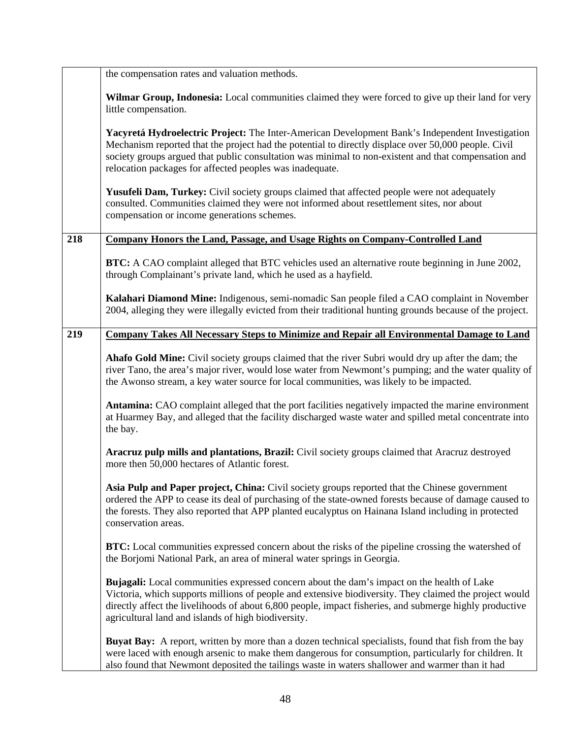|     | the compensation rates and valuation methods.                                                                                                                                                                                                                                                                                                                               |
|-----|-----------------------------------------------------------------------------------------------------------------------------------------------------------------------------------------------------------------------------------------------------------------------------------------------------------------------------------------------------------------------------|
|     | Wilmar Group, Indonesia: Local communities claimed they were forced to give up their land for very<br>little compensation.                                                                                                                                                                                                                                                  |
|     | Yacyretá Hydroelectric Project: The Inter-American Development Bank's Independent Investigation<br>Mechanism reported that the project had the potential to directly displace over 50,000 people. Civil<br>society groups argued that public consultation was minimal to non-existent and that compensation and<br>relocation packages for affected peoples was inadequate. |
|     | Yusufeli Dam, Turkey: Civil society groups claimed that affected people were not adequately<br>consulted. Communities claimed they were not informed about resettlement sites, nor about<br>compensation or income generations schemes.                                                                                                                                     |
| 218 | <b>Company Honors the Land, Passage, and Usage Rights on Company-Controlled Land</b>                                                                                                                                                                                                                                                                                        |
|     | <b>BTC:</b> A CAO complaint alleged that BTC vehicles used an alternative route beginning in June 2002,<br>through Complainant's private land, which he used as a hayfield.                                                                                                                                                                                                 |
|     | Kalahari Diamond Mine: Indigenous, semi-nomadic San people filed a CAO complaint in November<br>2004, alleging they were illegally evicted from their traditional hunting grounds because of the project.                                                                                                                                                                   |
| 219 | <b>Company Takes All Necessary Steps to Minimize and Repair all Environmental Damage to Land</b>                                                                                                                                                                                                                                                                            |
|     | Ahafo Gold Mine: Civil society groups claimed that the river Subri would dry up after the dam; the<br>river Tano, the area's major river, would lose water from Newmont's pumping; and the water quality of<br>the Awonso stream, a key water source for local communities, was likely to be impacted.                                                                      |
|     | Antamina: CAO complaint alleged that the port facilities negatively impacted the marine environment<br>at Huarmey Bay, and alleged that the facility discharged waste water and spilled metal concentrate into<br>the bay.                                                                                                                                                  |
|     | Aracruz pulp mills and plantations, Brazil: Civil society groups claimed that Aracruz destroyed<br>more then 50,000 hectares of Atlantic forest.                                                                                                                                                                                                                            |
|     | Asia Pulp and Paper project, China: Civil society groups reported that the Chinese government<br>ordered the APP to cease its deal of purchasing of the state-owned forests because of damage caused to<br>the forests. They also reported that APP planted eucalyptus on Hainana Island including in protected<br>conservation areas.                                      |
|     | <b>BTC:</b> Local communities expressed concern about the risks of the pipeline crossing the watershed of<br>the Borjomi National Park, an area of mineral water springs in Georgia.                                                                                                                                                                                        |
|     | Bujagali: Local communities expressed concern about the dam's impact on the health of Lake<br>Victoria, which supports millions of people and extensive biodiversity. They claimed the project would<br>directly affect the livelihoods of about 6,800 people, impact fisheries, and submerge highly productive<br>agricultural land and islands of high biodiversity.      |
|     | <b>Buyat Bay:</b> A report, written by more than a dozen technical specialists, found that fish from the bay<br>were laced with enough arsenic to make them dangerous for consumption, particularly for children. It<br>also found that Newmont deposited the tailings waste in waters shallower and warmer than it had                                                     |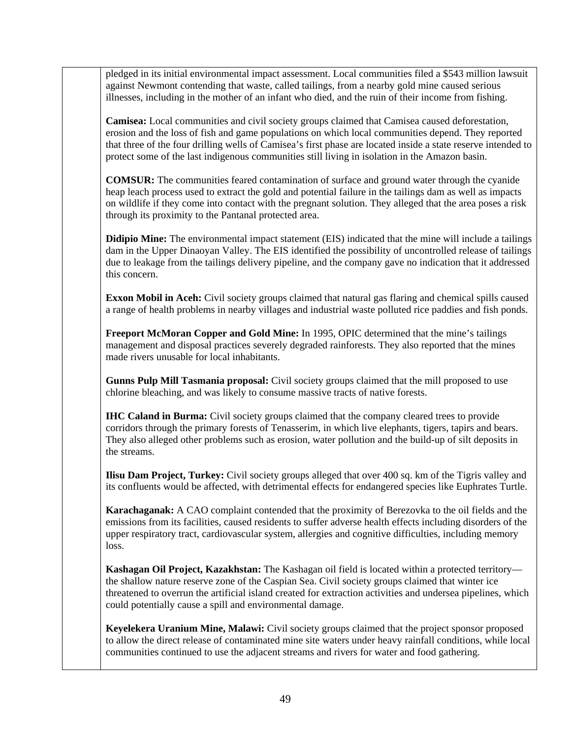pledged in its initial environmental impact assessment. Local communities filed a \$543 million lawsuit against Newmont contending that waste, called tailings, from a nearby gold mine caused serious illnesses, including in the mother of an infant who died, and the ruin of their income from fishing.

**Camisea:** Local communities and civil society groups claimed that Camisea caused deforestation, erosion and the loss of fish and game populations on which local communities depend. They reported that three of the four drilling wells of Camisea's first phase are located inside a state reserve intended to protect some of the last indigenous communities still living in isolation in the Amazon basin.

**COMSUR:** The communities feared contamination of surface and ground water through the cyanide heap leach process used to extract the gold and potential failure in the tailings dam as well as impacts on wildlife if they come into contact with the pregnant solution. They alleged that the area poses a risk through its proximity to the Pantanal protected area.

**Didipio Mine:** The environmental impact statement (EIS) indicated that the mine will include a tailings dam in the Upper Dinaoyan Valley. The EIS identified the possibility of uncontrolled release of tailings due to leakage from the tailings delivery pipeline, and the company gave no indication that it addressed this concern.

**Exxon Mobil in Aceh:** Civil society groups claimed that natural gas flaring and chemical spills caused a range of health problems in nearby villages and industrial waste polluted rice paddies and fish ponds.

**Freeport McMoran Copper and Gold Mine:** In 1995, OPIC determined that the mine's tailings management and disposal practices severely degraded rainforests. They also reported that the mines made rivers unusable for local inhabitants.

**Gunns Pulp Mill Tasmania proposal:** Civil society groups claimed that the mill proposed to use chlorine bleaching, and was likely to consume massive tracts of native forests.

**IHC Caland in Burma:** Civil society groups claimed that the company cleared trees to provide corridors through the primary forests of Tenasserim, in which live elephants, tigers, tapirs and bears. They also alleged other problems such as erosion, water pollution and the build-up of silt deposits in the streams.

**Ilisu Dam Project, Turkey:** Civil society groups alleged that over 400 sq. km of the Tigris valley and its confluents would be affected, with detrimental effects for endangered species like Euphrates Turtle.

**Karachaganak:** A CAO complaint contended that the proximity of Berezovka to the oil fields and the emissions from its facilities, caused residents to suffer adverse health effects including disorders of the upper respiratory tract, cardiovascular system, allergies and cognitive difficulties, including memory loss.

**Kashagan Oil Project, Kazakhstan:** The Kashagan oil field is located within a protected territory the shallow nature reserve zone of the Caspian Sea. Civil society groups claimed that winter ice threatened to overrun the artificial island created for extraction activities and undersea pipelines, which could potentially cause a spill and environmental damage.

**Keyelekera Uranium Mine, Malawi:** Civil society groups claimed that the project sponsor proposed to allow the direct release of contaminated mine site waters under heavy rainfall conditions, while local communities continued to use the adjacent streams and rivers for water and food gathering.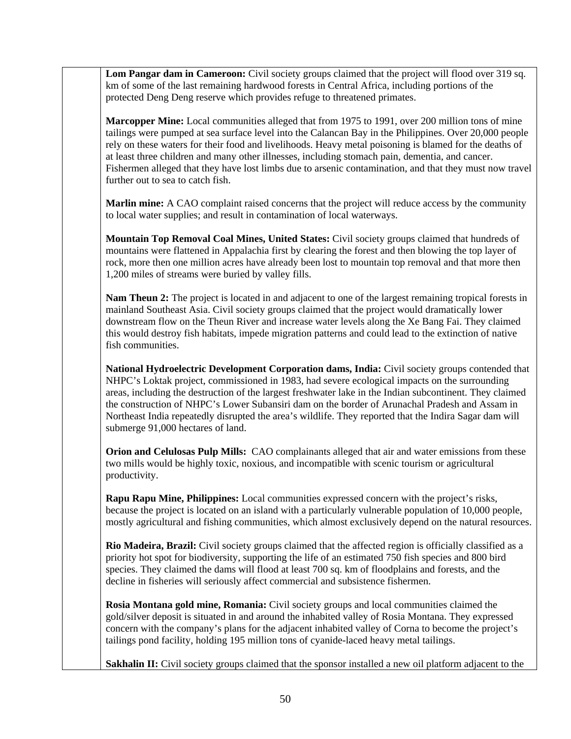Lom Pangar dam in Cameroon: Civil society groups claimed that the project will flood over 319 sq. km of some of the last remaining hardwood forests in Central Africa, including portions of the protected Deng Deng reserve which provides refuge to threatened primates.

**Marcopper Mine:** Local communities alleged that from 1975 to 1991, over 200 million tons of mine tailings were pumped at sea surface level into the Calancan Bay in the Philippines. Over 20,000 people rely on these waters for their food and livelihoods. Heavy metal poisoning is blamed for the deaths of at least three children and many other illnesses, including stomach pain, dementia, and cancer. Fishermen alleged that they have lost limbs due to arsenic contamination, and that they must now travel further out to sea to catch fish.

**Marlin mine:** A CAO complaint raised concerns that the project will reduce access by the community to local water supplies; and result in contamination of local waterways.

**Mountain Top Removal Coal Mines, United States:** Civil society groups claimed that hundreds of mountains were flattened in Appalachia first by clearing the forest and then blowing the top layer of rock, more then one million acres have already been lost to mountain top removal and that more then 1,200 miles of streams were buried by valley fills.

**Nam Theun 2:** The project is located in and adjacent to one of the largest remaining tropical forests in mainland Southeast Asia. Civil society groups claimed that the project would dramatically lower downstream flow on the Theun River and increase water levels along the Xe Bang Fai. They claimed this would destroy fish habitats, impede migration patterns and could lead to the extinction of native fish communities.

**National Hydroelectric Development Corporation dams, India:** Civil society groups contended that NHPC's Loktak project, commissioned in 1983, had severe ecological impacts on the surrounding areas, including the destruction of the largest freshwater lake in the Indian subcontinent. They claimed the construction of NHPC's Lower Subansiri dam on the border of Arunachal Pradesh and Assam in Northeast India repeatedly disrupted the area's wildlife. They reported that the Indira Sagar dam will submerge 91,000 hectares of land.

**Orion and Celulosas Pulp Mills:** CAO complainants alleged that air and water emissions from these two mills would be highly toxic, noxious, and incompatible with scenic tourism or agricultural productivity.

**Rapu Rapu Mine, Philippines:** Local communities expressed concern with the project's risks, because the project is located on an island with a particularly vulnerable population of 10,000 people, mostly agricultural and fishing communities, which almost exclusively depend on the natural resources.

**Rio Madeira, Brazil:** Civil society groups claimed that the affected region is officially classified as a priority hot spot for biodiversity, supporting the life of an estimated 750 fish species and 800 bird species. They claimed the dams will flood at least 700 sq. km of floodplains and forests, and the decline in fisheries will seriously affect commercial and subsistence fishermen.

**Rosia Montana gold mine, Romania:** Civil society groups and local communities claimed the gold/silver deposit is situated in and around the inhabited valley of Rosia Montana. They expressed concern with the company's plans for the adjacent inhabited valley of Corna to become the project's tailings pond facility, holding 195 million tons of cyanide-laced heavy metal tailings.

**Sakhalin II:** Civil society groups claimed that the sponsor installed a new oil platform adjacent to the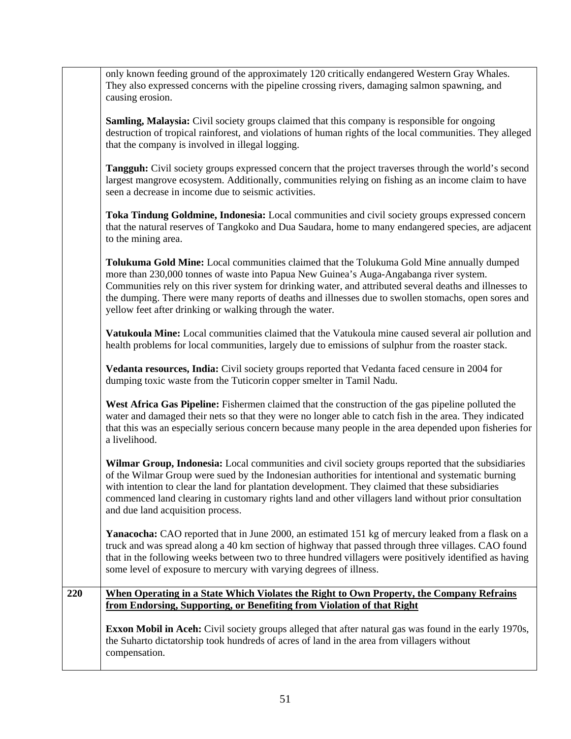|     | only known feeding ground of the approximately 120 critically endangered Western Gray Whales.<br>They also expressed concerns with the pipeline crossing rivers, damaging salmon spawning, and<br>causing erosion.                                                                                                                                                                                                                                                  |
|-----|---------------------------------------------------------------------------------------------------------------------------------------------------------------------------------------------------------------------------------------------------------------------------------------------------------------------------------------------------------------------------------------------------------------------------------------------------------------------|
|     | <b>Samling, Malaysia:</b> Civil society groups claimed that this company is responsible for ongoing<br>destruction of tropical rainforest, and violations of human rights of the local communities. They alleged<br>that the company is involved in illegal logging.                                                                                                                                                                                                |
|     | <b>Tangguh:</b> Civil society groups expressed concern that the project traverses through the world's second<br>largest mangrove ecosystem. Additionally, communities relying on fishing as an income claim to have<br>seen a decrease in income due to seismic activities.                                                                                                                                                                                         |
|     | Toka Tindung Goldmine, Indonesia: Local communities and civil society groups expressed concern<br>that the natural reserves of Tangkoko and Dua Saudara, home to many endangered species, are adjacent<br>to the mining area.                                                                                                                                                                                                                                       |
|     | Tolukuma Gold Mine: Local communities claimed that the Tolukuma Gold Mine annually dumped<br>more than 230,000 tonnes of waste into Papua New Guinea's Auga-Angabanga river system.<br>Communities rely on this river system for drinking water, and attributed several deaths and illnesses to<br>the dumping. There were many reports of deaths and illnesses due to swollen stomachs, open sores and<br>yellow feet after drinking or walking through the water. |
|     | Vatukoula Mine: Local communities claimed that the Vatukoula mine caused several air pollution and<br>health problems for local communities, largely due to emissions of sulphur from the roaster stack.                                                                                                                                                                                                                                                            |
|     | <b>Vedanta resources, India:</b> Civil society groups reported that Vedanta faced censure in 2004 for<br>dumping toxic waste from the Tuticorin copper smelter in Tamil Nadu.                                                                                                                                                                                                                                                                                       |
|     | West Africa Gas Pipeline: Fishermen claimed that the construction of the gas pipeline polluted the<br>water and damaged their nets so that they were no longer able to catch fish in the area. They indicated<br>that this was an especially serious concern because many people in the area depended upon fisheries for<br>a livelihood.                                                                                                                           |
|     | Wilmar Group, Indonesia: Local communities and civil society groups reported that the subsidiaries<br>of the Wilmar Group were sued by the Indonesian authorities for intentional and systematic burning<br>with intention to clear the land for plantation development. They claimed that these subsidiaries<br>commenced land clearing in customary rights land and other villagers land without prior consultation<br>and due land acquisition process.          |
|     | <b>Yanacocha:</b> CAO reported that in June 2000, an estimated 151 kg of mercury leaked from a flask on a<br>truck and was spread along a 40 km section of highway that passed through three villages. CAO found<br>that in the following weeks between two to three hundred villagers were positively identified as having<br>some level of exposure to mercury with varying degrees of illness.                                                                   |
| 220 | <u>When Operating in a State Which Violates the Right to Own Property, the Company Refrains</u><br>from Endorsing, Supporting, or Benefiting from Violation of that Right                                                                                                                                                                                                                                                                                           |
|     | <b>Exxon Mobil in Aceh:</b> Civil society groups alleged that after natural gas was found in the early 1970s,<br>the Suharto dictatorship took hundreds of acres of land in the area from villagers without<br>compensation.                                                                                                                                                                                                                                        |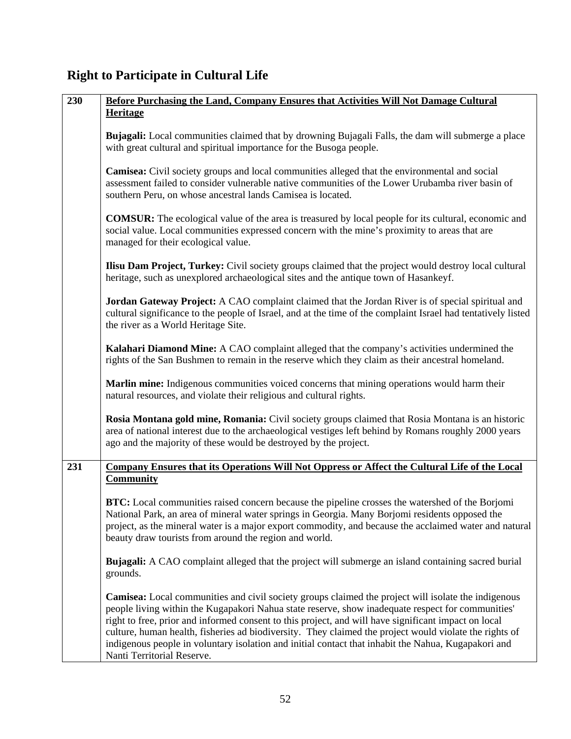# **Right to Participate in Cultural Life**

| 230 | Before Purchasing the Land, Company Ensures that Activities Will Not Damage Cultural                                                                                                                                                                                                                                                                                                                                                                                                                                                                                   |
|-----|------------------------------------------------------------------------------------------------------------------------------------------------------------------------------------------------------------------------------------------------------------------------------------------------------------------------------------------------------------------------------------------------------------------------------------------------------------------------------------------------------------------------------------------------------------------------|
|     | Heritage                                                                                                                                                                                                                                                                                                                                                                                                                                                                                                                                                               |
|     | Bujagali: Local communities claimed that by drowning Bujagali Falls, the dam will submerge a place<br>with great cultural and spiritual importance for the Busoga people.                                                                                                                                                                                                                                                                                                                                                                                              |
|     | Camisea: Civil society groups and local communities alleged that the environmental and social<br>assessment failed to consider vulnerable native communities of the Lower Urubamba river basin of<br>southern Peru, on whose ancestral lands Camisea is located.                                                                                                                                                                                                                                                                                                       |
|     | <b>COMSUR:</b> The ecological value of the area is treasured by local people for its cultural, economic and<br>social value. Local communities expressed concern with the mine's proximity to areas that are<br>managed for their ecological value.                                                                                                                                                                                                                                                                                                                    |
|     | Ilisu Dam Project, Turkey: Civil society groups claimed that the project would destroy local cultural<br>heritage, such as unexplored archaeological sites and the antique town of Hasankeyf.                                                                                                                                                                                                                                                                                                                                                                          |
|     | Jordan Gateway Project: A CAO complaint claimed that the Jordan River is of special spiritual and<br>cultural significance to the people of Israel, and at the time of the complaint Israel had tentatively listed<br>the river as a World Heritage Site.                                                                                                                                                                                                                                                                                                              |
|     | Kalahari Diamond Mine: A CAO complaint alleged that the company's activities undermined the<br>rights of the San Bushmen to remain in the reserve which they claim as their ancestral homeland.                                                                                                                                                                                                                                                                                                                                                                        |
|     | Marlin mine: Indigenous communities voiced concerns that mining operations would harm their<br>natural resources, and violate their religious and cultural rights.                                                                                                                                                                                                                                                                                                                                                                                                     |
|     | Rosia Montana gold mine, Romania: Civil society groups claimed that Rosia Montana is an historic<br>area of national interest due to the archaeological vestiges left behind by Romans roughly 2000 years<br>ago and the majority of these would be destroyed by the project.                                                                                                                                                                                                                                                                                          |
| 231 | <b>Company Ensures that its Operations Will Not Oppress or Affect the Cultural Life of the Local</b><br><b>Community</b>                                                                                                                                                                                                                                                                                                                                                                                                                                               |
|     | <b>BTC:</b> Local communities raised concern because the pipeline crosses the watershed of the Borjomi<br>National Park, an area of mineral water springs in Georgia. Many Borjomi residents opposed the<br>project, as the mineral water is a major export commodity, and because the acclaimed water and natural<br>beauty draw tourists from around the region and world.                                                                                                                                                                                           |
|     | <b>Bujagali:</b> A CAO complaint alleged that the project will submerge an island containing sacred burial<br>grounds.                                                                                                                                                                                                                                                                                                                                                                                                                                                 |
|     | <b>Camisea:</b> Local communities and civil society groups claimed the project will isolate the indigenous<br>people living within the Kugapakori Nahua state reserve, show inadequate respect for communities'<br>right to free, prior and informed consent to this project, and will have significant impact on local<br>culture, human health, fisheries ad biodiversity. They claimed the project would violate the rights of<br>indigenous people in voluntary isolation and initial contact that inhabit the Nahua, Kugapakori and<br>Nanti Territorial Reserve. |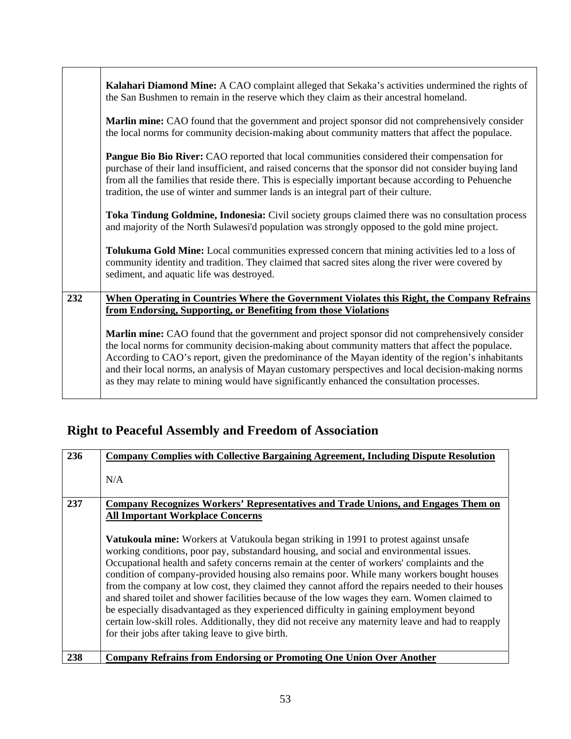|     | Kalahari Diamond Mine: A CAO complaint alleged that Sekaka's activities undermined the rights of<br>the San Bushmen to remain in the reserve which they claim as their ancestral homeland.                                                                                                                                                                                                                                                                                                                    |
|-----|---------------------------------------------------------------------------------------------------------------------------------------------------------------------------------------------------------------------------------------------------------------------------------------------------------------------------------------------------------------------------------------------------------------------------------------------------------------------------------------------------------------|
|     | Marlin mine: CAO found that the government and project sponsor did not comprehensively consider<br>the local norms for community decision-making about community matters that affect the populace.                                                                                                                                                                                                                                                                                                            |
|     | Pangue Bio Bio River: CAO reported that local communities considered their compensation for<br>purchase of their land insufficient, and raised concerns that the sponsor did not consider buying land<br>from all the families that reside there. This is especially important because according to Pehuenche<br>tradition, the use of winter and summer lands is an integral part of their culture.                                                                                                          |
|     | Toka Tindung Goldmine, Indonesia: Civil society groups claimed there was no consultation process<br>and majority of the North Sulawesi'd population was strongly opposed to the gold mine project.                                                                                                                                                                                                                                                                                                            |
|     | Tolukuma Gold Mine: Local communities expressed concern that mining activities led to a loss of<br>community identity and tradition. They claimed that sacred sites along the river were covered by<br>sediment, and aquatic life was destroyed.                                                                                                                                                                                                                                                              |
| 232 | When Operating in Countries Where the Government Violates this Right, the Company Refrains<br>from Endorsing, Supporting, or Benefiting from those Violations                                                                                                                                                                                                                                                                                                                                                 |
|     | Marlin mine: CAO found that the government and project sponsor did not comprehensively consider<br>the local norms for community decision-making about community matters that affect the populace.<br>According to CAO's report, given the predominance of the Mayan identity of the region's inhabitants<br>and their local norms, an analysis of Mayan customary perspectives and local decision-making norms<br>as they may relate to mining would have significantly enhanced the consultation processes. |

٦

# **Right to Peaceful Assembly and Freedom of Association**

| 236 | <b>Company Complies with Collective Bargaining Agreement, Including Dispute Resolution</b>                                                                                                                                                                                                                                                                                                                                                                                                                                                                                                                                                                                                                                                                                                                                                   |
|-----|----------------------------------------------------------------------------------------------------------------------------------------------------------------------------------------------------------------------------------------------------------------------------------------------------------------------------------------------------------------------------------------------------------------------------------------------------------------------------------------------------------------------------------------------------------------------------------------------------------------------------------------------------------------------------------------------------------------------------------------------------------------------------------------------------------------------------------------------|
|     | N/A                                                                                                                                                                                                                                                                                                                                                                                                                                                                                                                                                                                                                                                                                                                                                                                                                                          |
| 237 | <b>Company Recognizes Workers' Representatives and Trade Unions, and Engages Them on</b>                                                                                                                                                                                                                                                                                                                                                                                                                                                                                                                                                                                                                                                                                                                                                     |
|     | <b>All Important Workplace Concerns</b>                                                                                                                                                                                                                                                                                                                                                                                                                                                                                                                                                                                                                                                                                                                                                                                                      |
|     | <b>Vatukoula mine:</b> Workers at Vatukoula began striking in 1991 to protest against unsafe<br>working conditions, poor pay, substandard housing, and social and environmental issues.<br>Occupational health and safety concerns remain at the center of workers' complaints and the<br>condition of company-provided housing also remains poor. While many workers bought houses<br>from the company at low cost, they claimed they cannot afford the repairs needed to their houses<br>and shared toilet and shower facilities because of the low wages they earn. Women claimed to<br>be especially disadvantaged as they experienced difficulty in gaining employment beyond<br>certain low-skill roles. Additionally, they did not receive any maternity leave and had to reapply<br>for their jobs after taking leave to give birth. |
| 238 | <b>Company Refrains from Endorsing or Promoting One Union Over Another</b>                                                                                                                                                                                                                                                                                                                                                                                                                                                                                                                                                                                                                                                                                                                                                                   |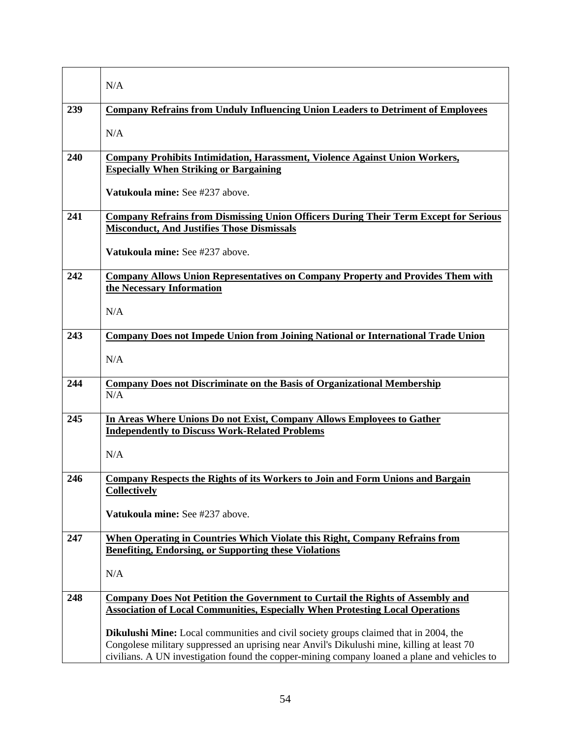|     | N/A                                                                                                                                                                                       |
|-----|-------------------------------------------------------------------------------------------------------------------------------------------------------------------------------------------|
| 239 | <b>Company Refrains from Unduly Influencing Union Leaders to Detriment of Employees</b>                                                                                                   |
|     | N/A                                                                                                                                                                                       |
| 240 | <b>Company Prohibits Intimidation, Harassment, Violence Against Union Workers,</b>                                                                                                        |
|     | <b>Especially When Striking or Bargaining</b>                                                                                                                                             |
|     | Vatukoula mine: See #237 above.                                                                                                                                                           |
| 241 | <b>Company Refrains from Dismissing Union Officers During Their Term Except for Serious</b>                                                                                               |
|     | <b>Misconduct, And Justifies Those Dismissals</b>                                                                                                                                         |
|     | Vatukoula mine: See #237 above.                                                                                                                                                           |
| 242 | <b>Company Allows Union Representatives on Company Property and Provides Them with</b>                                                                                                    |
|     | the Necessary Information                                                                                                                                                                 |
|     | N/A                                                                                                                                                                                       |
| 243 | <b>Company Does not Impede Union from Joining National or International Trade Union</b>                                                                                                   |
|     | N/A                                                                                                                                                                                       |
| 244 | <b>Company Does not Discriminate on the Basis of Organizational Membership</b>                                                                                                            |
|     | N/A                                                                                                                                                                                       |
| 245 | In Areas Where Unions Do not Exist, Company Allows Employees to Gather                                                                                                                    |
|     | <b>Independently to Discuss Work-Related Problems</b>                                                                                                                                     |
|     | N/A                                                                                                                                                                                       |
| 246 | <b>Company Respects the Rights of its Workers to Join and Form Unions and Bargain</b>                                                                                                     |
|     | <b>Collectively</b>                                                                                                                                                                       |
|     | Vatukoula mine: See #237 above.                                                                                                                                                           |
| 247 | When Operating in Countries Which Violate this Right, Company Refrains from                                                                                                               |
|     | <b>Benefiting, Endorsing, or Supporting these Violations</b>                                                                                                                              |
|     | N/A                                                                                                                                                                                       |
| 248 | <b>Company Does Not Petition the Government to Curtail the Rights of Assembly and</b>                                                                                                     |
|     | <b>Association of Local Communities, Especially When Protesting Local Operations</b>                                                                                                      |
|     |                                                                                                                                                                                           |
|     | <b>Dikulushi Mine:</b> Local communities and civil society groups claimed that in 2004, the<br>Congolese military suppressed an uprising near Anvil's Dikulushi mine, killing at least 70 |
|     | civilians. A UN investigation found the copper-mining company loaned a plane and vehicles to                                                                                              |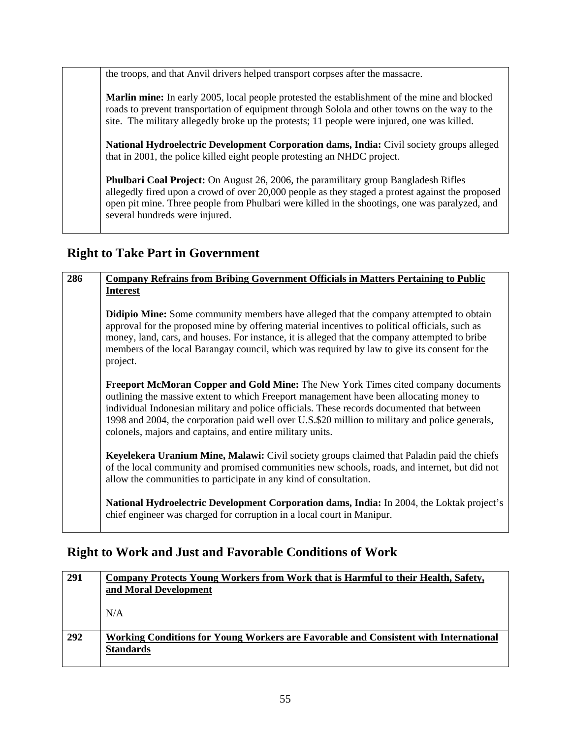the troops, and that Anvil drivers helped transport corpses after the massacre.

**Marlin mine:** In early 2005, local people protested the establishment of the mine and blocked roads to prevent transportation of equipment through Solola and other towns on the way to the site. The military allegedly broke up the protests; 11 people were injured, one was killed.

**National Hydroelectric Development Corporation dams, India:** Civil society groups alleged that in 2001, the police killed eight people protesting an NHDC project.

**Phulbari Coal Project:** On August 26, 2006, the paramilitary group Bangladesh Rifles allegedly fired upon a crowd of over 20,000 people as they staged a protest against the proposed open pit mine. Three people from Phulbari were killed in the shootings, one was paralyzed, and several hundreds were injured.

### **Right to Take Part in Government**

| 286 | <b>Company Refrains from Bribing Government Officials in Matters Pertaining to Public</b>                                                                                                                                                                                                                                                                                                                                                  |
|-----|--------------------------------------------------------------------------------------------------------------------------------------------------------------------------------------------------------------------------------------------------------------------------------------------------------------------------------------------------------------------------------------------------------------------------------------------|
|     | <b>Interest</b>                                                                                                                                                                                                                                                                                                                                                                                                                            |
|     | <b>Didipio Mine:</b> Some community members have alleged that the company attempted to obtain<br>approval for the proposed mine by offering material incentives to political officials, such as<br>money, land, cars, and houses. For instance, it is alleged that the company attempted to bribe<br>members of the local Barangay council, which was required by law to give its consent for the<br>project.                              |
|     | Freeport McMoran Copper and Gold Mine: The New York Times cited company documents<br>outlining the massive extent to which Freeport management have been allocating money to<br>individual Indonesian military and police officials. These records documented that between<br>1998 and 2004, the corporation paid well over U.S.\$20 million to military and police generals,<br>colonels, majors and captains, and entire military units. |
|     | Keyelekera Uranium Mine, Malawi: Civil society groups claimed that Paladin paid the chiefs<br>of the local community and promised communities new schools, roads, and internet, but did not<br>allow the communities to participate in any kind of consultation.                                                                                                                                                                           |
|     | National Hydroelectric Development Corporation dams, India: In 2004, the Loktak project's<br>chief engineer was charged for corruption in a local court in Manipur.                                                                                                                                                                                                                                                                        |

### **Right to Work and Just and Favorable Conditions of Work**

| 291 | Company Protects Young Workers from Work that is Harmful to their Health, Safety,    |
|-----|--------------------------------------------------------------------------------------|
|     | and Moral Development                                                                |
|     |                                                                                      |
|     | N/A                                                                                  |
|     |                                                                                      |
| 292 | Working Conditions for Young Workers are Favorable and Consistent with International |
|     | <b>Standards</b>                                                                     |
|     |                                                                                      |